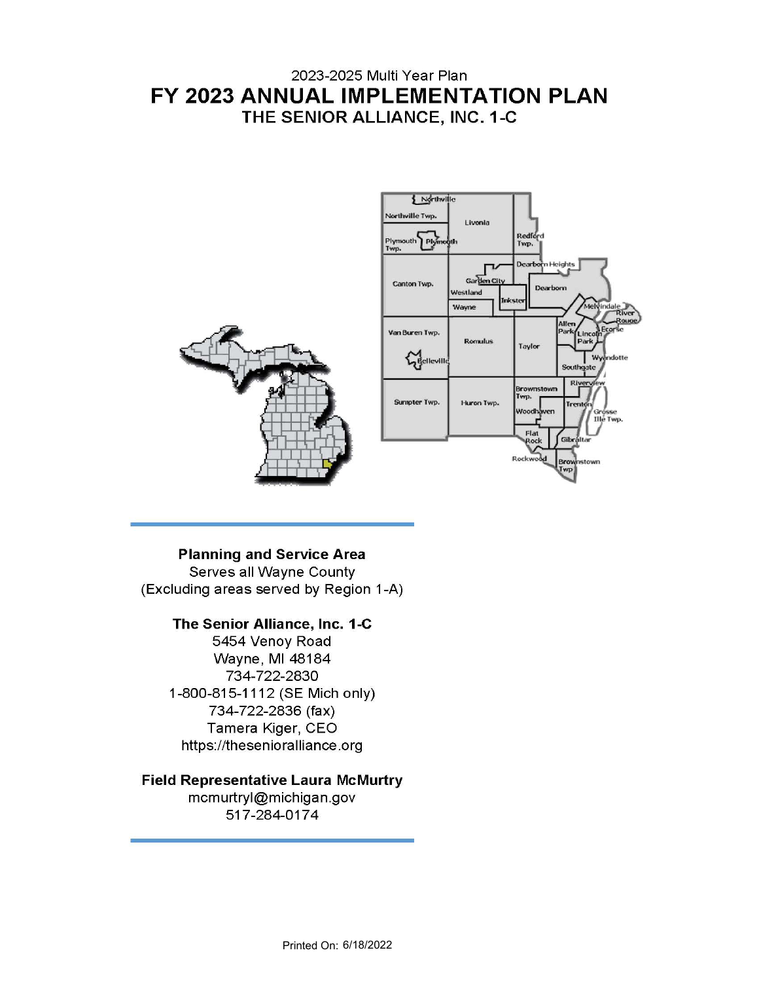# 2023-2025 Multi Year Plan FY 2023 ANNUAL IMPLEMENTATION PLAN THE SENIOR ALLIANCE, INC. 1-C



# **Planning and Service Area**

Serves all Wayne County (Excluding areas served by Region 1-A)

# The Senior Alliance, Inc. 1-C

5454 Venoy Road Wayne, MI 48184 734-722-2830 1-800-815-1112 (SE Mich only) 734-722-2836 (fax) Tamera Kiger, CEO https://thesenioralliance.org

# **Field Representative Laura McMurtry**

mcmurtryl@michigan.gov 517-284-0174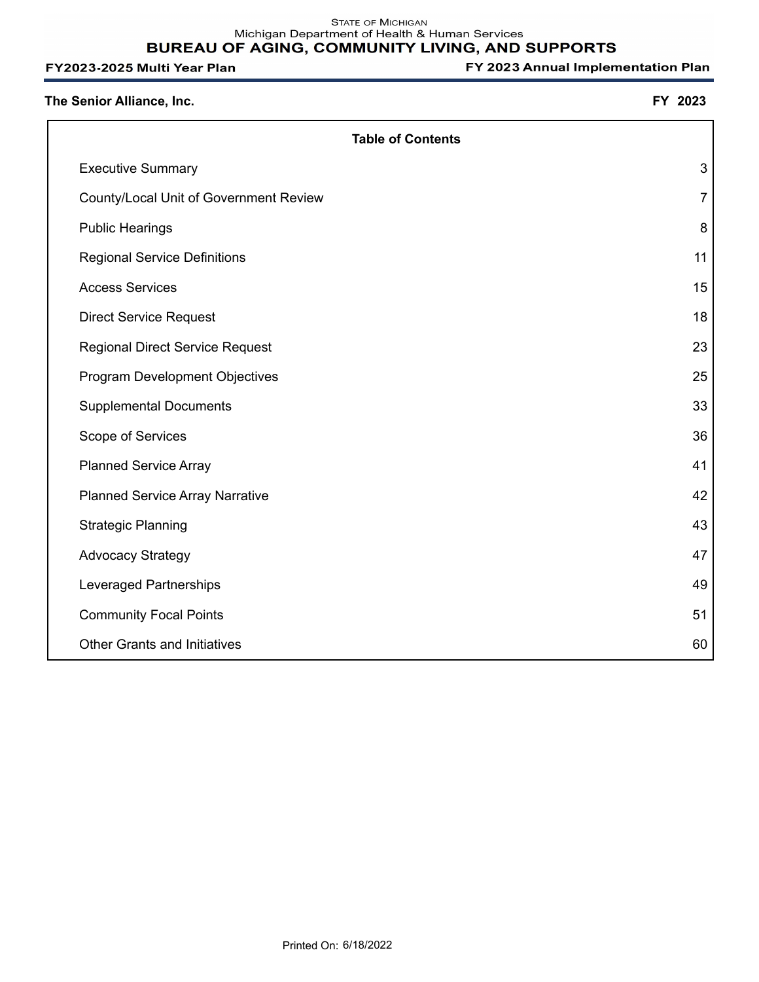| The Senior Alliance, Inc.              | FY 2023        |
|----------------------------------------|----------------|
| <b>Table of Contents</b>               |                |
| <b>Executive Summary</b>               | 3              |
| County/Local Unit of Government Review | $\overline{7}$ |
| <b>Public Hearings</b>                 | 8              |
| <b>Regional Service Definitions</b>    | 11             |
| <b>Access Services</b>                 | 15             |
| <b>Direct Service Request</b>          | 18             |
| <b>Regional Direct Service Request</b> | 23             |
| <b>Program Development Objectives</b>  | 25             |
| <b>Supplemental Documents</b>          | 33             |
| Scope of Services                      | 36             |
| <b>Planned Service Array</b>           | 41             |
| <b>Planned Service Array Narrative</b> | 42             |
| <b>Strategic Planning</b>              | 43             |
| <b>Advocacy Strategy</b>               | 47             |
| Leveraged Partnerships                 | 49             |
| <b>Community Focal Points</b>          | 51             |
| <b>Other Grants and Initiatives</b>    | 60             |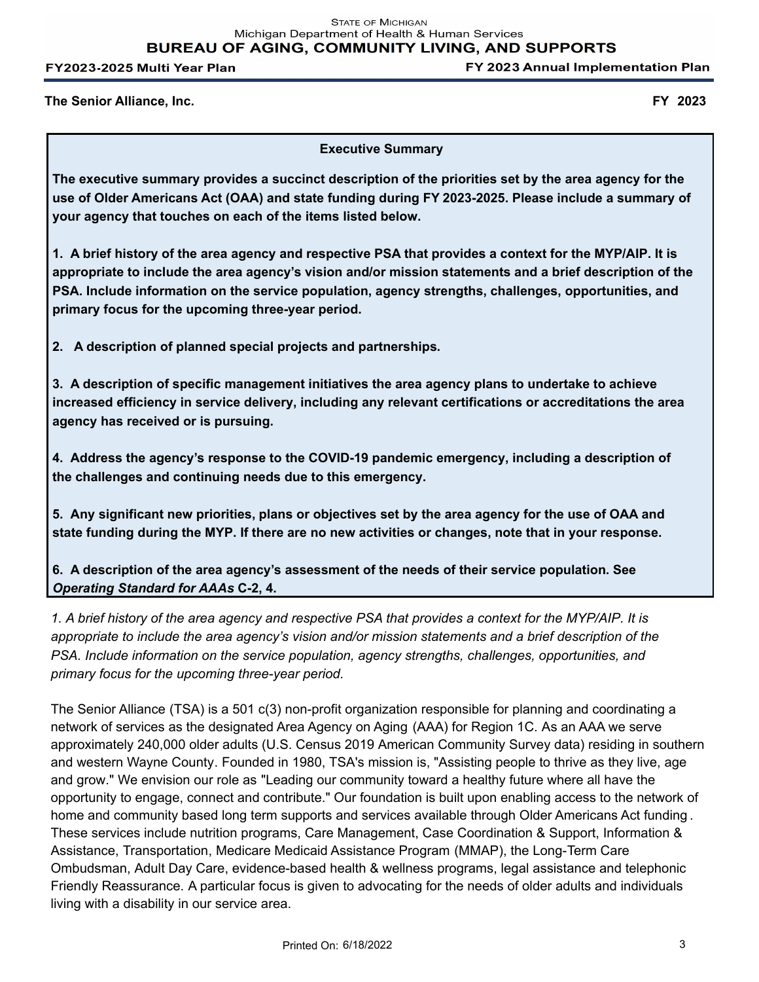**STATE OF MICHIGAN** Michigan Department of Health & Human Services **BUREAU OF AGING, COMMUNITY LIVING, AND SUPPORTS** 

FY2023-2025 Multi Year Plan

FY 2023 Annual Implementation Plan

**The Senior Alliance, Inc. FY 2023**

**Executive Summary**

**The executive summary provides a succinct description of the priorities set by the area agency for the use of Older Americans Act (OAA) and state funding during FY 2023-2025. Please include a summary of your agency that touches on each of the items listed below.** 

**1. A brief history of the area agency and respective PSA that provides a context for the MYP/AIP. It is appropriate to include the area agency's vision and/or mission statements and a brief description of the PSA. Include information on the service population, agency strengths, challenges, opportunities, and primary focus for the upcoming three-year period.**

**2. A description of planned special projects and partnerships.**

**3. A description of specific management initiatives the area agency plans to undertake to achieve increased efficiency in service delivery, including any relevant certifications or accreditations the area agency has received or is pursuing.**

**4. Address the agency's response to the COVID-19 pandemic emergency, including a description of the challenges and continuing needs due to this emergency.**

**5. Any significant new priorities, plans or objectives set by the area agency for the use of OAA and state funding during the MYP. If there are no new activities or changes, note that in your response.**

**6. A description of the area agency's assessment of the needs of their service population. See**  *Operating Standard for AAAs* **C-2, 4.**

*1. A brief history of the area agency and respective PSA that provides a context for the MYP/AIP. It is appropriate to include the area agency's vision and/or mission statements and a brief description of the PSA. Include information on the service population, agency strengths, challenges, opportunities, and primary focus for the upcoming three-year period.* 

The Senior Alliance (TSA) is a 501 c(3) non-profit organization responsible for planning and coordinating a network of services as the designated Area Agency on Aging (AAA) for Region 1C. As an AAA we serve approximately 240,000 older adults (U.S. Census 2019 American Community Survey data) residing in southern and western Wayne County. Founded in 1980, TSA's mission is, "Assisting people to thrive as they live, age and grow." We envision our role as "Leading our community toward a healthy future where all have the opportunity to engage, connect and contribute." Our foundation is built upon enabling access to the network of home and community based long term supports and services available through Older Americans Act funding . These services include nutrition programs, Care Management, Case Coordination & Support, Information & Assistance, Transportation, Medicare Medicaid Assistance Program (MMAP), the Long-Term Care Ombudsman, Adult Day Care, evidence-based health & wellness programs, legal assistance and telephonic Friendly Reassurance. A particular focus is given to advocating for the needs of older adults and individuals living with a disability in our service area.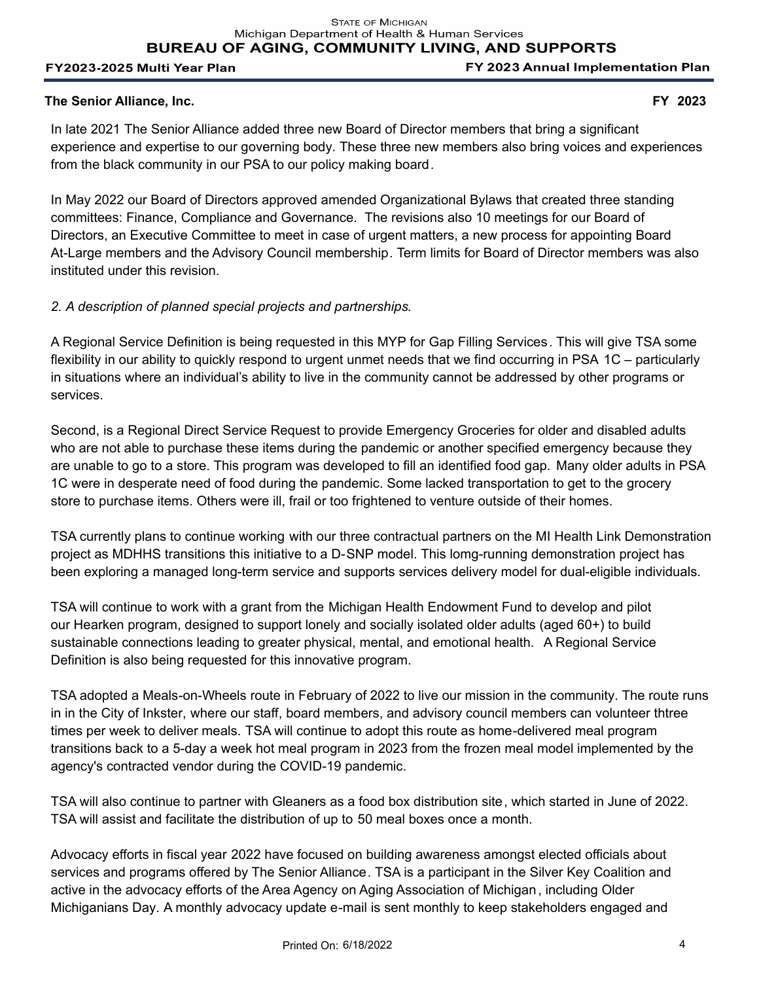FY 2023 Annual Implementation Plan

### **The Senior Alliance, Inc. FY 2023**

In late 2021 The Senior Alliance added three new Board of Director members that bring a significant experience and expertise to our governing body. These three new members also bring voices and experiences from the black community in our PSA to our policy making board.

In May 2022 our Board of Directors approved amended Organizational Bylaws that created three standing committees: Finance, Compliance and Governance. The revisions also 10 meetings for our Board of Directors, an Executive Committee to meet in case of urgent matters, a new process for appointing Board At-Large members and the Advisory Council membership. Term limits for Board of Director members was also instituted under this revision.

# *2. A description of planned special projects and partnerships.*

A Regional Service Definition is being requested in this MYP for Gap Filling Services. This will give TSA some flexibility in our ability to quickly respond to urgent unmet needs that we find occurring in PSA 1C – particularly in situations where an individual's ability to live in the community cannot be addressed by other programs or services.

Second, is a Regional Direct Service Request to provide Emergency Groceries for older and disabled adults who are not able to purchase these items during the pandemic or another specified emergency because they are unable to go to a store. This program was developed to fill an identified food gap. Many older adults in PSA 1C were in desperate need of food during the pandemic. Some lacked transportation to get to the grocery store to purchase items. Others were ill, frail or too frightened to venture outside of their homes.

TSA currently plans to continue working with our three contractual partners on the MI Health Link Demonstration project as MDHHS transitions this initiative to a D-SNP model. This lomg-running demonstration project has been exploring a managed long-term service and supports services delivery model for dual-eligible individuals.

TSA will continue to work with a grant from the Michigan Health Endowment Fund to develop and pilot our Hearken program, designed to support lonely and socially isolated older adults (aged 60+) to build sustainable connections leading to greater physical, mental, and emotional health. A Regional Service Definition is also being requested for this innovative program.

TSA adopted a Meals-on-Wheels route in February of 2022 to live our mission in the community. The route runs in in the City of Inkster, where our staff, board members, and advisory council members can volunteer thtree times per week to deliver meals. TSA will continue to adopt this route as home-delivered meal program transitions back to a 5-day a week hot meal program in 2023 from the frozen meal model implemented by the agency's contracted vendor during the COVID-19 pandemic.

TSA will also continue to partner with Gleaners as a food box distribution site, which started in June of 2022. TSA will assist and facilitate the distribution of up to 50 meal boxes once a month.

Advocacy efforts in fiscal year 2022 have focused on building awareness amongst elected officials about services and programs offered by The Senior Alliance. TSA is a participant in the Silver Key Coalition and active in the advocacy efforts of the Area Agency on Aging Association of Michigan, including Older Michiganians Day. A monthly advocacy update e-mail is sent monthly to keep stakeholders engaged and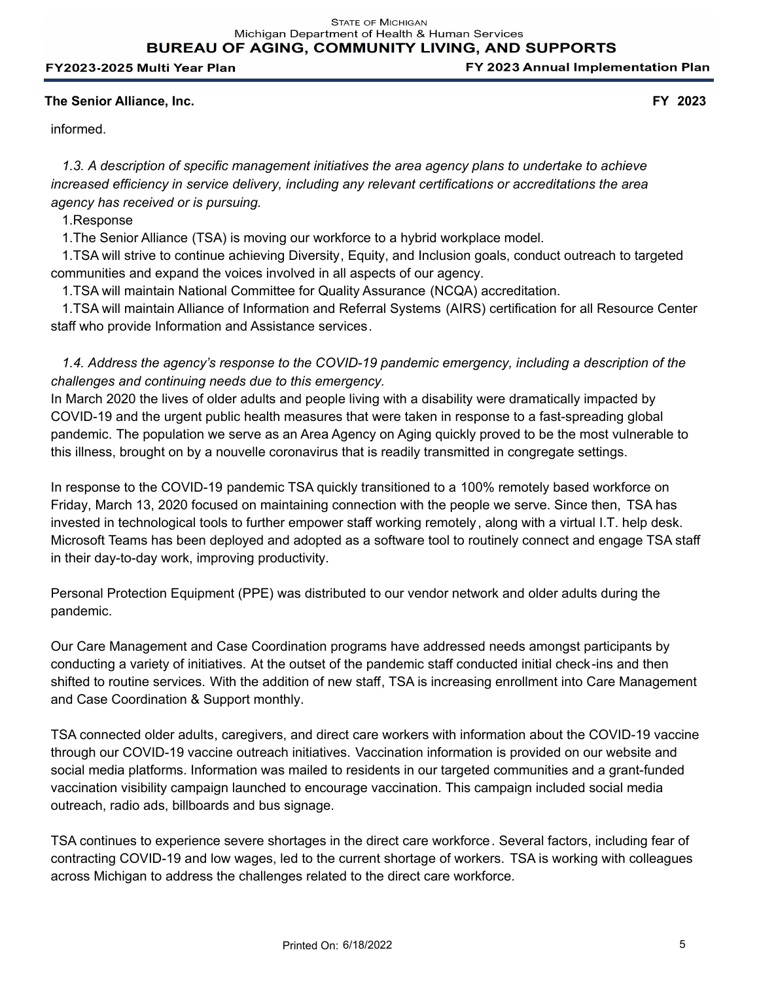**BUREAU OF AGING, COMMUNITY LIVING, AND SUPPORTS** 

#### FY2023-2025 Multi Year Plan

## **The Senior Alliance, Inc. FY 2023**

informed.

 *1.3. A description of specific management initiatives the area agency plans to undertake to achieve increased efficiency in service delivery, including any relevant certifications or accreditations the area agency has received or is pursuing.*

1.Response

1.The Senior Alliance (TSA) is moving our workforce to a hybrid workplace model.

 1.TSA will strive to continue achieving Diversity, Equity, and Inclusion goals, conduct outreach to targeted communities and expand the voices involved in all aspects of our agency.

1.TSA will maintain National Committee for Quality Assurance (NCQA) accreditation.

 1.TSA will maintain Alliance of Information and Referral Systems (AIRS) certification for all Resource Center staff who provide Information and Assistance services.

 *1.4. Address the agency's response to the COVID-19 pandemic emergency, including a description of the challenges and continuing needs due to this emergency.* 

In March 2020 the lives of older adults and people living with a disability were dramatically impacted by COVID-19 and the urgent public health measures that were taken in response to a fast-spreading global pandemic. The population we serve as an Area Agency on Aging quickly proved to be the most vulnerable to this illness, brought on by a nouvelle coronavirus that is readily transmitted in congregate settings.

In response to the COVID-19 pandemic TSA quickly transitioned to a 100% remotely based workforce on Friday, March 13, 2020 focused on maintaining connection with the people we serve. Since then, TSA has invested in technological tools to further empower staff working remotely, along with a virtual I.T. help desk. Microsoft Teams has been deployed and adopted as a software tool to routinely connect and engage TSA staff in their day-to-day work, improving productivity.

Personal Protection Equipment (PPE) was distributed to our vendor network and older adults during the pandemic.

Our Care Management and Case Coordination programs have addressed needs amongst participants by conducting a variety of initiatives. At the outset of the pandemic staff conducted initial check-ins and then shifted to routine services. With the addition of new staff, TSA is increasing enrollment into Care Management and Case Coordination & Support monthly.

TSA connected older adults, caregivers, and direct care workers with information about the COVID-19 vaccine through our COVID-19 vaccine outreach initiatives. Vaccination information is provided on our website and social media platforms. Information was mailed to residents in our targeted communities and a grant-funded vaccination visibility campaign launched to encourage vaccination. This campaign included social media outreach, radio ads, billboards and bus signage.

TSA continues to experience severe shortages in the direct care workforce. Several factors, including fear of contracting COVID-19 and low wages, led to the current shortage of workers. TSA is working with colleagues across Michigan to address the challenges related to the direct care workforce.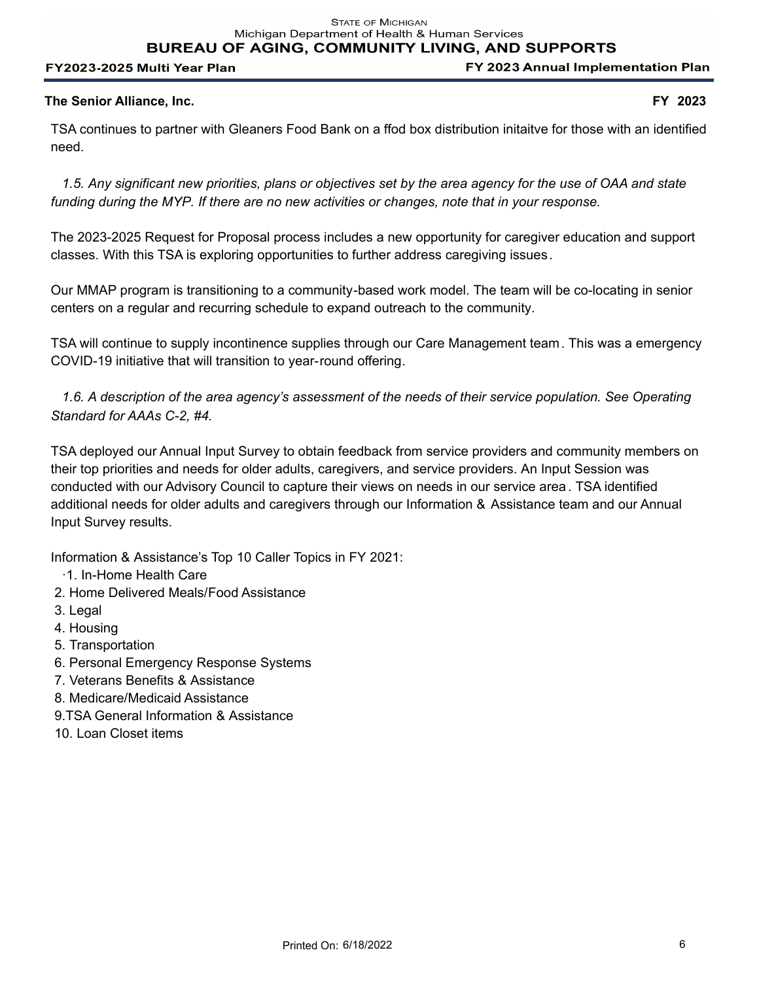Michigan Department of Health & Human Services **BUREAU OF AGING, COMMUNITY LIVING, AND SUPPORTS** 

FY2023-2025 Multi Year Plan

FY 2023 Annual Implementation Plan

# **The Senior Alliance, Inc. FY 2023**

TSA continues to partner with Gleaners Food Bank on a ffod box distribution initaitve for those with an identified need.

 *1.5. Any significant new priorities, plans or objectives set by the area agency for the use of OAA and state funding during the MYP. If there are no new activities or changes, note that in your response.*

The 2023-2025 Request for Proposal process includes a new opportunity for caregiver education and support classes. With this TSA is exploring opportunities to further address caregiving issues.

Our MMAP program is transitioning to a community-based work model. The team will be co-locating in senior centers on a regular and recurring schedule to expand outreach to the community.

TSA will continue to supply incontinence supplies through our Care Management team. This was a emergency COVID-19 initiative that will transition to year-round offering.

 *1.6. A description of the area agency's assessment of the needs of their service population. See Operating Standard for AAAs C-2, #4.* 

TSA deployed our Annual Input Survey to obtain feedback from service providers and community members on their top priorities and needs for older adults, caregivers, and service providers. An Input Session was conducted with our Advisory Council to capture their views on needs in our service area . TSA identified additional needs for older adults and caregivers through our Information & Assistance team and our Annual Input Survey results.

Information & Assistance's Top 10 Caller Topics in FY 2021:

- ·1. In-Home Health Care
- 2. Home Delivered Meals/Food Assistance
- 3. Legal
- 4. Housing
- 5. Transportation
- 6. Personal Emergency Response Systems
- 7. Veterans Benefits & Assistance
- 8. Medicare/Medicaid Assistance
- 9.TSA General Information & Assistance
- 10. Loan Closet items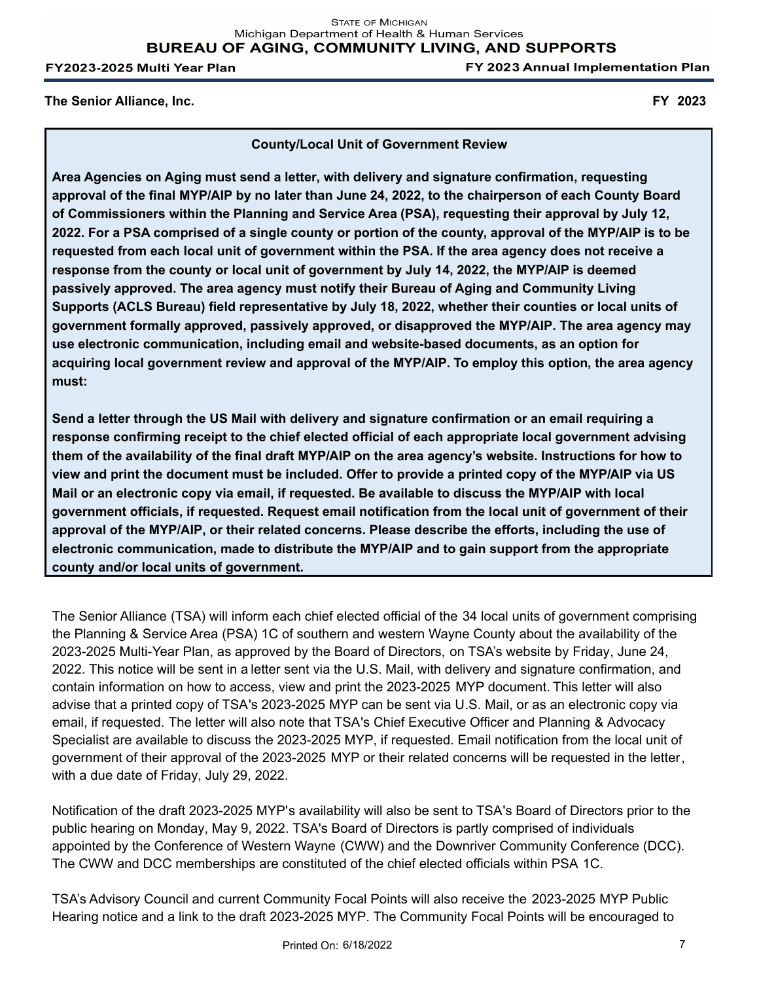FY 2023 Annual Implementation Plan

**The Senior Alliance, Inc. FY 2023**

**County/Local Unit of Government Review**

**Area Agencies on Aging must send a letter, with delivery and signature confirmation, requesting approval of the final MYP/AIP by no later than June 24, 2022, to the chairperson of each County Board of Commissioners within the Planning and Service Area (PSA), requesting their approval by July 12, 2022. For a PSA comprised of a single county or portion of the county, approval of the MYP/AIP is to be requested from each local unit of government within the PSA. If the area agency does not receive a response from the county or local unit of government by July 14, 2022, the MYP/AIP is deemed passively approved. The area agency must notify their Bureau of Aging and Community Living Supports (ACLS Bureau) field representative by July 18, 2022, whether their counties or local units of government formally approved, passively approved, or disapproved the MYP/AIP. The area agency may use electronic communication, including email and website-based documents, as an option for acquiring local government review and approval of the MYP/AIP. To employ this option, the area agency must:**

**Send a letter through the US Mail with delivery and signature confirmation or an email requiring a response confirming receipt to the chief elected official of each appropriate local government advising them of the availability of the final draft MYP/AIP on the area agency's website. Instructions for how to view and print the document must be included. Offer to provide a printed copy of the MYP/AIP via US Mail or an electronic copy via email, if requested. Be available to discuss the MYP/AIP with local government officials, if requested. Request email notification from the local unit of government of their approval of the MYP/AIP, or their related concerns. Please describe the efforts, including the use of electronic communication, made to distribute the MYP/AIP and to gain support from the appropriate county and/or local units of government.**

The Senior Alliance (TSA) will inform each chief elected official of the 34 local units of government comprising the Planning & Service Area (PSA) 1C of southern and western Wayne County about the availability of the 2023-2025 Multi-Year Plan, as approved by the Board of Directors, on TSA's website by Friday, June 24, 2022. This notice will be sent in a letter sent via the U.S. Mail, with delivery and signature confirmation, and contain information on how to access, view and print the 2023-2025 MYP document. This letter will also advise that a printed copy of TSA's 2023-2025 MYP can be sent via U.S. Mail, or as an electronic copy via email, if requested. The letter will also note that TSA's Chief Executive Officer and Planning & Advocacy Specialist are available to discuss the 2023-2025 MYP, if requested. Email notification from the local unit of government of their approval of the 2023-2025 MYP or their related concerns will be requested in the letter, with a due date of Friday, July 29, 2022. 

Notification of the draft 2023-2025 MYP's availability will also be sent to TSA's Board of Directors prior to the public hearing on Monday, May 9, 2022. TSA's Board of Directors is partly comprised of individuals appointed by the Conference of Western Wayne (CWW) and the Downriver Community Conference (DCC). The CWW and DCC memberships are constituted of the chief elected officials within PSA 1C. 

TSA's Advisory Council and current Community Focal Points will also receive the 2023-2025 MYP Public Hearing notice and a link to the draft 2023-2025 MYP. The Community Focal Points will be encouraged to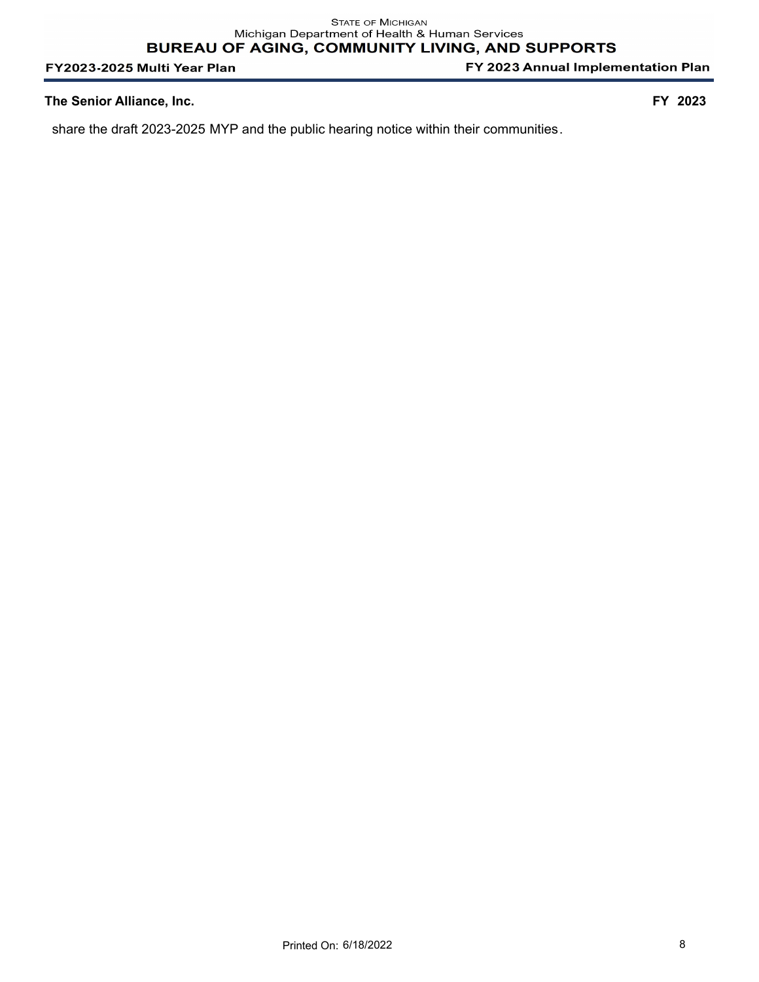FY 2023 Annual Implementation Plan

#### **The Senior Alliance, Inc. FY 2023**

share the draft 2023-2025 MYP and the public hearing notice within their communities.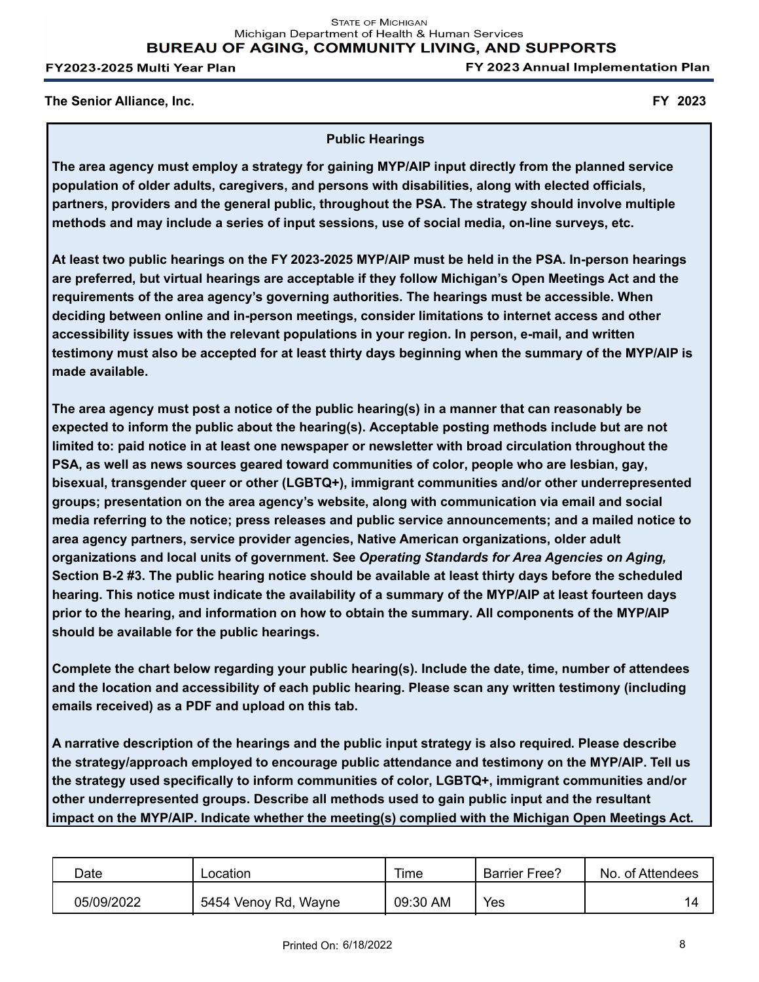**STATE OF MICHIGAN** Michigan Department of Health & Human Services **BUREAU OF AGING, COMMUNITY LIVING, AND SUPPORTS** 

FY2023-2025 Multi Year Plan

FY 2023 Annual Implementation Plan

**The Senior Alliance, Inc. FY 2023**

#### **Public Hearings**

**The area agency must employ a strategy for gaining MYP/AIP input directly from the planned service population of older adults, caregivers, and persons with disabilities, along with elected officials, partners, providers and the general public, throughout the PSA. The strategy should involve multiple methods and may include a series of input sessions, use of social media, on-line surveys, etc.**

**At least two public hearings on the FY 2023-2025 MYP/AIP must be held in the PSA. In-person hearings are preferred, but virtual hearings are acceptable if they follow Michigan's Open Meetings Act and the requirements of the area agency's governing authorities. The hearings must be accessible. When deciding between online and in-person meetings, consider limitations to internet access and other accessibility issues with the relevant populations in your region. In person, e-mail, and written testimony must also be accepted for at least thirty days beginning when the summary of the MYP/AIP is made available.**

**The area agency must post a notice of the public hearing(s) in a manner that can reasonably be expected to inform the public about the hearing(s). Acceptable posting methods include but are not limited to: paid notice in at least one newspaper or newsletter with broad circulation throughout the PSA, as well as news sources geared toward communities of color, people who are lesbian, gay, bisexual, transgender queer or other (LGBTQ+), immigrant communities and/or other underrepresented groups; presentation on the area agency's website, along with communication via email and social media referring to the notice; press releases and public service announcements; and a mailed notice to area agency partners, service provider agencies, Native American organizations, older adult organizations and local units of government. See** *Operating Standards for Area Agencies on Aging,* **Section B-2 #3. The public hearing notice should be available at least thirty days before the scheduled hearing. This notice must indicate the availability of a summary of the MYP/AIP at least fourteen days prior to the hearing, and information on how to obtain the summary. All components of the MYP/AIP should be available for the public hearings.**

**Complete the chart below regarding your public hearing(s). Include the date, time, number of attendees and the location and accessibility of each public hearing. Please scan any written testimony (including emails received) as a PDF and upload on this tab.**

**A narrative description of the hearings and the public input strategy is also required. Please describe the strategy/approach employed to encourage public attendance and testimony on the MYP/AIP. Tell us the strategy used specifically to inform communities of color, LGBTQ+, immigrant communities and/or other underrepresented groups. Describe all methods used to gain public input and the resultant impact on the MYP/AIP. Indicate whether the meeting(s) complied with the Michigan Open Meetings Act.**

| Date       | .ocation             | Time     | <b>Barrier Free?</b> | No. of Attendees |
|------------|----------------------|----------|----------------------|------------------|
| 05/09/2022 | 5454 Venoy Rd, Wayne | 09:30 AM | Yes                  | 14               |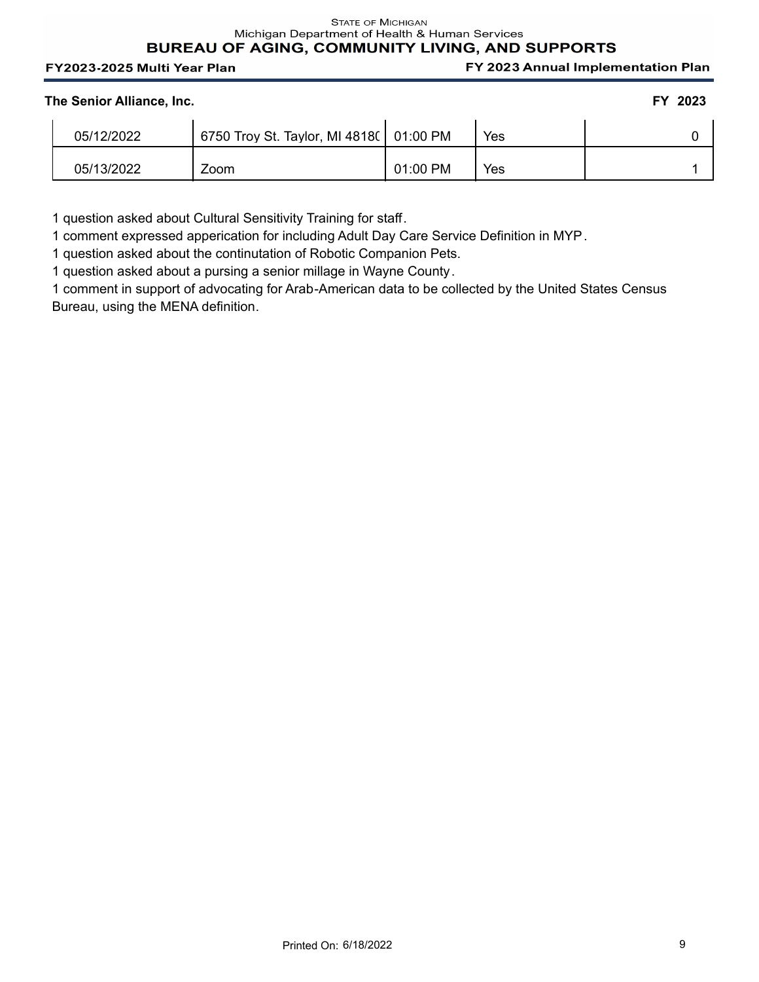#### **STATE OF MICHIGAN** Michigan Department of Health & Human Services BUREAU OF AGING, COMMUNITY LIVING, AND SUPPORTS

#### FY2023-2025 Multi Year Plan

FY 2023 Annual Implementation Plan

| The Senior Alliance, Inc. | FY 2023 |
|---------------------------|---------|
|---------------------------|---------|

| 05/12/2022 | 6750 Troy St. Taylor, MI 4818(   01:00 PM |          | Yes |  |
|------------|-------------------------------------------|----------|-----|--|
| 05/13/2022 | Zoom                                      | 01:00 PM | Yes |  |

1 question asked about Cultural Sensitivity Training for staff.

1 comment expressed apperication for including Adult Day Care Service Definition in MYP.

1 question asked about the continutation of Robotic Companion Pets.

1 question asked about a pursing a senior millage in Wayne County.

1 comment in support of advocating for Arab-American data to be collected by the United States Census Bureau, using the MENA definition.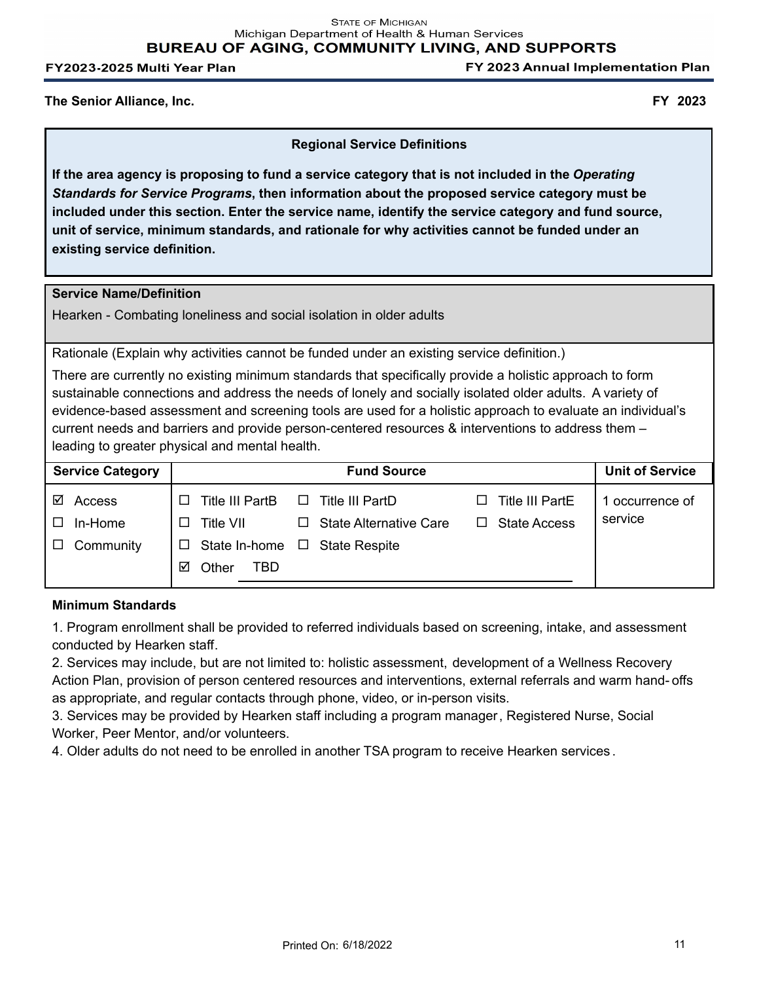FY 2023 Annual Implementation Plan

### **The Senior Alliance, Inc. FY 2023**

## **Regional Service Definitions**

**If the area agency is proposing to fund a service category that is not included in the** *Operating Standards for Service Programs***, then information about the proposed service category must be included under this section. Enter the service name, identify the service category and fund source, unit of service, minimum standards, and rationale for why activities cannot be funded under an existing service definition.**

#### **Service Name/Definition**

Hearken - Combating loneliness and social isolation in older adults

Rationale (Explain why activities cannot be funded under an existing service definition.)

There are currently no existing minimum standards that specifically provide a holistic approach to form sustainable connections and address the needs of lonely and socially isolated older adults. A variety of evidence-based assessment and screening tools are used for a holistic approach to evaluate an individual's current needs and barriers and provide person-centered resources & interventions to address them – leading to greater physical and mental health.

| <b>Service Category</b> |                            | <b>Fund Source</b>                 |                          | <b>Unit of Service</b> |
|-------------------------|----------------------------|------------------------------------|--------------------------|------------------------|
| ☑<br>Access             | Title III PartB<br>$\perp$ | Title III PartD<br>⊔               | <b>Title III PartE</b>   | 1 occurrence of        |
| In-Home                 | Title VII<br>$\Box$        | $\Box$ State Alternative Care      | <b>State Access</b><br>П | service                |
| Community<br>$\Box$     | $\Box$                     | State In-home $\Box$ State Respite |                          |                        |
|                         | Other<br>TBD<br>⊠          |                                    |                          |                        |
|                         |                            |                                    |                          |                        |

#### **Minimum Standards**

1. Program enrollment shall be provided to referred individuals based on screening, intake, and assessment conducted by Hearken staff.

2. Services may include, but are not limited to: holistic assessment, development of a Wellness Recovery Action Plan, provision of person centered resources and interventions, external referrals and warm hand- offs as appropriate, and regular contacts through phone, video, or in-person visits.

3. Services may be provided by Hearken staff including a program manager, Registered Nurse, Social Worker, Peer Mentor, and/or volunteers.

4. Older adults do not need to be enrolled in another TSA program to receive Hearken services .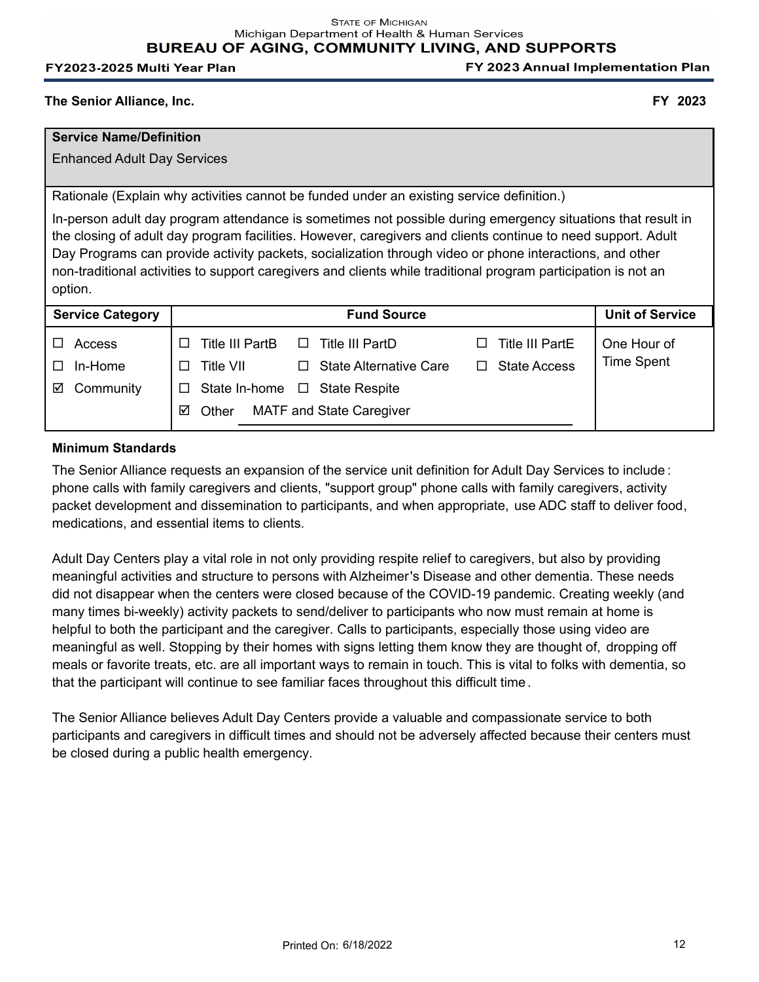FY 2023 Annual Implementation Plan

#### **The Senior Alliance, Inc. FY 2023**

## **Service Name/Definition**

Enhanced Adult Day Services

Rationale (Explain why activities cannot be funded under an existing service definition.)

In-person adult day program attendance is sometimes not possible during emergency situations that result in the closing of adult day program facilities. However, caregivers and clients continue to need support. Adult Day Programs can provide activity packets, socialization through video or phone interactions, and other non-traditional activities to support caregivers and clients while traditional program participation is not an option.

| <b>Service Category</b> | <b>Fund Source</b>                                                            | <b>Unit of Service</b> |
|-------------------------|-------------------------------------------------------------------------------|------------------------|
| Access                  | <b>Title III PartE</b><br><b>Title III PartB</b><br>Title III PartD<br>$\Box$ | One Hour of            |
| In-Home<br>$\Box$       | <b>State Access</b><br><b>Title VII</b><br><b>State Alternative Care</b>      | <b>Time Spent</b>      |
| Community<br>☑          | State In-home<br>$\Box$ State Respite                                         |                        |
|                         | <b>MATF and State Caregiver</b><br>Other<br>☑                                 |                        |
|                         |                                                                               |                        |

#### **Minimum Standards**

The Senior Alliance requests an expansion of the service unit definition for Adult Day Services to include : phone calls with family caregivers and clients, "support group" phone calls with family caregivers, activity packet development and dissemination to participants, and when appropriate, use ADC staff to deliver food, medications, and essential items to clients.

Adult Day Centers play a vital role in not only providing respite relief to caregivers, but also by providing meaningful activities and structure to persons with Alzheimer's Disease and other dementia. These needs did not disappear when the centers were closed because of the COVID-19 pandemic. Creating weekly (and many times bi-weekly) activity packets to send/deliver to participants who now must remain at home is helpful to both the participant and the caregiver. Calls to participants, especially those using video are meaningful as well. Stopping by their homes with signs letting them know they are thought of, dropping off meals or favorite treats, etc. are all important ways to remain in touch. This is vital to folks with dementia, so that the participant will continue to see familiar faces throughout this difficult time.

The Senior Alliance believes Adult Day Centers provide a valuable and compassionate service to both participants and caregivers in difficult times and should not be adversely affected because their centers must be closed during a public health emergency.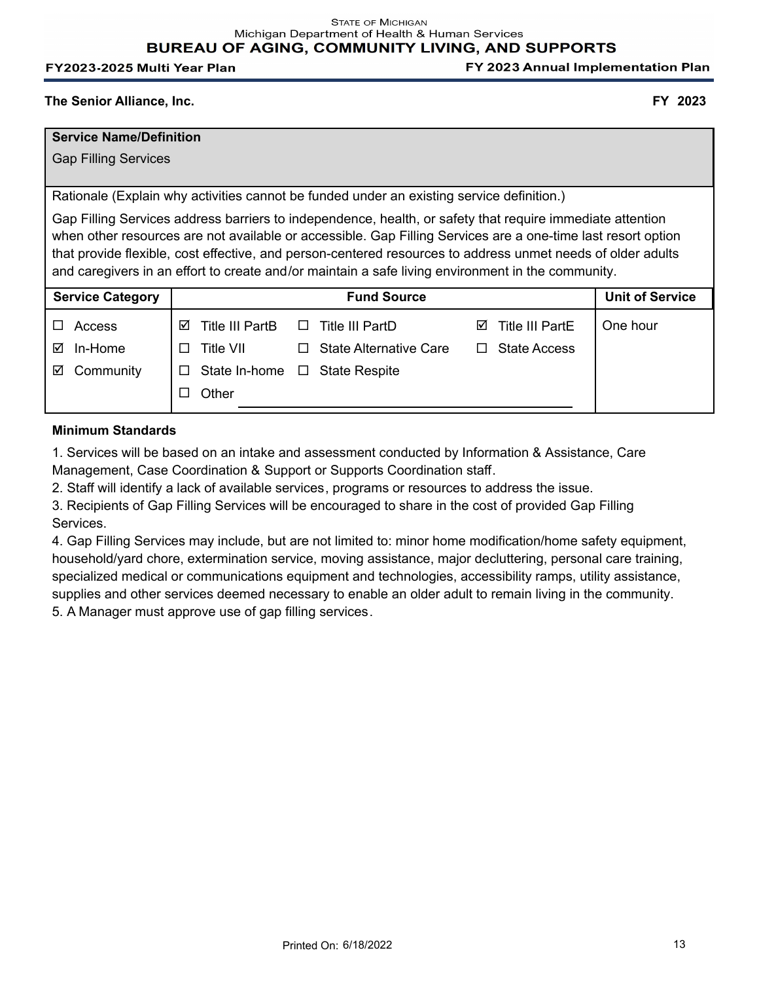FY 2023 Annual Implementation Plan

#### **The Senior Alliance, Inc. FY 2023**

## **Service Name/Definition**

Gap Filling Services

Rationale (Explain why activities cannot be funded under an existing service definition.)

Gap Filling Services address barriers to independence, health, or safety that require immediate attention when other resources are not available or accessible. Gap Filling Services are a one-time last resort option that provide flexible, cost effective, and person-centered resources to address unmet needs of older adults and caregivers in an effort to create and/or maintain a safe living environment in the community.

| <b>Service Category</b> |                               | <b>Fund Source</b>            |                             | <b>Unit of Service</b> |
|-------------------------|-------------------------------|-------------------------------|-----------------------------|------------------------|
| Access                  | <b>Title III PartB</b><br>ا⊽ا | Title III PartD               | <b>Title III PartE</b><br>☑ | One hour               |
| ⊠<br>In-Home            | Title VII<br>$\perp$          | <b>State Alternative Care</b> | <b>State Access</b><br>ш    |                        |
| Community<br>☑          | State In-home                 | $\Box$ State Respite          |                             |                        |
|                         | Other<br>$\Box$               |                               |                             |                        |
|                         |                               |                               |                             |                        |

#### **Minimum Standards**

1. Services will be based on an intake and assessment conducted by Information & Assistance, Care Management, Case Coordination & Support or Supports Coordination staff.

2. Staff will identify a lack of available services, programs or resources to address the issue.

3. Recipients of Gap Filling Services will be encouraged to share in the cost of provided Gap Filling Services.

4. Gap Filling Services may include, but are not limited to: minor home modification/home safety equipment, household/yard chore, extermination service, moving assistance, major decluttering, personal care training, specialized medical or communications equipment and technologies, accessibility ramps, utility assistance, supplies and other services deemed necessary to enable an older adult to remain living in the community. 5. A Manager must approve use of gap filling services.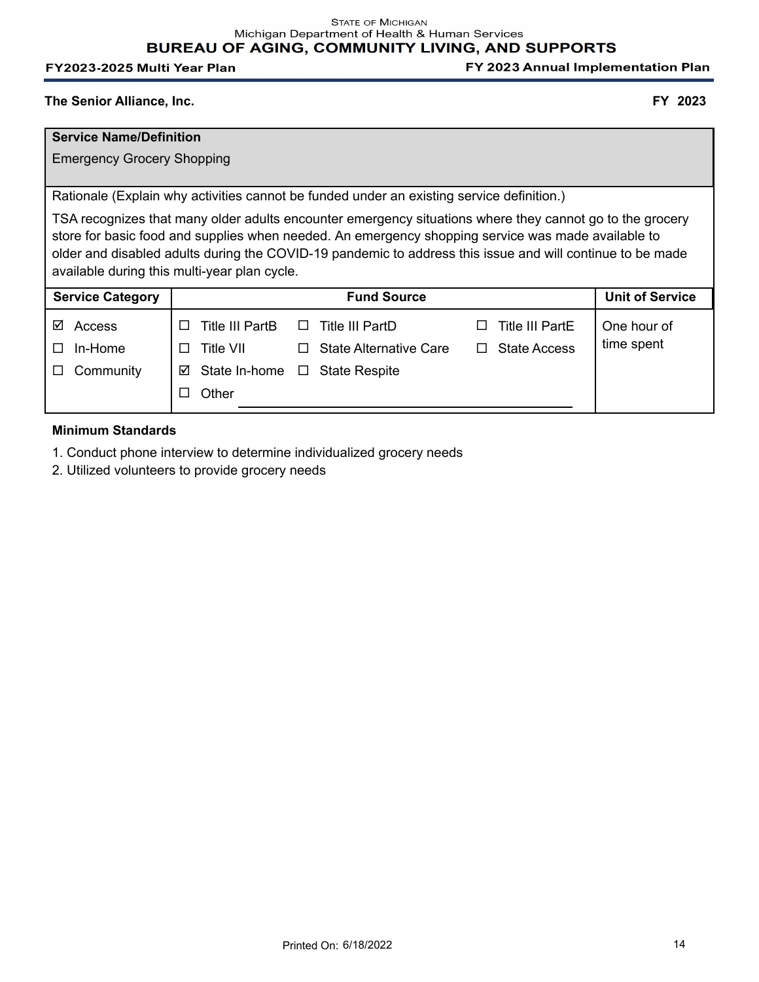FY 2023 Annual Implementation Plan

#### **The Senior Alliance, Inc. FY 2023**

## **Service Name/Definition**

Emergency Grocery Shopping

Rationale (Explain why activities cannot be funded under an existing service definition.)

TSA recognizes that many older adults encounter emergency situations where they cannot go to the grocery store for basic food and supplies when needed. An emergency shopping service was made available to older and disabled adults during the COVID-19 pandemic to address this issue and will continue to be made available during this multi-year plan cycle.

| <b>Service Category</b> | <b>Fund Source</b>                                                                | <b>Unit of Service</b> |
|-------------------------|-----------------------------------------------------------------------------------|------------------------|
| ☑<br>Access             | <b>Title III PartE</b><br>Title III PartB<br>$\Box$ Title III PartD<br>$\perp$    | One hour of            |
| In-Home<br>$\Box$       | <b>State Access</b><br>Title VII<br><b>State Alternative Care</b><br>□<br>$\perp$ | time spent             |
| Community<br>$\Box$     | $\boxtimes$ State In-home<br>$\Box$ State Respite                                 |                        |
|                         | Other                                                                             |                        |
|                         |                                                                                   |                        |

# **Minimum Standards**

- 1. Conduct phone interview to determine individualized grocery needs
- 2. Utilized volunteers to provide grocery needs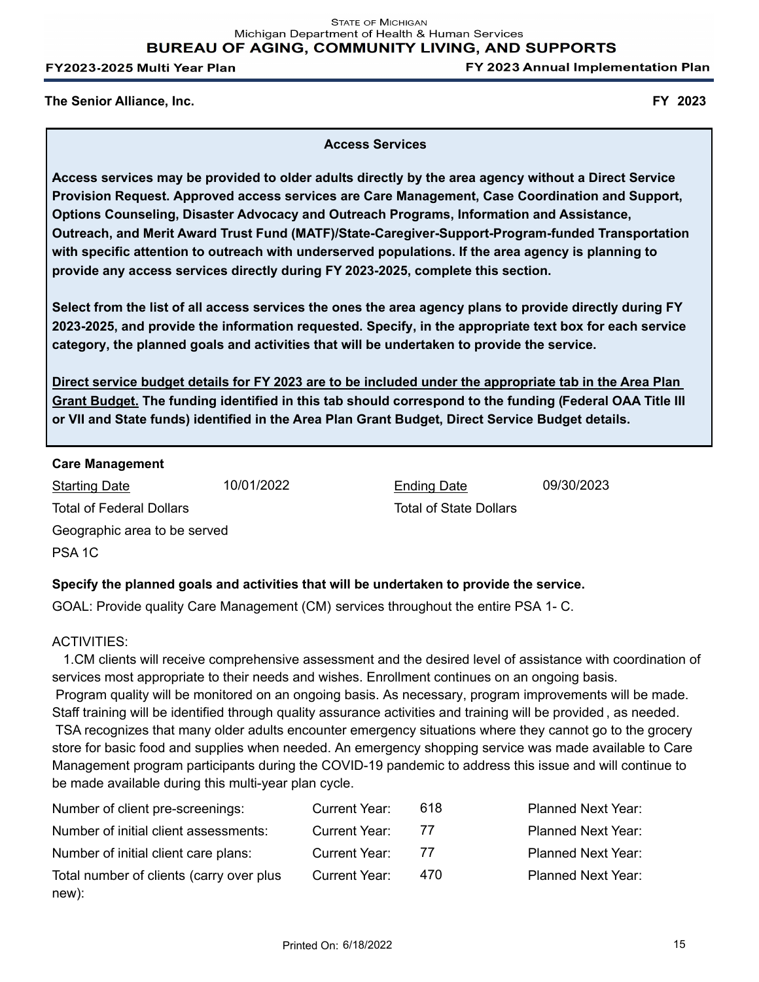FY 2023 Annual Implementation Plan

**The Senior Alliance, Inc. FY 2023**

#### **Access Services**

**Access services may be provided to older adults directly by the area agency without a Direct Service Provision Request. Approved access services are Care Management, Case Coordination and Support, Options Counseling, Disaster Advocacy and Outreach Programs, Information and Assistance, Outreach, and Merit Award Trust Fund (MATF)/State-Caregiver-Support-Program-funded Transportation with specific attention to outreach with underserved populations. If the area agency is planning to provide any access services directly during FY 2023-2025, complete this section.**

**Select from the list of all access services the ones the area agency plans to provide directly during FY 2023-2025, and provide the information requested. Specify, in the appropriate text box for each service category, the planned goals and activities that will be undertaken to provide the service.** 

**Direct service budget details for FY 2023 are to be included under the appropriate tab in the Area Plan Grant Budget. The funding identified in this tab should correspond to the funding (Federal OAA Title III or VII and State funds) identified in the Area Plan Grant Budget, Direct Service Budget details.**

#### **Care Management**

Starting Date 10/01/2022 Total of Federal Dollars PSA 1C Geographic area to be served

Ending Date 09/30/2023 Total of State Dollars

# **Specify the planned goals and activities that will be undertaken to provide the service.**

GOAL: Provide quality Care Management (CM) services throughout the entire PSA 1- C.

#### ACTIVITIES:

 1.CM clients will receive comprehensive assessment and the desired level of assistance with coordination of services most appropriate to their needs and wishes. Enrollment continues on an ongoing basis. Program quality will be monitored on an ongoing basis. As necessary, program improvements will be made. Staff training will be identified through quality assurance activities and training will be provided , as needed. TSA recognizes that many older adults encounter emergency situations where they cannot go to the grocery store for basic food and supplies when needed. An emergency shopping service was made available to Care Management program participants during the COVID-19 pandemic to address this issue and will continue to be made available during this multi-year plan cycle.

| Number of client pre-screenings:         | Current Year:        | 618 | <b>Planned Next Year:</b> |
|------------------------------------------|----------------------|-----|---------------------------|
| Number of initial client assessments:    | <b>Current Year:</b> | -77 | <b>Planned Next Year:</b> |
| Number of initial client care plans:     | Current Year:        | 77  | <b>Planned Next Year:</b> |
| Total number of clients (carry over plus | Current Year:        | 470 | <b>Planned Next Year:</b> |
| new):                                    |                      |     |                           |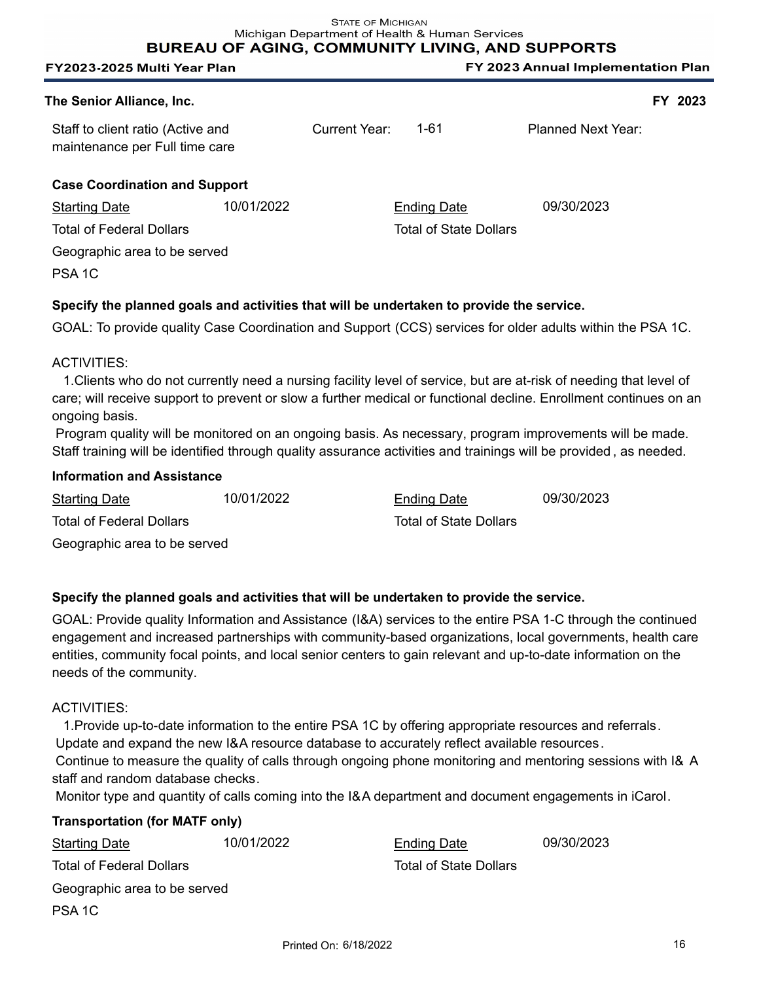**BUREAU OF AGING, COMMUNITY LIVING, AND SUPPORTS** 

| FY2023-2025 Multi Year Plan                                         |            |                      |                               | FY 2023 Annual Implementation Plan |  |
|---------------------------------------------------------------------|------------|----------------------|-------------------------------|------------------------------------|--|
| The Senior Alliance, Inc.                                           |            |                      |                               | FY 2023                            |  |
| Staff to client ratio (Active and<br>maintenance per Full time care |            | <b>Current Year:</b> | $1 - 61$                      | <b>Planned Next Year:</b>          |  |
| <b>Case Coordination and Support</b>                                |            |                      |                               |                                    |  |
| <b>Starting Date</b>                                                | 10/01/2022 |                      | <b>Ending Date</b>            | 09/30/2023                         |  |
| <b>Total of Federal Dollars</b>                                     |            |                      | <b>Total of State Dollars</b> |                                    |  |
| Geographic area to be served                                        |            |                      |                               |                                    |  |
| PSA <sub>1</sub> C                                                  |            |                      |                               |                                    |  |
|                                                                     |            |                      |                               |                                    |  |

# **Specify the planned goals and activities that will be undertaken to provide the service.**

GOAL: To provide quality Case Coordination and Support (CCS) services for older adults within the PSA 1C.

#### ACTIVITIES:

 1.Clients who do not currently need a nursing facility level of service, but are at-risk of needing that level of care; will receive support to prevent or slow a further medical or functional decline. Enrollment continues on an ongoing basis.

 Program quality will be monitored on an ongoing basis. As necessary, program improvements will be made. Staff training will be identified through quality assurance activities and trainings will be provided , as needed.

#### **Information and Assistance**

| <b>Starting Date</b>         | 10/01/2022 | <b>Ending Date</b>     | 09/30/2023 |
|------------------------------|------------|------------------------|------------|
| Total of Federal Dollars     |            | Total of State Dollars |            |
| Geographic area to be served |            |                        |            |

# **Specify the planned goals and activities that will be undertaken to provide the service.**

GOAL: Provide quality Information and Assistance (I&A) services to the entire PSA 1-C through the continued engagement and increased partnerships with community-based organizations, local governments, health care entities, community focal points, and local senior centers to gain relevant and up-to-date information on the needs of the community.

#### ACTIVITIES:

 1.Provide up-to-date information to the entire PSA 1C by offering appropriate resources and referrals. Update and expand the new I&A resource database to accurately reflect available resources. Continue to measure the quality of calls through ongoing phone monitoring and mentoring sessions with I& A staff and random database checks.

Monitor type and quantity of calls coming into the I&A department and document engagements in iCarol.

#### **Transportation (for MATF only)**

| <b>Starting Date</b>            | 10/01/2022 | <b>Ending Date</b>            | 09/30/2023 |
|---------------------------------|------------|-------------------------------|------------|
| <b>Total of Federal Dollars</b> |            | <b>Total of State Dollars</b> |            |
| Geographic area to be served    |            |                               |            |
| PSA <sub>1C</sub>               |            |                               |            |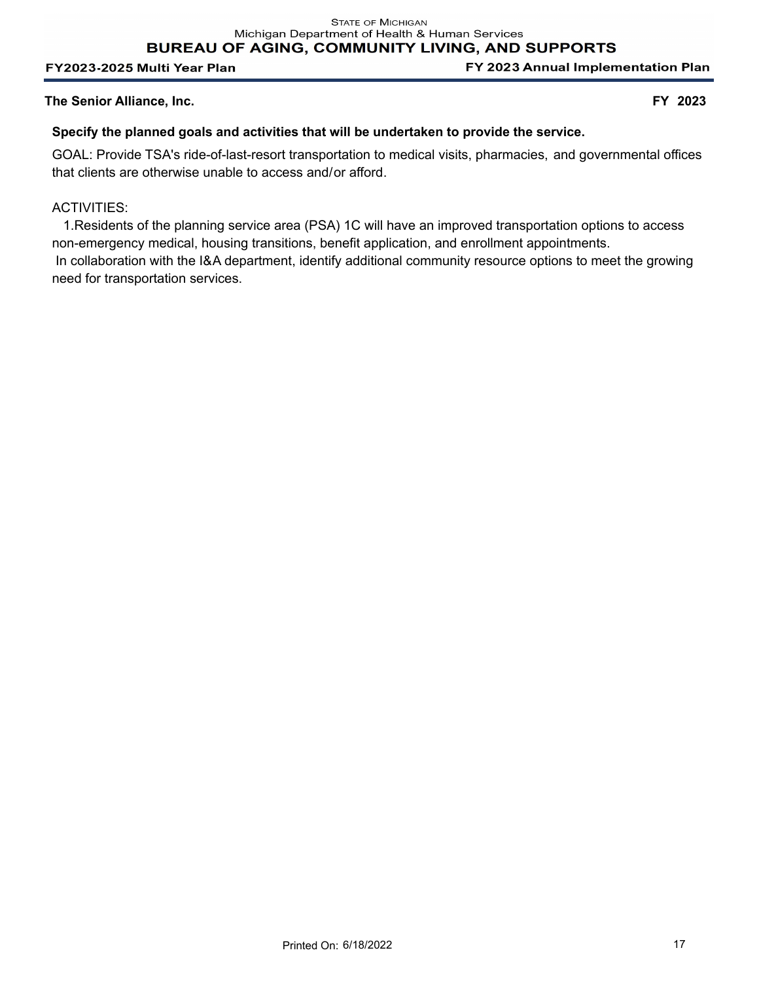FY 2023 Annual Implementation Plan

## **The Senior Alliance, Inc. FY 2023**

## **Specify the planned goals and activities that will be undertaken to provide the service.**

GOAL: Provide TSA's ride-of-last-resort transportation to medical visits, pharmacies, and governmental offices that clients are otherwise unable to access and/or afford.

## ACTIVITIES:

 1.Residents of the planning service area (PSA) 1C will have an improved transportation options to access non-emergency medical, housing transitions, benefit application, and enrollment appointments. In collaboration with the I&A department, identify additional community resource options to meet the growing need for transportation services.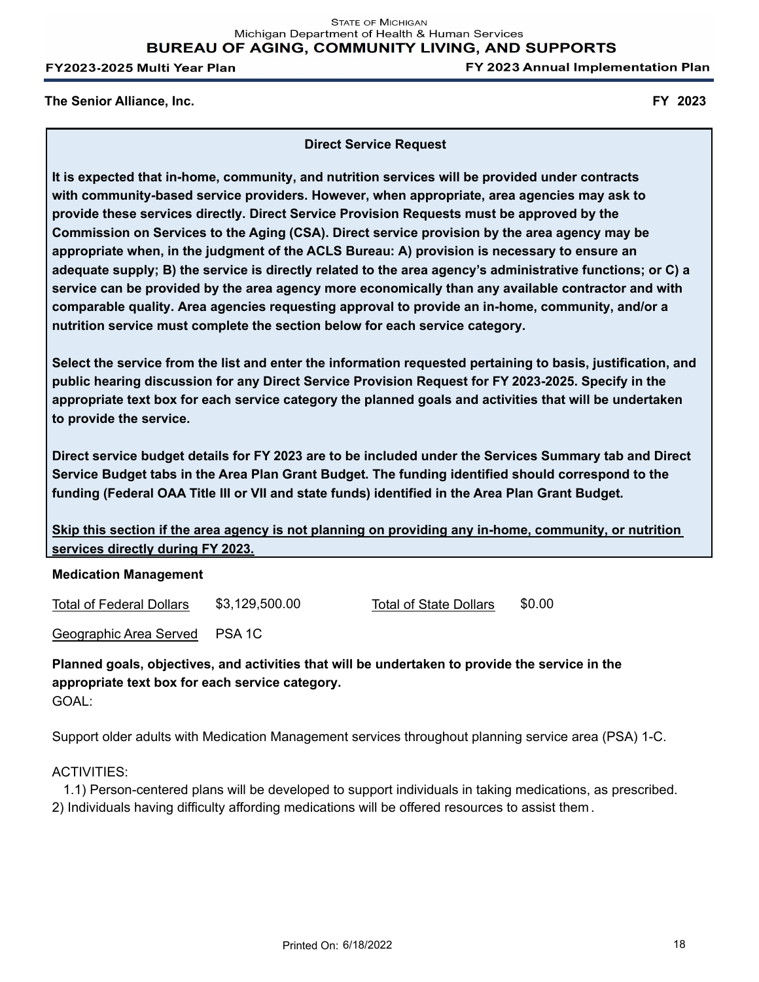FY 2023 Annual Implementation Plan

#### **The Senior Alliance, Inc. FY 2023**

**Direct Service Request**

**It is expected that in-home, community, and nutrition services will be provided under contracts with community-based service providers. However, when appropriate, area agencies may ask to provide these services directly. Direct Service Provision Requests must be approved by the Commission on Services to the Aging (CSA). Direct service provision by the area agency may be appropriate when, in the judgment of the ACLS Bureau: A) provision is necessary to ensure an adequate supply; B) the service is directly related to the area agency's administrative functions; or C) a service can be provided by the area agency more economically than any available contractor and with comparable quality. Area agencies requesting approval to provide an in-home, community, and/or a nutrition service must complete the section below for each service category.**

**Select the service from the list and enter the information requested pertaining to basis, justification, and public hearing discussion for any Direct Service Provision Request for FY 2023-2025. Specify in the appropriate text box for each service category the planned goals and activities that will be undertaken to provide the service.**

**Direct service budget details for FY 2023 are to be included under the Services Summary tab and Direct Service Budget tabs in the Area Plan Grant Budget. The funding identified should correspond to the funding (Federal OAA Title III or VII and state funds) identified in the Area Plan Grant Budget.**

**Skip this section if the area agency is not planning on providing any in-home, community, or nutrition services directly during FY 2023.**

#### **Medication Management**

Total of Federal Dollars \$3,129,500.00 Total of State Dollars \$0.00

Geographic Area Served PSA 1C

**Planned goals, objectives, and activities that will be undertaken to provide the service in the appropriate text box for each service category.** GOAL:

Support older adults with Medication Management services throughout planning service area (PSA) 1-C.

## ACTIVITIES:

 1.1) Person-centered plans will be developed to support individuals in taking medications, as prescribed. 2) Individuals having difficulty affording medications will be offered resources to assist them .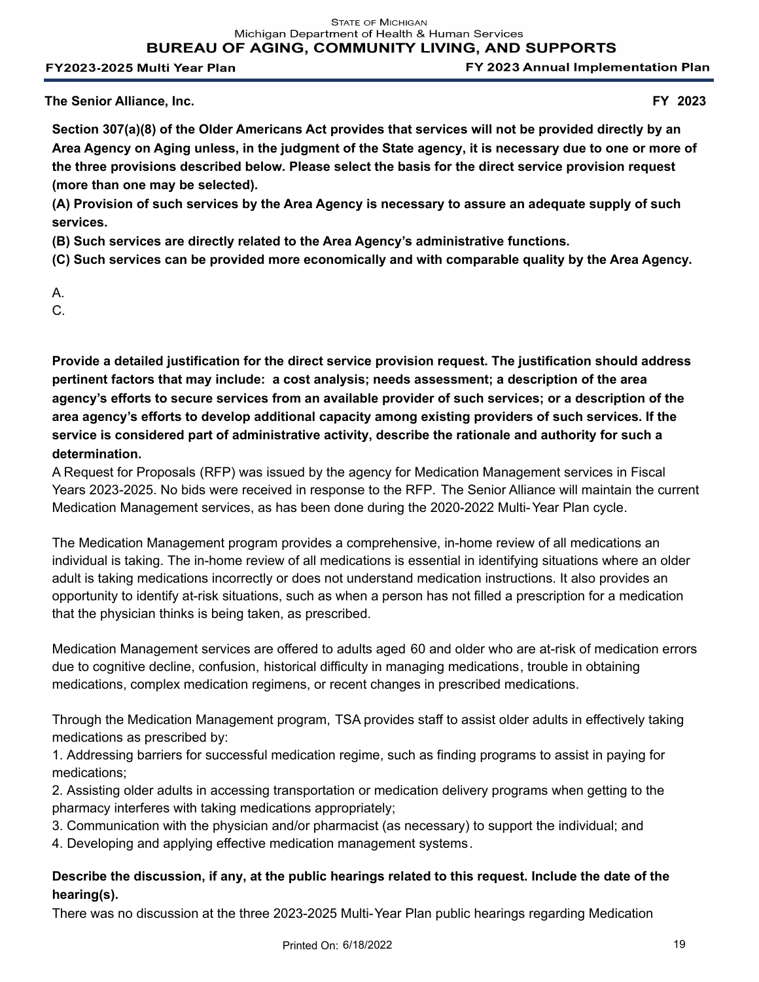FY 2023 Annual Implementation Plan

**The Senior Alliance, Inc. FY 2023**

**Section 307(a)(8) of the Older Americans Act provides that services will not be provided directly by an Area Agency on Aging unless, in the judgment of the State agency, it is necessary due to one or more of the three provisions described below. Please select the basis for the direct service provision request (more than one may be selected).**

**(A) Provision of such services by the Area Agency is necessary to assure an adequate supply of such services.**

**(B) Such services are directly related to the Area Agency's administrative functions.** 

**(C) Such services can be provided more economically and with comparable quality by the Area Agency.**

A.

C.

**Provide a detailed justification for the direct service provision request. The justification should address pertinent factors that may include: a cost analysis; needs assessment; a description of the area agency's efforts to secure services from an available provider of such services; or a description of the area agency's efforts to develop additional capacity among existing providers of such services. If the service is considered part of administrative activity, describe the rationale and authority for such a determination.**

A Request for Proposals (RFP) was issued by the agency for Medication Management services in Fiscal Years 2023-2025. No bids were received in response to the RFP. The Senior Alliance will maintain the current Medication Management services, as has been done during the 2020-2022 Multi-Year Plan cycle.

The Medication Management program provides a comprehensive, in-home review of all medications an individual is taking. The in-home review of all medications is essential in identifying situations where an older adult is taking medications incorrectly or does not understand medication instructions. It also provides an opportunity to identify at-risk situations, such as when a person has not filled a prescription for a medication that the physician thinks is being taken, as prescribed.

Medication Management services are offered to adults aged 60 and older who are at-risk of medication errors due to cognitive decline, confusion, historical difficulty in managing medications, trouble in obtaining medications, complex medication regimens, or recent changes in prescribed medications.

Through the Medication Management program, TSA provides staff to assist older adults in effectively taking medications as prescribed by:

1. Addressing barriers for successful medication regime, such as finding programs to assist in paying for medications;

2. Assisting older adults in accessing transportation or medication delivery programs when getting to the pharmacy interferes with taking medications appropriately;

3. Communication with the physician and/or pharmacist (as necessary) to support the individual; and

4. Developing and applying effective medication management systems.

# **Describe the discussion, if any, at the public hearings related to this request. Include the date of the hearing(s).**

There was no discussion at the three 2023-2025 Multi-Year Plan public hearings regarding Medication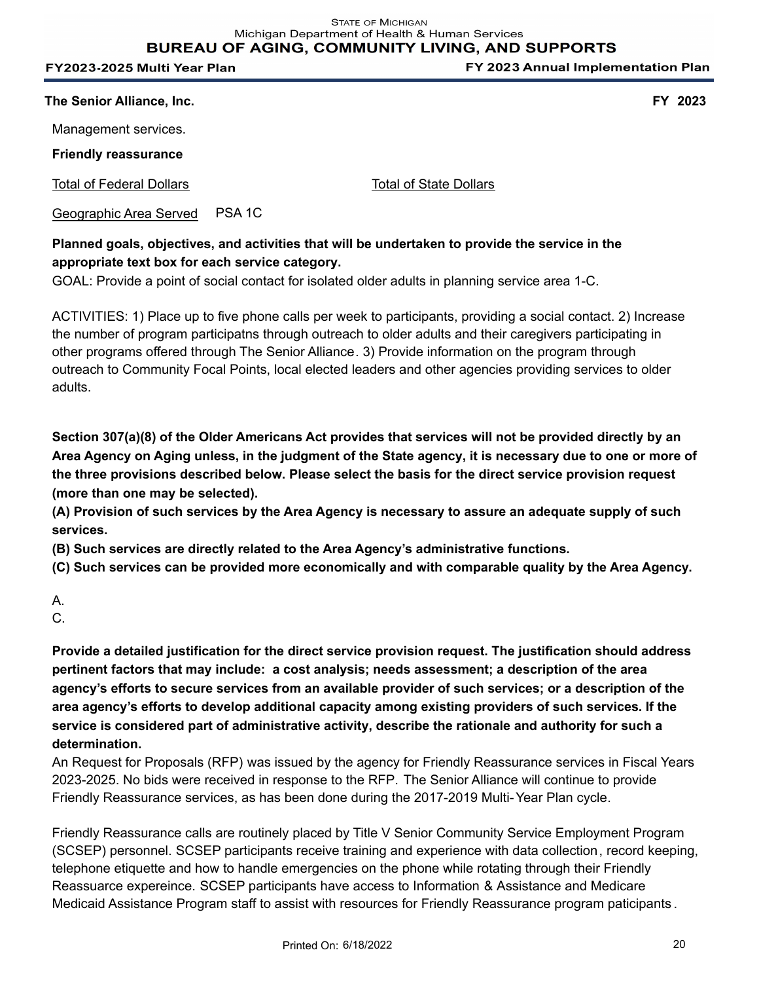**STATE OF MICHIGAN** Michigan Department of Health & Human Services **BUREAU OF AGING, COMMUNITY LIVING, AND SUPPORTS** 

FY2023-2025 Multi Year Plan

FY 2023 Annual Implementation Plan

**The Senior Alliance, Inc. FY 2023**

Management services.

**Friendly reassurance**

Total of Federal Dollars Total of State Dollars

Geographic Area Served PSA 1C

# **Planned goals, objectives, and activities that will be undertaken to provide the service in the appropriate text box for each service category.**

GOAL: Provide a point of social contact for isolated older adults in planning service area 1-C.

ACTIVITIES: 1) Place up to five phone calls per week to participants, providing a social contact. 2) Increase the number of program participatns through outreach to older adults and their caregivers participating in other programs offered through The Senior Alliance. 3) Provide information on the program through outreach to Community Focal Points, local elected leaders and other agencies providing services to older adults.

**Section 307(a)(8) of the Older Americans Act provides that services will not be provided directly by an Area Agency on Aging unless, in the judgment of the State agency, it is necessary due to one or more of the three provisions described below. Please select the basis for the direct service provision request (more than one may be selected).**

**(A) Provision of such services by the Area Agency is necessary to assure an adequate supply of such services.**

**(B) Such services are directly related to the Area Agency's administrative functions.** 

**(C) Such services can be provided more economically and with comparable quality by the Area Agency.**

C.

**Provide a detailed justification for the direct service provision request. The justification should address pertinent factors that may include: a cost analysis; needs assessment; a description of the area agency's efforts to secure services from an available provider of such services; or a description of the area agency's efforts to develop additional capacity among existing providers of such services. If the service is considered part of administrative activity, describe the rationale and authority for such a determination.**

An Request for Proposals (RFP) was issued by the agency for Friendly Reassurance services in Fiscal Years 2023-2025. No bids were received in response to the RFP. The Senior Alliance will continue to provide Friendly Reassurance services, as has been done during the 2017-2019 Multi-Year Plan cycle.

Friendly Reassurance calls are routinely placed by Title V Senior Community Service Employment Program (SCSEP) personnel. SCSEP participants receive training and experience with data collection, record keeping, telephone etiquette and how to handle emergencies on the phone while rotating through their Friendly Reassuarce expereince. SCSEP participants have access to Information & Assistance and Medicare Medicaid Assistance Program staff to assist with resources for Friendly Reassurance program paticipants .

A.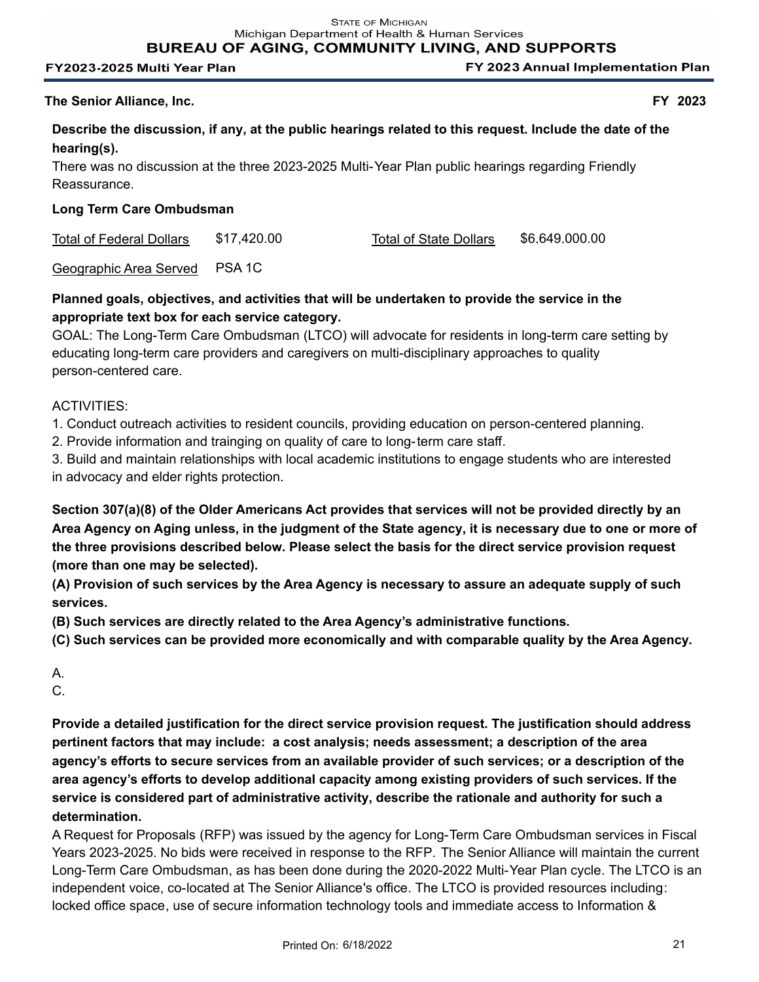**BUREAU OF AGING, COMMUNITY LIVING, AND SUPPORTS** 

#### FY2023-2025 Multi Year Plan

FY 2023 Annual Implementation Plan

## **The Senior Alliance, Inc. FY 2023**

**Describe the discussion, if any, at the public hearings related to this request. Include the date of the hearing(s).**

There was no discussion at the three 2023-2025 Multi-Year Plan public hearings regarding Friendly Reassurance.

# **Long Term Care Ombudsman**

Total of Federal Dollars \$17,420.00 Total of State Dollars \$6,649,000.00

Geographic Area Served PSA 1C

# **Planned goals, objectives, and activities that will be undertaken to provide the service in the appropriate text box for each service category.**

GOAL: The Long-Term Care Ombudsman (LTCO) will advocate for residents in long-term care setting by educating long-term care providers and caregivers on multi-disciplinary approaches to quality person-centered care.

# ACTIVITIES:

1. Conduct outreach activities to resident councils, providing education on person-centered planning.

2. Provide information and trainging on quality of care to long-term care staff.

3. Build and maintain relationships with local academic institutions to engage students who are interested in advocacy and elder rights protection.

**Section 307(a)(8) of the Older Americans Act provides that services will not be provided directly by an Area Agency on Aging unless, in the judgment of the State agency, it is necessary due to one or more of the three provisions described below. Please select the basis for the direct service provision request (more than one may be selected).**

**(A) Provision of such services by the Area Agency is necessary to assure an adequate supply of such services.**

**(B) Such services are directly related to the Area Agency's administrative functions.** 

**(C) Such services can be provided more economically and with comparable quality by the Area Agency.**

A.

C.

**Provide a detailed justification for the direct service provision request. The justification should address pertinent factors that may include: a cost analysis; needs assessment; a description of the area agency's efforts to secure services from an available provider of such services; or a description of the area agency's efforts to develop additional capacity among existing providers of such services. If the service is considered part of administrative activity, describe the rationale and authority for such a determination.**

A Request for Proposals (RFP) was issued by the agency for Long-Term Care Ombudsman services in Fiscal Years 2023-2025. No bids were received in response to the RFP. The Senior Alliance will maintain the current Long-Term Care Ombudsman, as has been done during the 2020-2022 Multi-Year Plan cycle. The LTCO is an independent voice, co-located at The Senior Alliance's office. The LTCO is provided resources including: locked office space, use of secure information technology tools and immediate access to Information &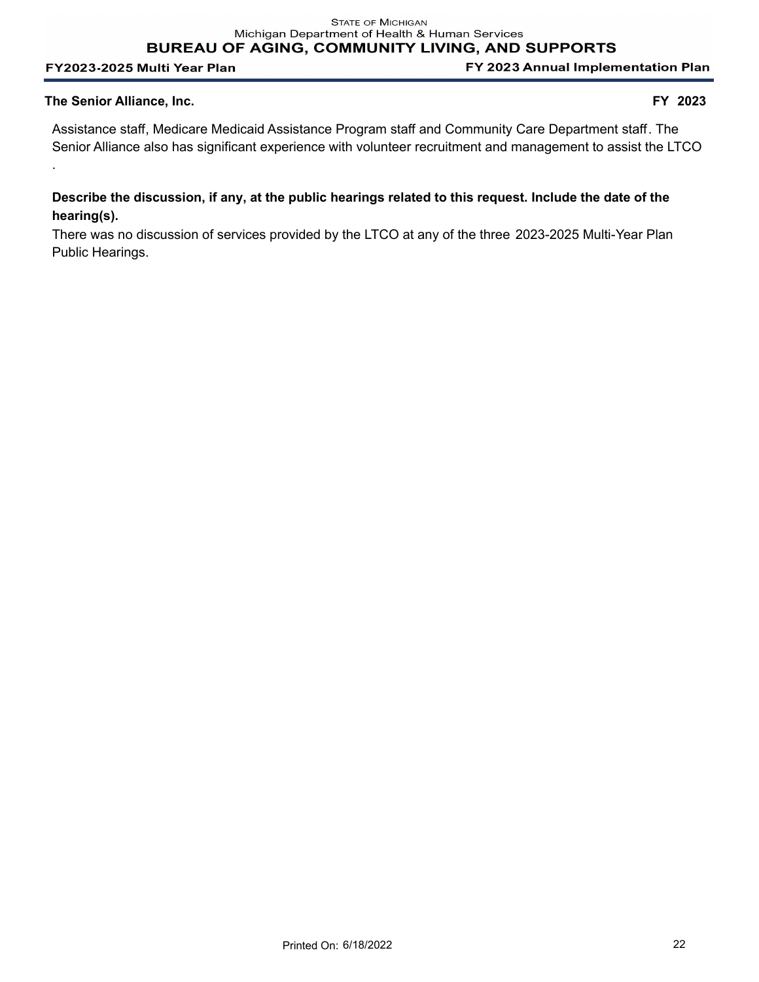FY 2023 Annual Implementation Plan

#### **The Senior Alliance, Inc. FY 2023**

.

Assistance staff, Medicare Medicaid Assistance Program staff and Community Care Department staff. The Senior Alliance also has significant experience with volunteer recruitment and management to assist the LTCO

# **Describe the discussion, if any, at the public hearings related to this request. Include the date of the hearing(s).**

There was no discussion of services provided by the LTCO at any of the three 2023-2025 Multi-Year Plan Public Hearings.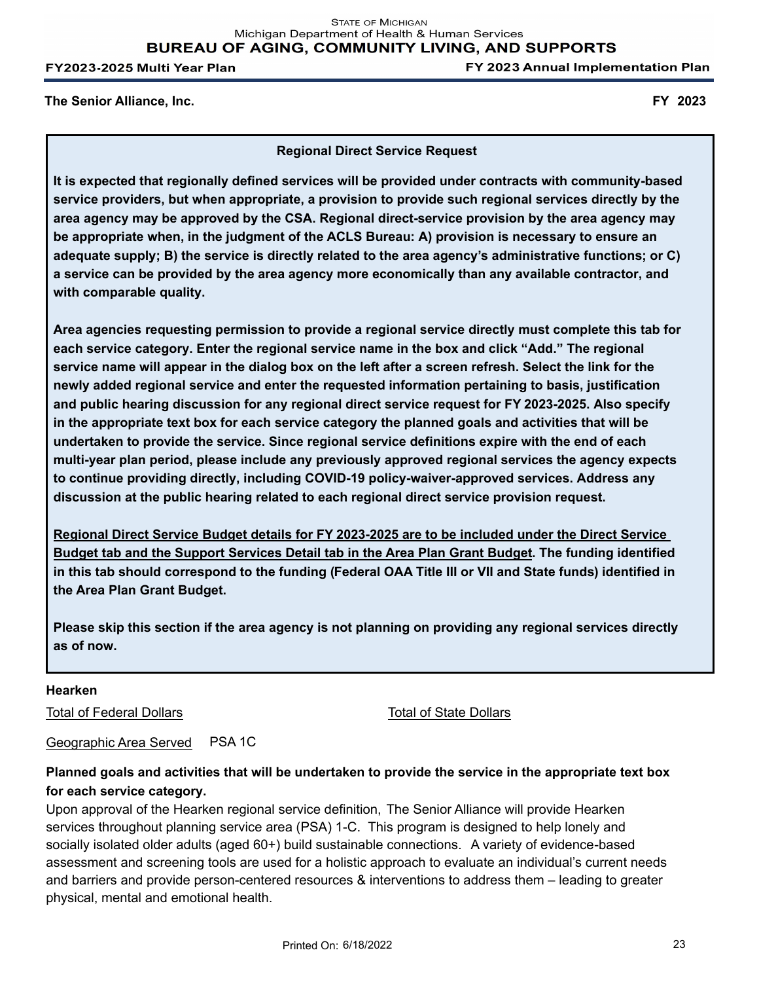FY 2023 Annual Implementation Plan

**The Senior Alliance, Inc. FY 2023**

**Regional Direct Service Request**

**It is expected that regionally defined services will be provided under contracts with community-based service providers, but when appropriate, a provision to provide such regional services directly by the area agency may be approved by the CSA. Regional direct-service provision by the area agency may be appropriate when, in the judgment of the ACLS Bureau: A) provision is necessary to ensure an adequate supply; B) the service is directly related to the area agency's administrative functions; or C) a service can be provided by the area agency more economically than any available contractor, and with comparable quality.** 

**Area agencies requesting permission to provide a regional service directly must complete this tab for each service category. Enter the regional service name in the box and click "Add." The regional service name will appear in the dialog box on the left after a screen refresh. Select the link for the newly added regional service and enter the requested information pertaining to basis, justification and public hearing discussion for any regional direct service request for FY 2023-2025. Also specify in the appropriate text box for each service category the planned goals and activities that will be undertaken to provide the service. Since regional service definitions expire with the end of each multi-year plan period, please include any previously approved regional services the agency expects to continue providing directly, including COVID-19 policy-waiver-approved services. Address any discussion at the public hearing related to each regional direct service provision request.**

**Regional Direct Service Budget details for FY 2023-2025 are to be included under the Direct Service Budget tab and the Support Services Detail tab in the Area Plan Grant Budget. The funding identified in this tab should correspond to the funding (Federal OAA Title III or VII and State funds) identified in the Area Plan Grant Budget.**

**Please skip this section if the area agency is not planning on providing any regional services directly as of now.**

#### **Hearken**

Total of Federal Dollars Total of State Dollars Total of State Dollars

Geographic Area Served PSA 1C

# **Planned goals and activities that will be undertaken to provide the service in the appropriate text box for each service category.**

Upon approval of the Hearken regional service definition, The Senior Alliance will provide Hearken services throughout planning service area (PSA) 1-C. This program is designed to help lonely and socially isolated older adults (aged 60+) build sustainable connections. A variety of evidence-based assessment and screening tools are used for a holistic approach to evaluate an individual's current needs and barriers and provide person-centered resources & interventions to address them – leading to greater physical, mental and emotional health.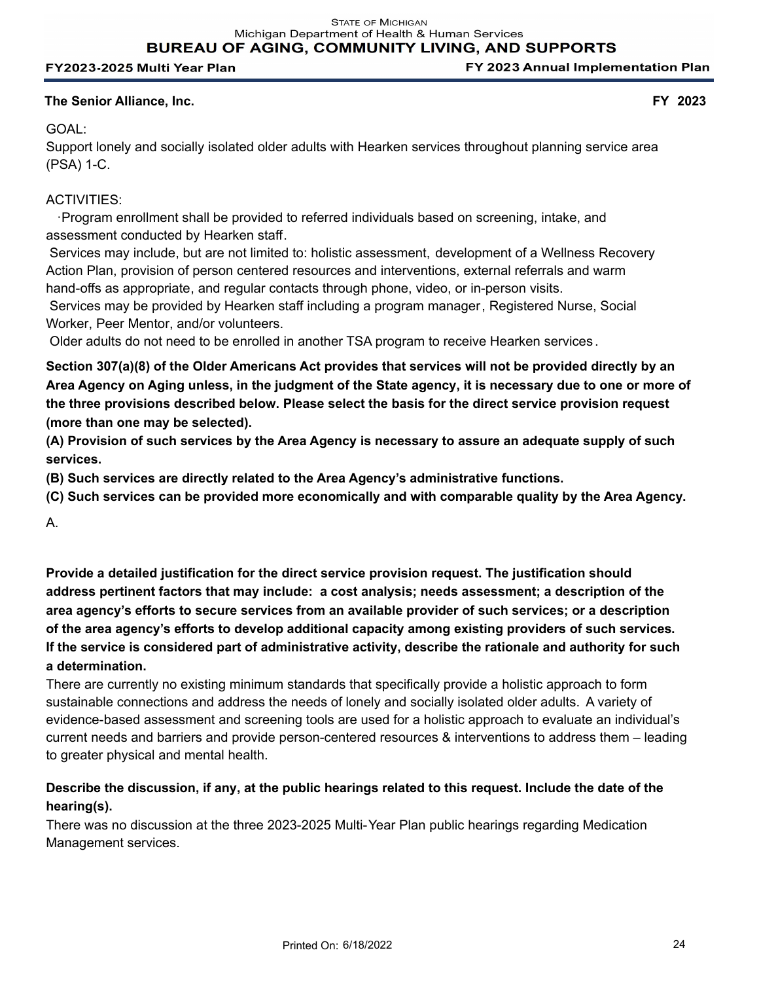FY 2023 Annual Implementation Plan

## **The Senior Alliance, Inc. FY 2023**

# GOAL:

Support lonely and socially isolated older adults with Hearken services throughout planning service area (PSA) 1-C.

# ACTIVITIES:

 ·Program enrollment shall be provided to referred individuals based on screening, intake, and assessment conducted by Hearken staff.

 Services may include, but are not limited to: holistic assessment, development of a Wellness Recovery Action Plan, provision of person centered resources and interventions, external referrals and warm hand-offs as appropriate, and regular contacts through phone, video, or in-person visits.

 Services may be provided by Hearken staff including a program manager, Registered Nurse, Social Worker, Peer Mentor, and/or volunteers.

Older adults do not need to be enrolled in another TSA program to receive Hearken services .

**Section 307(a)(8) of the Older Americans Act provides that services will not be provided directly by an Area Agency on Aging unless, in the judgment of the State agency, it is necessary due to one or more of the three provisions described below. Please select the basis for the direct service provision request (more than one may be selected).**

**(A) Provision of such services by the Area Agency is necessary to assure an adequate supply of such services.**

**(B) Such services are directly related to the Area Agency's administrative functions.** 

**(C) Such services can be provided more economically and with comparable quality by the Area Agency.**

A.

**Provide a detailed justification for the direct service provision request. The justification should address pertinent factors that may include: a cost analysis; needs assessment; a description of the area agency's efforts to secure services from an available provider of such services; or a description of the area agency's efforts to develop additional capacity among existing providers of such services. If the service is considered part of administrative activity, describe the rationale and authority for such a determination.**

There are currently no existing minimum standards that specifically provide a holistic approach to form sustainable connections and address the needs of lonely and socially isolated older adults. A variety of evidence-based assessment and screening tools are used for a holistic approach to evaluate an individual's current needs and barriers and provide person-centered resources & interventions to address them – leading to greater physical and mental health.

# **Describe the discussion, if any, at the public hearings related to this request. Include the date of the hearing(s).**

There was no discussion at the three 2023-2025 Multi-Year Plan public hearings regarding Medication Management services.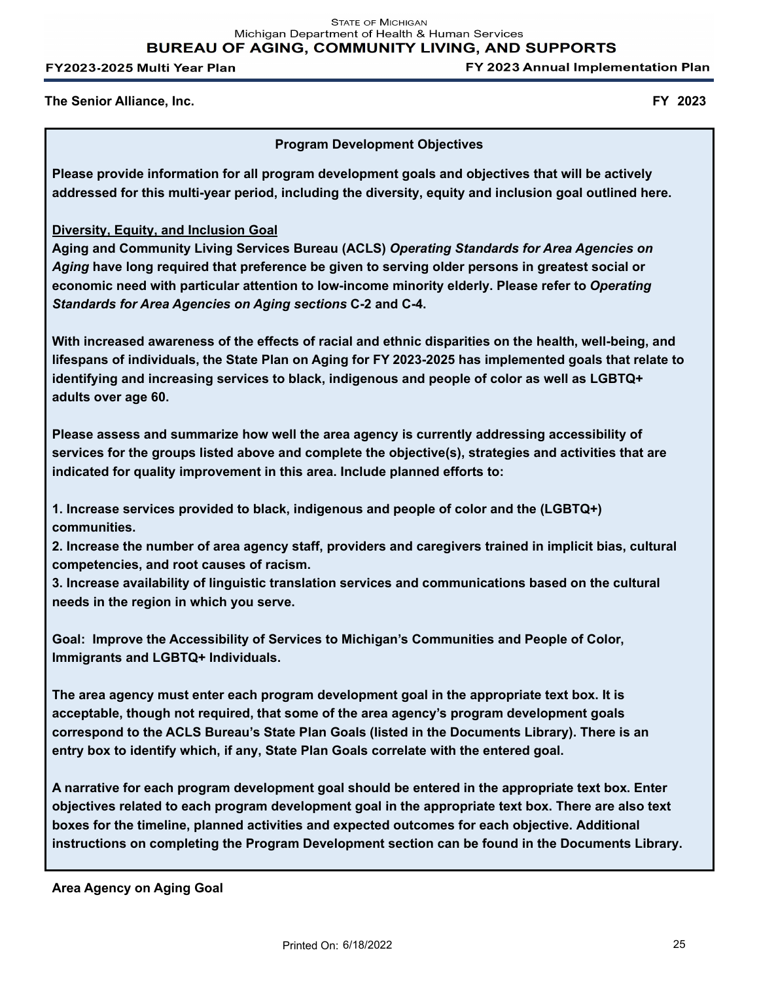FY 2023 Annual Implementation Plan

**The Senior Alliance, Inc. FY 2023**

## **Program Development Objectives**

**Please provide information for all program development goals and objectives that will be actively addressed for this multi-year period, including the diversity, equity and inclusion goal outlined here.**

# **Diversity, Equity, and Inclusion Goal**

**Aging and Community Living Services Bureau (ACLS)** *Operating Standards for Area Agencies on Aging* **have long required that preference be given to serving older persons in greatest social or economic need with particular attention to low-income minority elderly. Please refer to** *Operating Standards for Area Agencies on Aging sections* **C-2 and C-4.**

**With increased awareness of the effects of racial and ethnic disparities on the health, well-being, and lifespans of individuals, the State Plan on Aging for FY 2023-2025 has implemented goals that relate to identifying and increasing services to black, indigenous and people of color as well as LGBTQ+ adults over age 60.**

**Please assess and summarize how well the area agency is currently addressing accessibility of services for the groups listed above and complete the objective(s), strategies and activities that are indicated for quality improvement in this area. Include planned efforts to:**

**1. Increase services provided to black, indigenous and people of color and the (LGBTQ+) communities.**

**2. Increase the number of area agency staff, providers and caregivers trained in implicit bias, cultural competencies, and root causes of racism.**

**3. Increase availability of linguistic translation services and communications based on the cultural needs in the region in which you serve.**

**Goal: Improve the Accessibility of Services to Michigan's Communities and People of Color, Immigrants and LGBTQ+ Individuals.**

**The area agency must enter each program development goal in the appropriate text box. It is acceptable, though not required, that some of the area agency's program development goals correspond to the ACLS Bureau's State Plan Goals (listed in the Documents Library). There is an entry box to identify which, if any, State Plan Goals correlate with the entered goal.**

**A narrative for each program development goal should be entered in the appropriate text box. Enter objectives related to each program development goal in the appropriate text box. There are also text boxes for the timeline, planned activities and expected outcomes for each objective. Additional instructions on completing the Program Development section can be found in the Documents Library.**

**Area Agency on Aging Goal**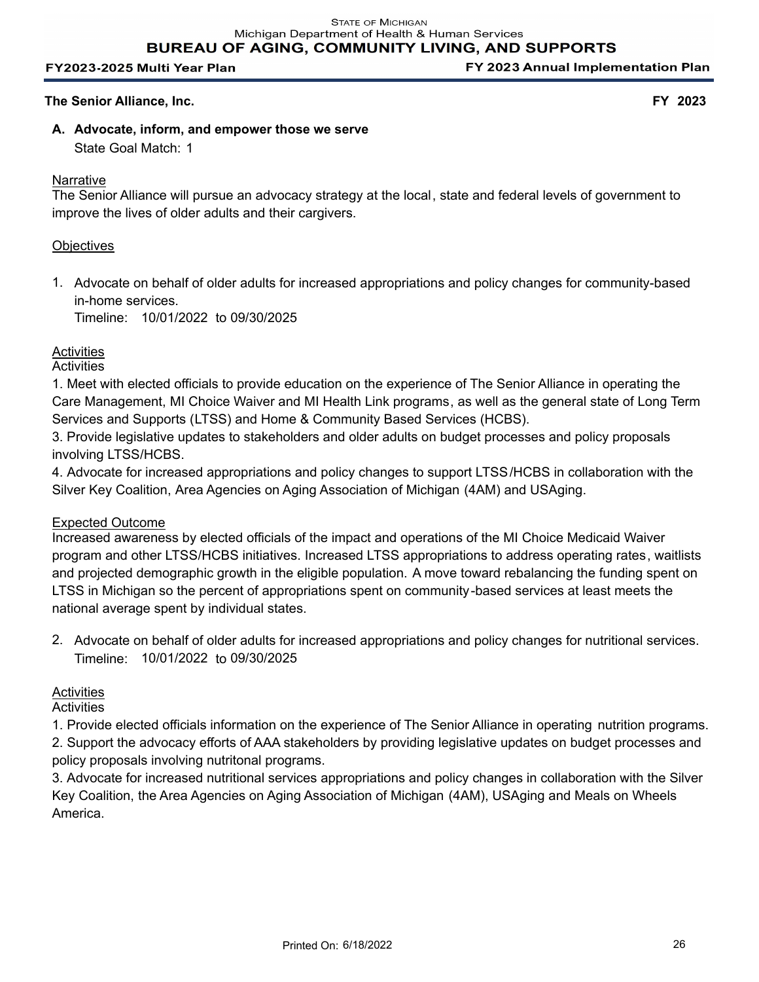FY 2023 Annual Implementation Plan

## **The Senior Alliance, Inc. FY 2023**

**A. Advocate, inform, and empower those we serve** State Goal Match: 1

#### **Narrative**

The Senior Alliance will pursue an advocacy strategy at the local, state and federal levels of government to improve the lives of older adults and their cargivers.

## **Objectives**

1. Advocate on behalf of older adults for increased appropriations and policy changes for community-based in-home services.

Timeline: 10/01/2022 to 09/30/2025

# **Activities**

**Activities** 

1. Meet with elected officials to provide education on the experience of The Senior Alliance in operating the Care Management, MI Choice Waiver and MI Health Link programs, as well as the general state of Long Term Services and Supports (LTSS) and Home & Community Based Services (HCBS).

3. Provide legislative updates to stakeholders and older adults on budget processes and policy proposals involving LTSS/HCBS.

4. Advocate for increased appropriations and policy changes to support LTSS/HCBS in collaboration with the Silver Key Coalition, Area Agencies on Aging Association of Michigan (4AM) and USAging.

#### Expected Outcome

Increased awareness by elected officials of the impact and operations of the MI Choice Medicaid Waiver program and other LTSS/HCBS initiatives. Increased LTSS appropriations to address operating rates, waitlists and projected demographic growth in the eligible population. A move toward rebalancing the funding spent on LTSS in Michigan so the percent of appropriations spent on community-based services at least meets the national average spent by individual states.

2. Advocate on behalf of older adults for increased appropriations and policy changes for nutritional services. Timeline: 10/01/2022 to 09/30/2025

# **Activities**

**Activities** 

1. Provide elected officials information on the experience of The Senior Alliance in operating nutrition programs. 2. Support the advocacy efforts of AAA stakeholders by providing legislative updates on budget processes and policy proposals involving nutritonal programs.

3. Advocate for increased nutritional services appropriations and policy changes in collaboration with the Silver Key Coalition, the Area Agencies on Aging Association of Michigan (4AM), USAging and Meals on Wheels America.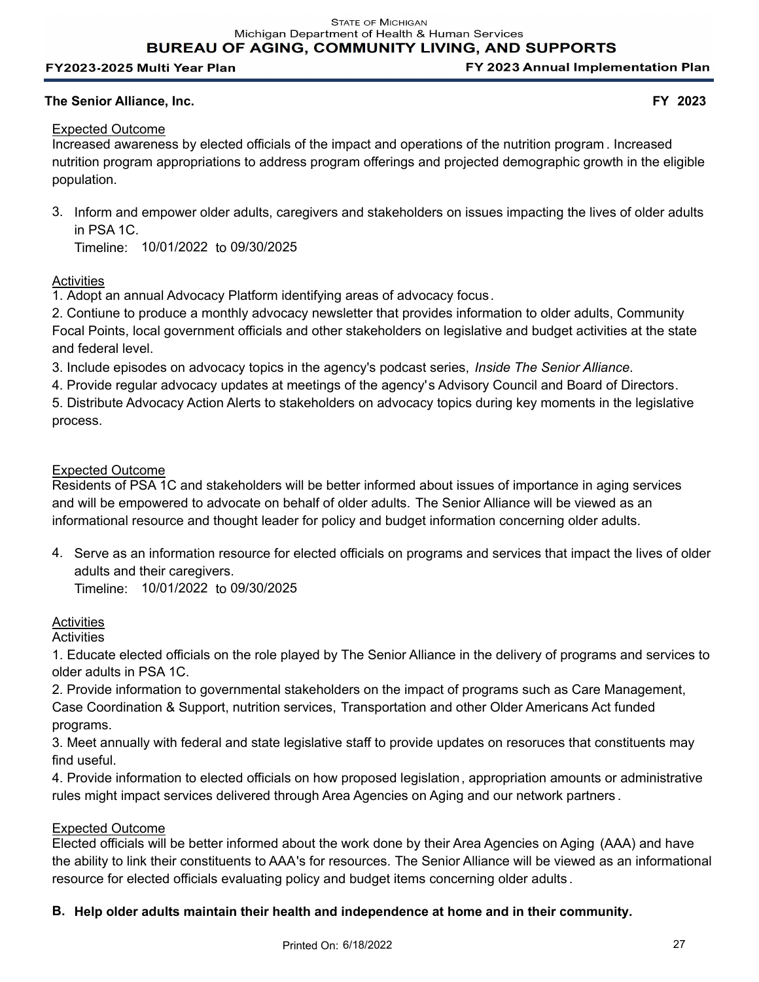**BUREAU OF AGING, COMMUNITY LIVING, AND SUPPORTS** 

#### FY2023-2025 Multi Year Plan

FY 2023 Annual Implementation Plan

## **The Senior Alliance, Inc. FY 2023**

# Expected Outcome

Increased awareness by elected officials of the impact and operations of the nutrition program . Increased nutrition program appropriations to address program offerings and projected demographic growth in the eligible population.

3. Inform and empower older adults, caregivers and stakeholders on issues impacting the lives of older adults in PSA 1C.

Timeline: 10/01/2022 to 09/30/2025

# **Activities**

1. Adopt an annual Advocacy Platform identifying areas of advocacy focus.

2. Contiune to produce a monthly advocacy newsletter that provides information to older adults, Community Focal Points, local government officials and other stakeholders on legislative and budget activities at the state and federal level.

3. Include episodes on advocacy topics in the agency's podcast series, *Inside The Senior Alliance*.

4. Provide regular advocacy updates at meetings of the agency's Advisory Council and Board of Directors.

5. Distribute Advocacy Action Alerts to stakeholders on advocacy topics during key moments in the legislative process.

# Expected Outcome

Residents of PSA 1C and stakeholders will be better informed about issues of importance in aging services and will be empowered to advocate on behalf of older adults. The Senior Alliance will be viewed as an informational resource and thought leader for policy and budget information concerning older adults.

4. Serve as an information resource for elected officials on programs and services that impact the lives of older adults and their caregivers.

Timeline: 10/01/2022 to 09/30/2025

# **Activities**

**Activities** 

1. Educate elected officials on the role played by The Senior Alliance in the delivery of programs and services to older adults in PSA 1C.

2. Provide information to governmental stakeholders on the impact of programs such as Care Management, Case Coordination & Support, nutrition services, Transportation and other Older Americans Act funded programs.

3. Meet annually with federal and state legislative staff to provide updates on resoruces that constituents may find useful.

4. Provide information to elected officials on how proposed legislation, appropriation amounts or administrative rules might impact services delivered through Area Agencies on Aging and our network partners .

# Expected Outcome

Elected officials will be better informed about the work done by their Area Agencies on Aging (AAA) and have the ability to link their constituents to AAA's for resources. The Senior Alliance will be viewed as an informational resource for elected officials evaluating policy and budget items concerning older adults .

# **B. Help older adults maintain their health and independence at home and in their community.**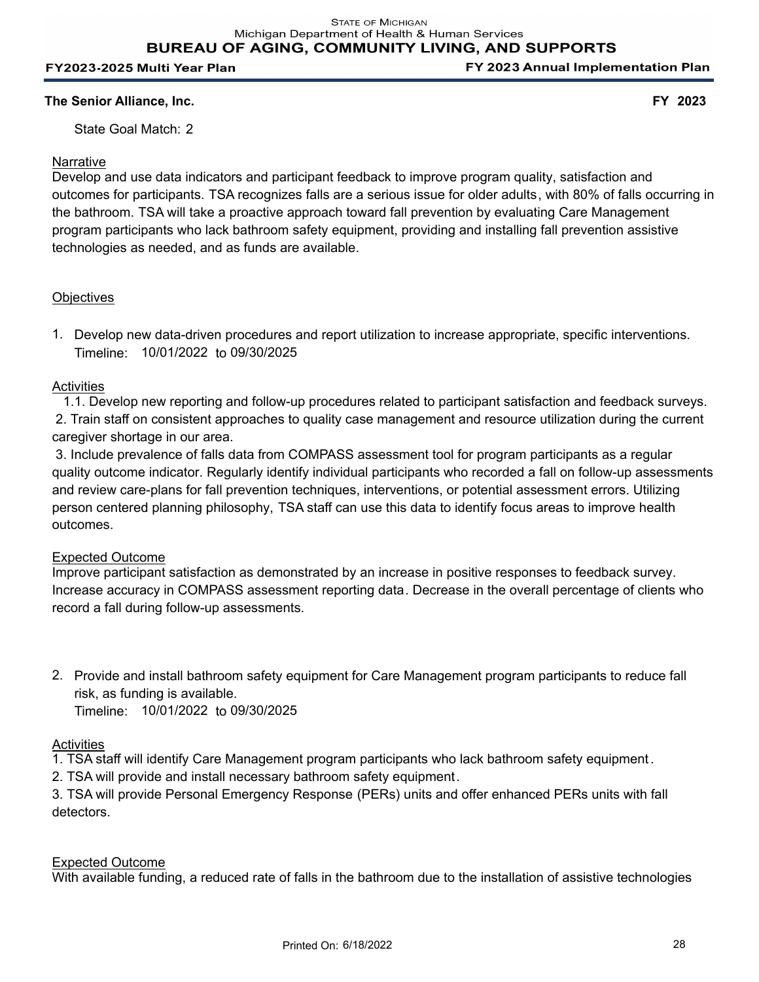**The Senior Alliance, Inc. FY 2023**

State Goal Match: 2

# Narrative

Develop and use data indicators and participant feedback to improve program quality, satisfaction and outcomes for participants. TSA recognizes falls are a serious issue for older adults, with 80% of falls occurring in the bathroom. TSA will take a proactive approach toward fall prevention by evaluating Care Management program participants who lack bathroom safety equipment, providing and installing fall prevention assistive technologies as needed, and as funds are available.

# **Objectives**

1. Develop new data-driven procedures and report utilization to increase appropriate, specific interventions. Timeline: 10/01/2022 to 09/30/2025

# Activities

 1.1. Develop new reporting and follow-up procedures related to participant satisfaction and feedback surveys. 2. Train staff on consistent approaches to quality case management and resource utilization during the current caregiver shortage in our area.

 3. Include prevalence of falls data from COMPASS assessment tool for program participants as a regular quality outcome indicator. Regularly identify individual participants who recorded a fall on follow-up assessments and review care-plans for fall prevention techniques, interventions, or potential assessment errors. Utilizing person centered planning philosophy, TSA staff can use this data to identify focus areas to improve health outcomes.

# Expected Outcome

Improve participant satisfaction as demonstrated by an increase in positive responses to feedback survey. Increase accuracy in COMPASS assessment reporting data. Decrease in the overall percentage of clients who record a fall during follow-up assessments.

2. Provide and install bathroom safety equipment for Care Management program participants to reduce fall risk, as funding is available.

Timeline: 10/01/2022 to 09/30/2025

# **Activities**

- 1. TSA staff will identify Care Management program participants who lack bathroom safety equipment.
- 2. TSA will provide and install necessary bathroom safety equipment.

3. TSA will provide Personal Emergency Response (PERs) units and offer enhanced PERs units with fall detectors.

# Expected Outcome

With available funding, a reduced rate of falls in the bathroom due to the installation of assistive technologies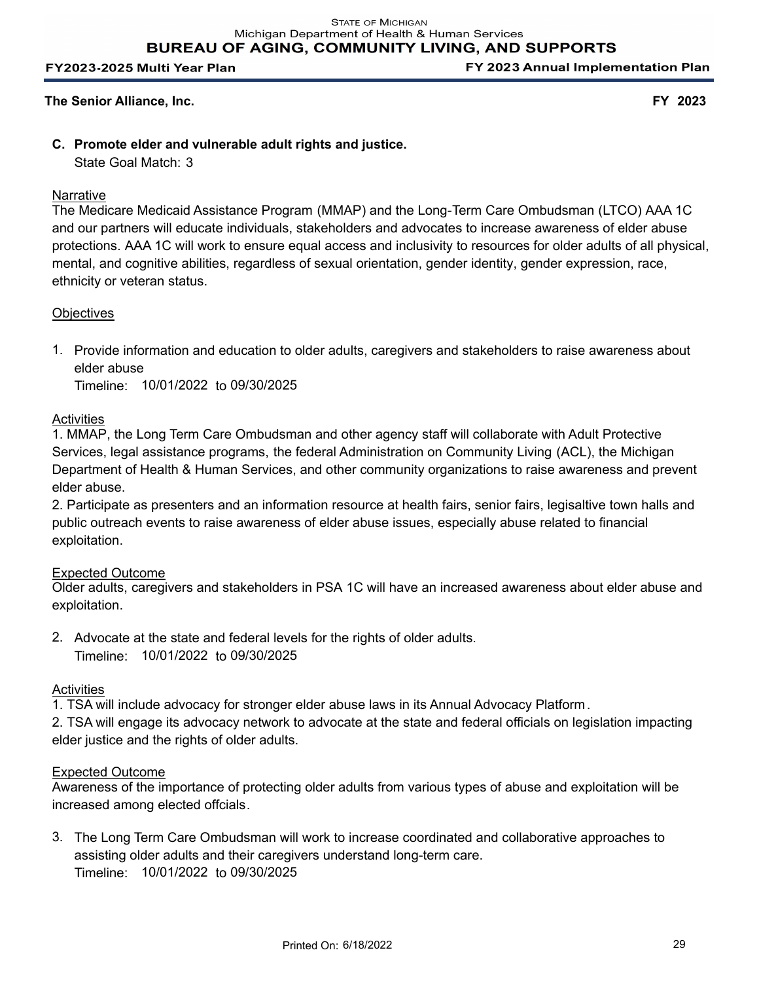FY 2023 Annual Implementation Plan

## **The Senior Alliance, Inc. FY 2023**

# **C. Promote elder and vulnerable adult rights and justice.**

State Goal Match: 3

# **Narrative**

The Medicare Medicaid Assistance Program (MMAP) and the Long-Term Care Ombudsman (LTCO) AAA 1C and our partners will educate individuals, stakeholders and advocates to increase awareness of elder abuse protections. AAA 1C will work to ensure equal access and inclusivity to resources for older adults of all physical, mental, and cognitive abilities, regardless of sexual orientation, gender identity, gender expression, race, ethnicity or veteran status.

## **Objectives**

1. Provide information and education to older adults, caregivers and stakeholders to raise awareness about elder abuse

Timeline: 10/01/2022 to 09/30/2025

## **Activities**

1. MMAP, the Long Term Care Ombudsman and other agency staff will collaborate with Adult Protective Services, legal assistance programs, the federal Administration on Community Living (ACL), the Michigan Department of Health & Human Services, and other community organizations to raise awareness and prevent elder abuse.

2. Participate as presenters and an information resource at health fairs, senior fairs, legisaltive town halls and public outreach events to raise awareness of elder abuse issues, especially abuse related to financial exploitation.

#### Expected Outcome

Older adults, caregivers and stakeholders in PSA 1C will have an increased awareness about elder abuse and exploitation.

2. Advocate at the state and federal levels for the rights of older adults. Timeline: 10/01/2022 to 09/30/2025

#### **Activities**

1. TSA will include advocacy for stronger elder abuse laws in its Annual Advocacy Platform.

2. TSA will engage its advocacy network to advocate at the state and federal officials on legislation impacting elder justice and the rights of older adults.

#### Expected Outcome

Awareness of the importance of protecting older adults from various types of abuse and exploitation will be increased among elected offcials.

3. The Long Term Care Ombudsman will work to increase coordinated and collaborative approaches to assisting older adults and their caregivers understand long-term care. Timeline: 10/01/2022 to 09/30/2025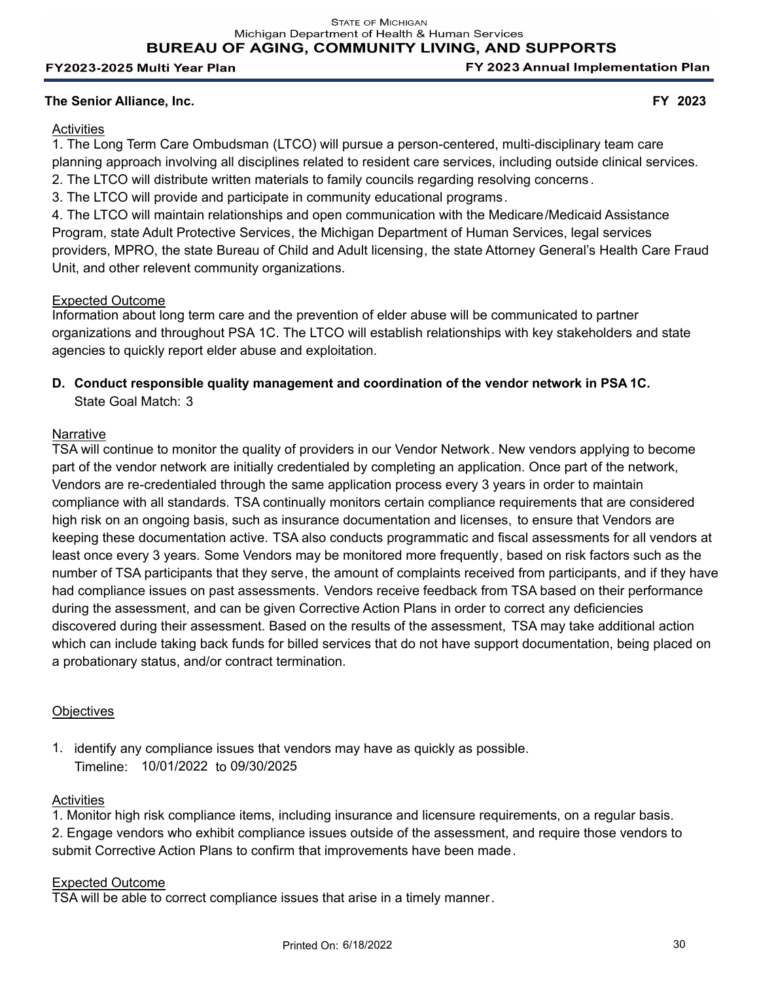FY 2023 Annual Implementation Plan

## **The Senior Alliance, Inc. FY 2023**

## **Activities**

1. The Long Term Care Ombudsman (LTCO) will pursue a person-centered, multi-disciplinary team care planning approach involving all disciplines related to resident care services, including outside clinical services. 2. The LTCO will distribute written materials to family councils regarding resolving concerns .

3. The LTCO will provide and participate in community educational programs.

4. The LTCO will maintain relationships and open communication with the Medicare/Medicaid Assistance Program, state Adult Protective Services, the Michigan Department of Human Services, legal services providers, MPRO, the state Bureau of Child and Adult licensing, the state Attorney General's Health Care Fraud Unit, and other relevent community organizations.

#### Expected Outcome

Information about long term care and the prevention of elder abuse will be communicated to partner organizations and throughout PSA 1C. The LTCO will establish relationships with key stakeholders and state agencies to quickly report elder abuse and exploitation.

# **D. Conduct responsible quality management and coordination of the vendor network in PSA 1C.** State Goal Match: 3

#### **Narrative**

TSA will continue to monitor the quality of providers in our Vendor Network. New vendors applying to become part of the vendor network are initially credentialed by completing an application. Once part of the network, Vendors are re-credentialed through the same application process every 3 years in order to maintain compliance with all standards. TSA continually monitors certain compliance requirements that are considered high risk on an ongoing basis, such as insurance documentation and licenses, to ensure that Vendors are keeping these documentation active. TSA also conducts programmatic and fiscal assessments for all vendors at least once every 3 years. Some Vendors may be monitored more frequently, based on risk factors such as the number of TSA participants that they serve, the amount of complaints received from participants, and if they have had compliance issues on past assessments. Vendors receive feedback from TSA based on their performance during the assessment, and can be given Corrective Action Plans in order to correct any deficiencies discovered during their assessment. Based on the results of the assessment, TSA may take additional action which can include taking back funds for billed services that do not have support documentation, being placed on a probationary status, and/or contract termination.

#### **Objectives**

1. identify any compliance issues that vendors may have as quickly as possible. Timeline: 10/01/2022 to 09/30/2025

#### **Activities**

1. Monitor high risk compliance items, including insurance and licensure requirements, on a regular basis. 2. Engage vendors who exhibit compliance issues outside of the assessment, and require those vendors to submit Corrective Action Plans to confirm that improvements have been made.

#### Expected Outcome

TSA will be able to correct compliance issues that arise in a timely manner.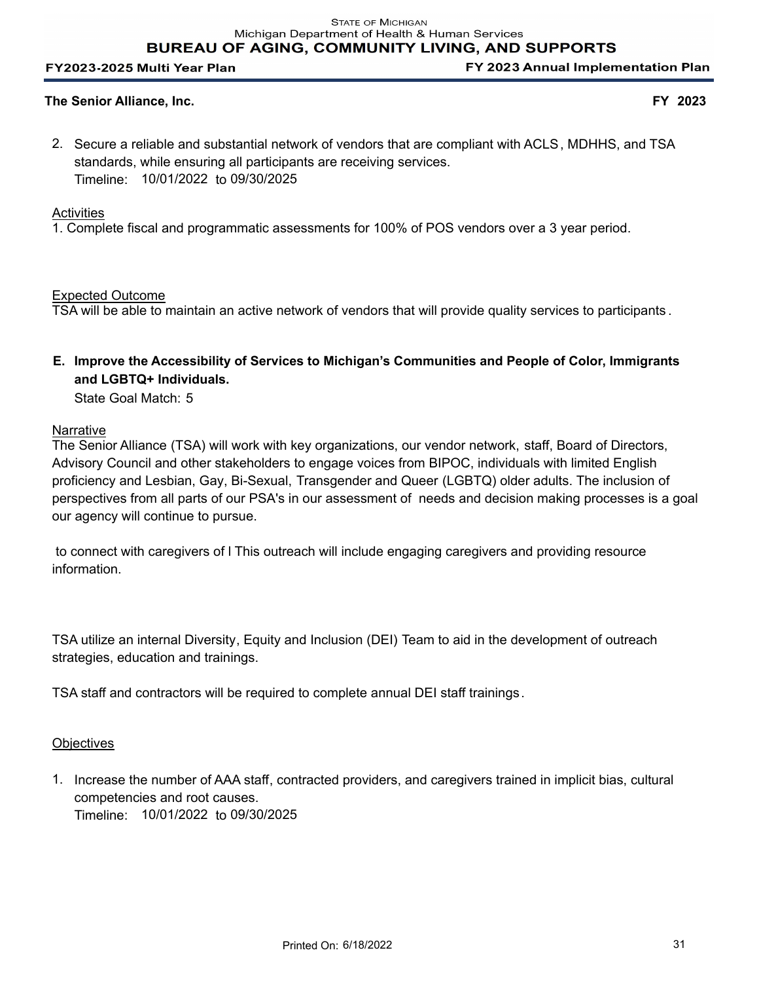FY 2023 Annual Implementation Plan

## **The Senior Alliance, Inc. FY 2023**

2. Secure a reliable and substantial network of vendors that are compliant with ACLS, MDHHS, and TSA standards, while ensuring all participants are receiving services. Timeline: 10/01/2022 to 09/30/2025

## **Activities**

1. Complete fiscal and programmatic assessments for 100% of POS vendors over a 3 year period.

Expected Outcome

TSA will be able to maintain an active network of vendors that will provide quality services to participants .

**Improve the Accessibility of Services to Michigan's Communities and People of Color, Immigrants E. and LGBTQ+ Individuals.**

State Goal Match: 5

## Narrative

The Senior Alliance (TSA) will work with key organizations, our vendor network, staff, Board of Directors, Advisory Council and other stakeholders to engage voices from BIPOC, individuals with limited English proficiency and Lesbian, Gay, Bi-Sexual, Transgender and Queer (LGBTQ) older adults. The inclusion of perspectives from all parts of our PSA's in our assessment of needs and decision making processes is a goal our agency will continue to pursue.

to connect with caregivers of l This outreach will include engaging caregivers and providing resource information.

TSA utilize an internal Diversity, Equity and Inclusion (DEI) Team to aid in the development of outreach strategies, education and trainings.

TSA staff and contractors will be required to complete annual DEI staff trainings.

# **Objectives**

1. Increase the number of AAA staff, contracted providers, and caregivers trained in implicit bias, cultural competencies and root causes. Timeline: 10/01/2022 to 09/30/2025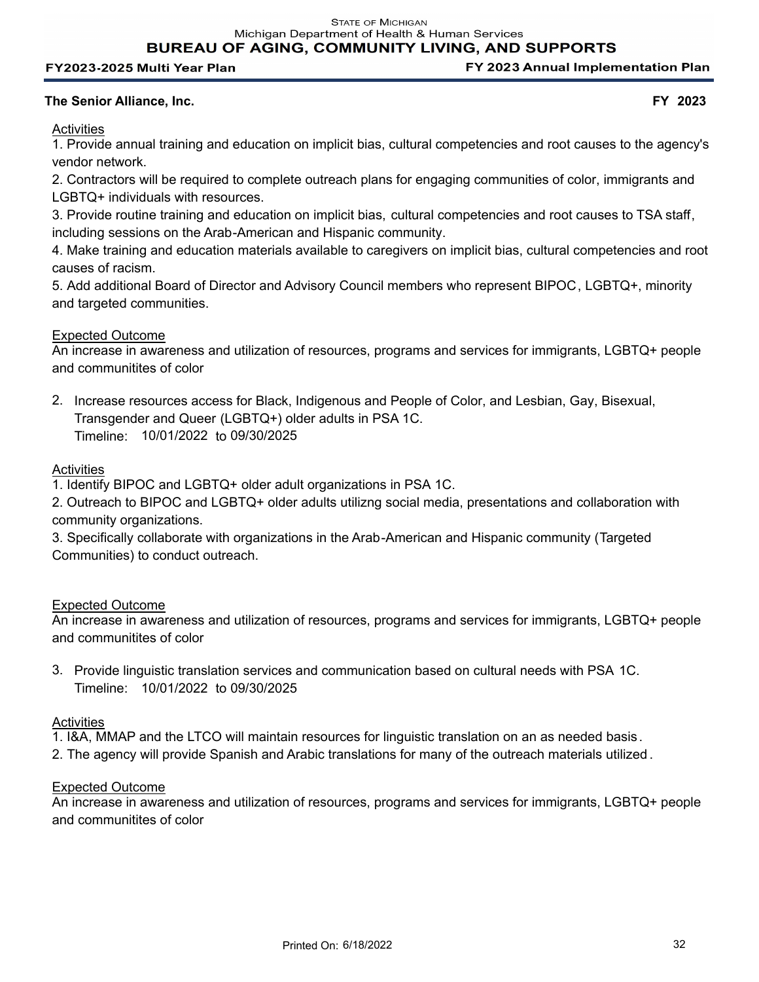**STATE OF MICHIGAN** 

Michigan Department of Health & Human Services

**BUREAU OF AGING, COMMUNITY LIVING, AND SUPPORTS** 

#### FY2023-2025 Multi Year Plan

FY 2023 Annual Implementation Plan

#### **The Senior Alliance, Inc. FY 2023**

**Activities** 

1. Provide annual training and education on implicit bias, cultural competencies and root causes to the agency's vendor network.

2. Contractors will be required to complete outreach plans for engaging communities of color, immigrants and LGBTQ+ individuals with resources.

3. Provide routine training and education on implicit bias, cultural competencies and root causes to TSA staff, including sessions on the Arab-American and Hispanic community.

4. Make training and education materials available to caregivers on implicit bias, cultural competencies and root causes of racism.

5. Add additional Board of Director and Advisory Council members who represent BIPOC, LGBTQ+, minority and targeted communities.

## Expected Outcome

An increase in awareness and utilization of resources, programs and services for immigrants, LGBTQ+ people and communitites of color

2. Increase resources access for Black, Indigenous and People of Color, and Lesbian, Gay, Bisexual, Transgender and Queer (LGBTQ+) older adults in PSA 1C. Timeline: 10/01/2022 to 09/30/2025

# **Activities**

1. Identify BIPOC and LGBTQ+ older adult organizations in PSA 1C.

2. Outreach to BIPOC and LGBTQ+ older adults utilizng social media, presentations and collaboration with community organizations.

3. Specifically collaborate with organizations in the Arab-American and Hispanic community (Targeted Communities) to conduct outreach.

#### Expected Outcome

An increase in awareness and utilization of resources, programs and services for immigrants, LGBTQ+ people and communitites of color

3. Provide linguistic translation services and communication based on cultural needs with PSA 1C. Timeline: 10/01/2022 to 09/30/2025

#### **Activities**

- 1. I&A, MMAP and the LTCO will maintain resources for linguistic translation on an as needed basis .
- 2. The agency will provide Spanish and Arabic translations for many of the outreach materials utilized .

#### Expected Outcome

An increase in awareness and utilization of resources, programs and services for immigrants, LGBTQ+ people and communitites of color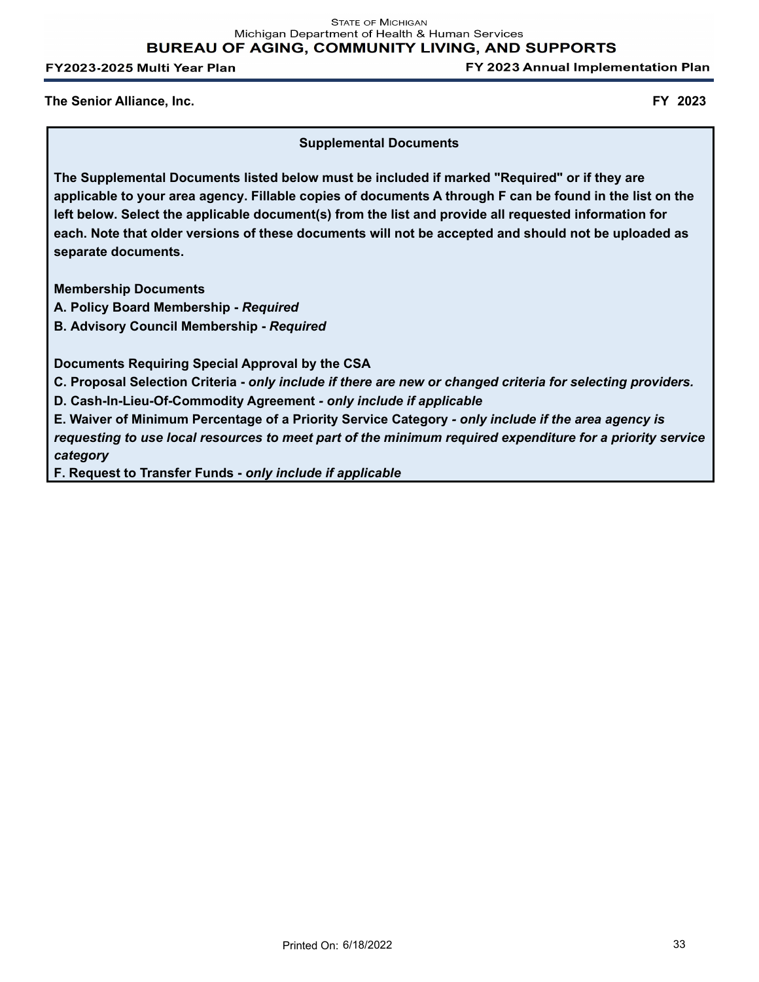**STATE OF MICHIGAN** Michigan Department of Health & Human Services **BUREAU OF AGING, COMMUNITY LIVING, AND SUPPORTS** 

FY2023-2025 Multi Year Plan

FY 2023 Annual Implementation Plan

**The Senior Alliance, Inc. FY 2023**

**Supplemental Documents**

**The Supplemental Documents listed below must be included if marked "Required" or if they are applicable to your area agency. Fillable copies of documents A through F can be found in the list on the left below. Select the applicable document(s) from the list and provide all requested information for each. Note that older versions of these documents will not be accepted and should not be uploaded as separate documents.**

**Membership Documents**

**A. Policy Board Membership -** *Required*

**B. Advisory Council Membership -** *Required*

**Documents Requiring Special Approval by the CSA**

**C. Proposal Selection Criteria -** *only include if there are new or changed criteria for selecting providers.*

**D. Cash-In-Lieu-Of-Commodity Agreement** *- only include if applicable*

**E. Waiver of Minimum Percentage of a Priority Service Category** *- only include if the area agency is requesting to use local resources to meet part of the minimum required expenditure for a priority service category*

**F. Request to Transfer Funds -** *only include if applicable*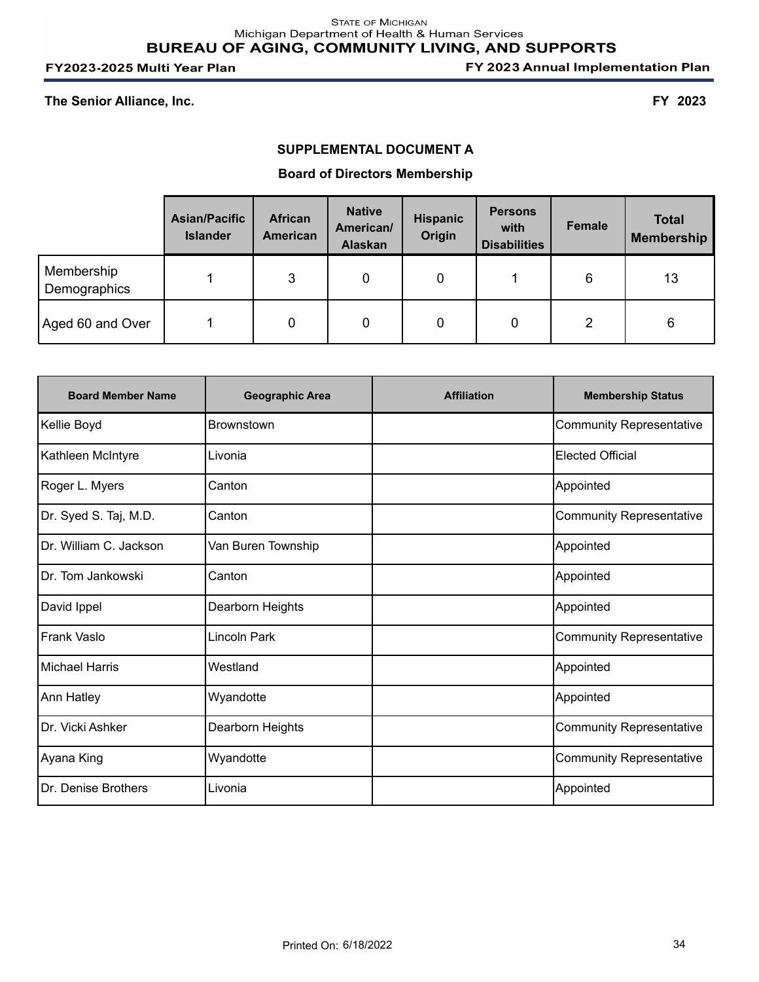FY 2023 Annual Implementation Plan

**The Senior Alliance, Inc. FY 2023**

## **SUPPLEMENTAL DOCUMENT A**

## **Board of Directors Membership**

|                            | <b>Asian/Pacific</b><br><b>Islander</b> | <b>African</b><br><b>American</b> | <b>Native</b><br>American/<br><b>Alaskan</b> | <b>Hispanic</b><br>Origin | <b>Persons</b><br>with<br><b>Disabilities</b> | Female | <b>Total</b><br><b>Membership</b> |
|----------------------------|-----------------------------------------|-----------------------------------|----------------------------------------------|---------------------------|-----------------------------------------------|--------|-----------------------------------|
| Membership<br>Demographics |                                         | 3                                 | 0                                            | 0                         |                                               | 6      | 13                                |
| Aged 60 and Over           |                                         | 0                                 | 0                                            | 0                         | 0                                             | 2      | 6                                 |

| <b>Board Member Name</b> | <b>Geographic Area</b> | <b>Affiliation</b> | <b>Membership Status</b> |
|--------------------------|------------------------|--------------------|--------------------------|
| Kellie Boyd              | Brownstown             |                    | Community Representative |
| Kathleen McIntyre        | Livonia                |                    | Elected Official         |
| Roger L. Myers           | Canton                 |                    | Appointed                |
| Dr. Syed S. Taj, M.D.    | Canton                 |                    | Community Representative |
| Dr. William C. Jackson   | Van Buren Township     |                    | Appointed                |
| Dr. Tom Jankowski        | Canton                 |                    | Appointed                |
| David Ippel              | Dearborn Heights       |                    | Appointed                |
| Frank Vaslo              | Lincoln Park           |                    | Community Representative |
| Michael Harris           | Westland               |                    | Appointed                |
| Ann Hatley               | Wyandotte              |                    | Appointed                |
| Dr. Vicki Ashker         | Dearborn Heights       |                    | Community Representative |
| Ayana King               | Wyandotte              |                    | Community Representative |
| Dr. Denise Brothers      | Livonia                |                    | Appointed                |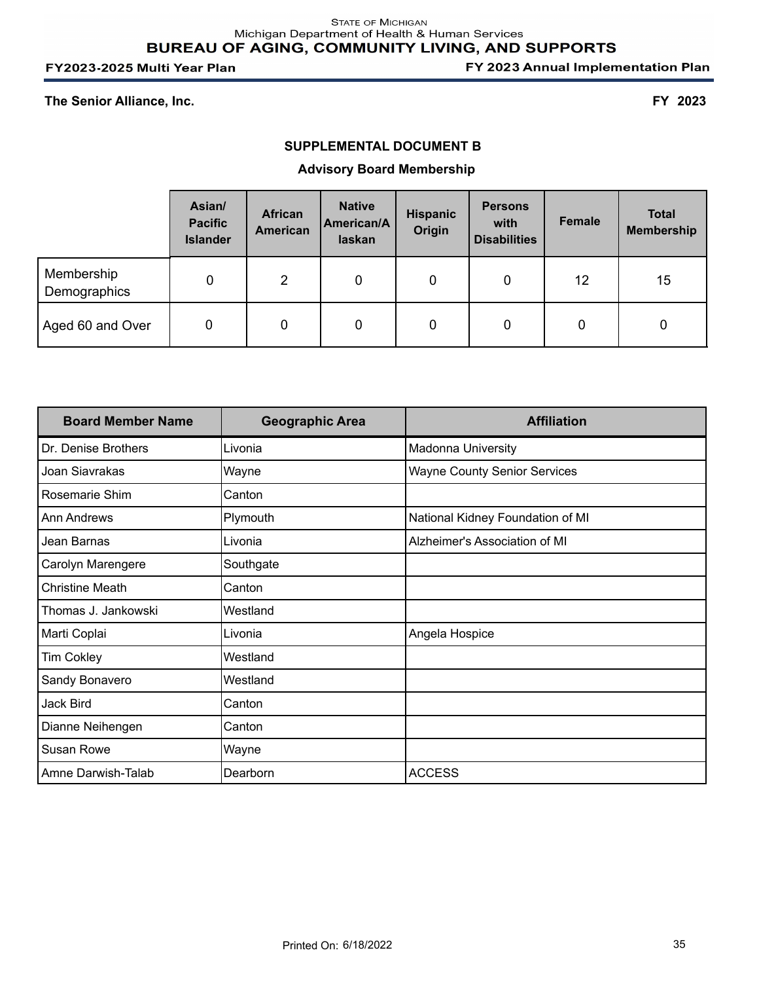FY 2023 Annual Implementation Plan

#### **The Senior Alliance, Inc. FY 2023**

## **SUPPLEMENTAL DOCUMENT B**

## **Advisory Board Membership**

|                            | Asian/<br><b>Pacific</b><br><b>Islander</b> | <b>African</b><br><b>American</b> | <b>Native</b><br>American/A<br>laskan | <b>Hispanic</b><br>Origin | <b>Persons</b><br>with<br><b>Disabilities</b> | <b>Female</b> | <b>Total</b><br><b>Membership</b> |
|----------------------------|---------------------------------------------|-----------------------------------|---------------------------------------|---------------------------|-----------------------------------------------|---------------|-----------------------------------|
| Membership<br>Demographics | 0                                           | $\overline{2}$                    | 0                                     | 0                         | 0                                             | 12            | 15                                |
| Aged 60 and Over           | 0                                           | 0                                 | 0                                     | 0                         | 0                                             | 0             | 0                                 |

| <b>Board Member Name</b> | <b>Geographic Area</b> | <b>Affiliation</b>                  |
|--------------------------|------------------------|-------------------------------------|
| Dr. Denise Brothers      | Livonia                | <b>Madonna University</b>           |
| Joan Siavrakas           | Wayne                  | <b>Wayne County Senior Services</b> |
| Rosemarie Shim           | Canton                 |                                     |
| Ann Andrews              | Plymouth               | National Kidney Foundation of MI    |
| Jean Barnas              | Livonia                | Alzheimer's Association of MI       |
| Carolyn Marengere        | Southgate              |                                     |
| <b>Christine Meath</b>   | Canton                 |                                     |
| Thomas J. Jankowski      | Westland               |                                     |
| Marti Coplai             | Livonia                | Angela Hospice                      |
| <b>Tim Cokley</b>        | Westland               |                                     |
| Sandy Bonavero           | Westland               |                                     |
| Jack Bird                | Canton                 |                                     |
| Dianne Neihengen         | Canton                 |                                     |
| Susan Rowe               | Wayne                  |                                     |
| Amne Darwish-Talab       | Dearborn               | <b>ACCESS</b>                       |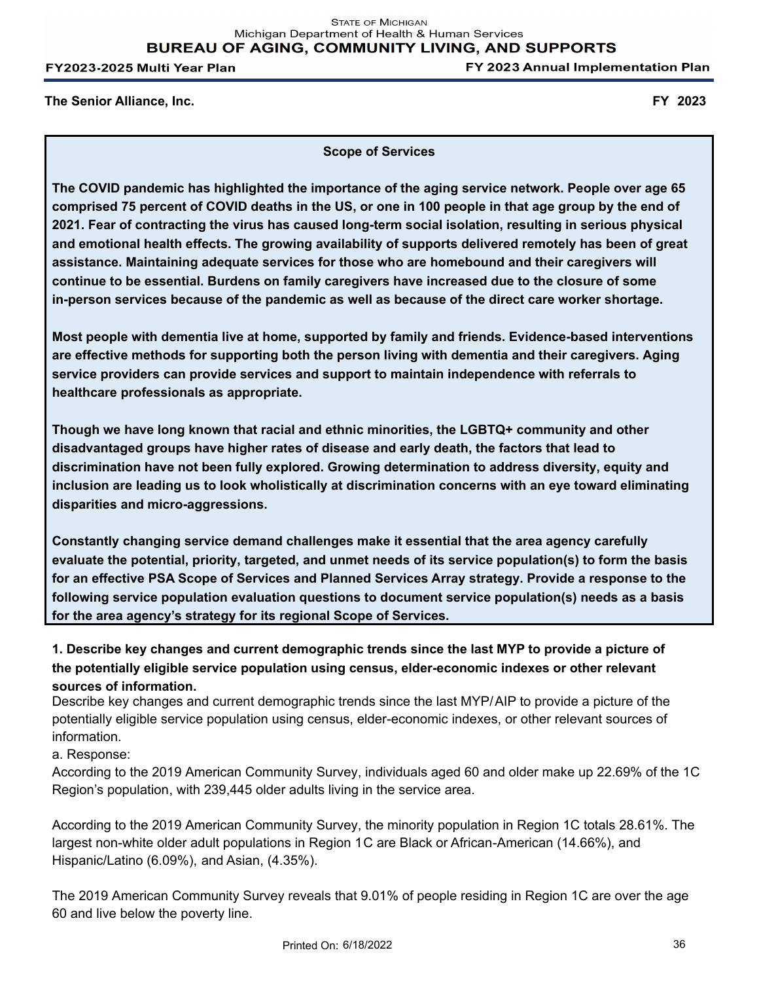FY 2023 Annual Implementation Plan

**The Senior Alliance, Inc. FY 2023**

**Scope of Services**

**The COVID pandemic has highlighted the importance of the aging service network. People over age 65 comprised 75 percent of COVID deaths in the US, or one in 100 people in that age group by the end of 2021. Fear of contracting the virus has caused long-term social isolation, resulting in serious physical and emotional health effects. The growing availability of supports delivered remotely has been of great assistance. Maintaining adequate services for those who are homebound and their caregivers will continue to be essential. Burdens on family caregivers have increased due to the closure of some in-person services because of the pandemic as well as because of the direct care worker shortage.** 

**Most people with dementia live at home, supported by family and friends. Evidence-based interventions are effective methods for supporting both the person living with dementia and their caregivers. Aging service providers can provide services and support to maintain independence with referrals to healthcare professionals as appropriate.**

**Though we have long known that racial and ethnic minorities, the LGBTQ+ community and other disadvantaged groups have higher rates of disease and early death, the factors that lead to discrimination have not been fully explored. Growing determination to address diversity, equity and inclusion are leading us to look wholistically at discrimination concerns with an eye toward eliminating disparities and micro-aggressions.** 

**Constantly changing service demand challenges make it essential that the area agency carefully evaluate the potential, priority, targeted, and unmet needs of its service population(s) to form the basis for an effective PSA Scope of Services and Planned Services Array strategy. Provide a response to the following service population evaluation questions to document service population(s) needs as a basis for the area agency's strategy for its regional Scope of Services.**

**1. Describe key changes and current demographic trends since the last MYP to provide a picture of the potentially eligible service population using census, elder-economic indexes or other relevant sources of information.**

Describe key changes and current demographic trends since the last MYP/AIP to provide a picture of the potentially eligible service population using census, elder-economic indexes, or other relevant sources of information.

a. Response:

According to the 2019 American Community Survey, individuals aged 60 and older make up 22.69% of the 1C Region's population, with 239,445 older adults living in the service area.

According to the 2019 American Community Survey, the minority population in Region 1C totals 28.61%. The largest non-white older adult populations in Region 1C are Black or African-American (14.66%), and Hispanic/Latino (6.09%), and Asian, (4.35%).

The 2019 American Community Survey reveals that 9.01% of people residing in Region 1C are over the age 60 and live below the poverty line.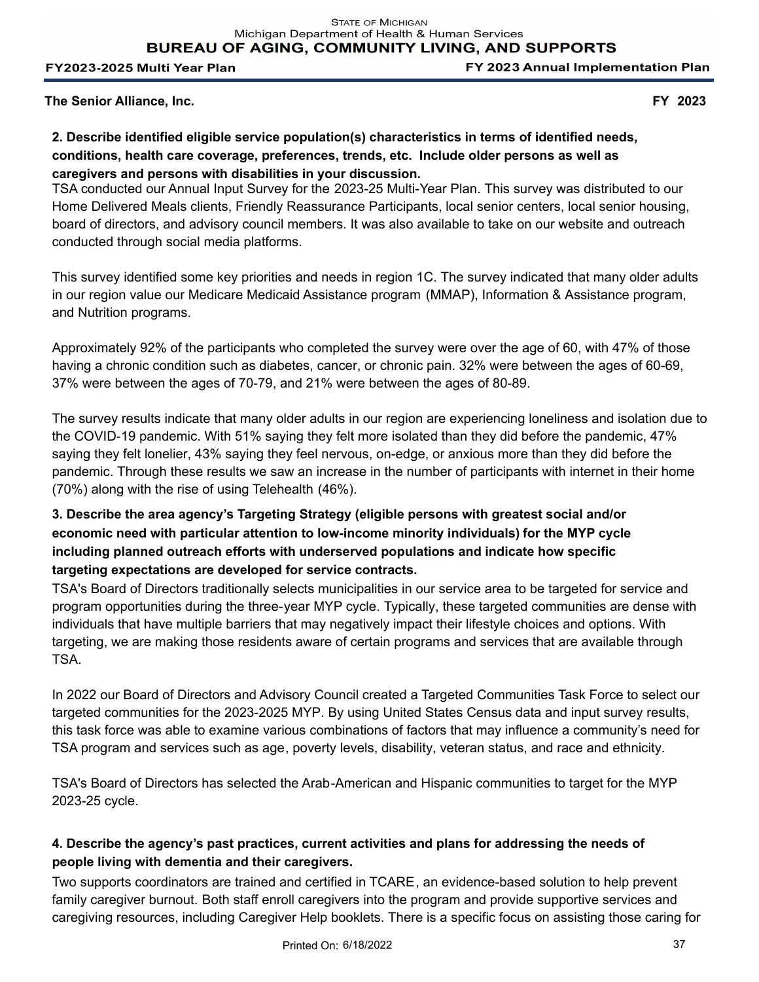FY 2023 Annual Implementation Plan

**The Senior Alliance, Inc. FY 2023**

# **2. Describe identified eligible service population(s) characteristics in terms of identified needs, conditions, health care coverage, preferences, trends, etc. Include older persons as well as caregivers and persons with disabilities in your discussion.**

TSA conducted our Annual Input Survey for the 2023-25 Multi-Year Plan. This survey was distributed to our Home Delivered Meals clients, Friendly Reassurance Participants, local senior centers, local senior housing, board of directors, and advisory council members. It was also available to take on our website and outreach conducted through social media platforms.

This survey identified some key priorities and needs in region 1C. The survey indicated that many older adults in our region value our Medicare Medicaid Assistance program (MMAP), Information & Assistance program, and Nutrition programs.

Approximately 92% of the participants who completed the survey were over the age of 60, with 47% of those having a chronic condition such as diabetes, cancer, or chronic pain. 32% were between the ages of 60-69, 37% were between the ages of 70-79, and 21% were between the ages of 80-89.

The survey results indicate that many older adults in our region are experiencing loneliness and isolation due to the COVID-19 pandemic. With 51% saying they felt more isolated than they did before the pandemic, 47% saying they felt lonelier, 43% saying they feel nervous, on-edge, or anxious more than they did before the pandemic. Through these results we saw an increase in the number of participants with internet in their home (70%) along with the rise of using Telehealth (46%).

# **3. Describe the area agency's Targeting Strategy (eligible persons with greatest social and/or economic need with particular attention to low-income minority individuals) for the MYP cycle including planned outreach efforts with underserved populations and indicate how specific targeting expectations are developed for service contracts.**

TSA's Board of Directors traditionally selects municipalities in our service area to be targeted for service and program opportunities during the three-year MYP cycle. Typically, these targeted communities are dense with individuals that have multiple barriers that may negatively impact their lifestyle choices and options. With targeting, we are making those residents aware of certain programs and services that are available through TSA.

In 2022 our Board of Directors and Advisory Council created a Targeted Communities Task Force to select our targeted communities for the 2023-2025 MYP. By using United States Census data and input survey results, this task force was able to examine various combinations of factors that may influence a community's need for TSA program and services such as age, poverty levels, disability, veteran status, and race and ethnicity.

TSA's Board of Directors has selected the Arab-American and Hispanic communities to target for the MYP 2023-25 cycle.

# **4. Describe the agency's past practices, current activities and plans for addressing the needs of people living with dementia and their caregivers.**

Two supports coordinators are trained and certified in TCARE, an evidence-based solution to help prevent family caregiver burnout. Both staff enroll caregivers into the program and provide supportive services and caregiving resources, including Caregiver Help booklets. There is a specific focus on assisting those caring for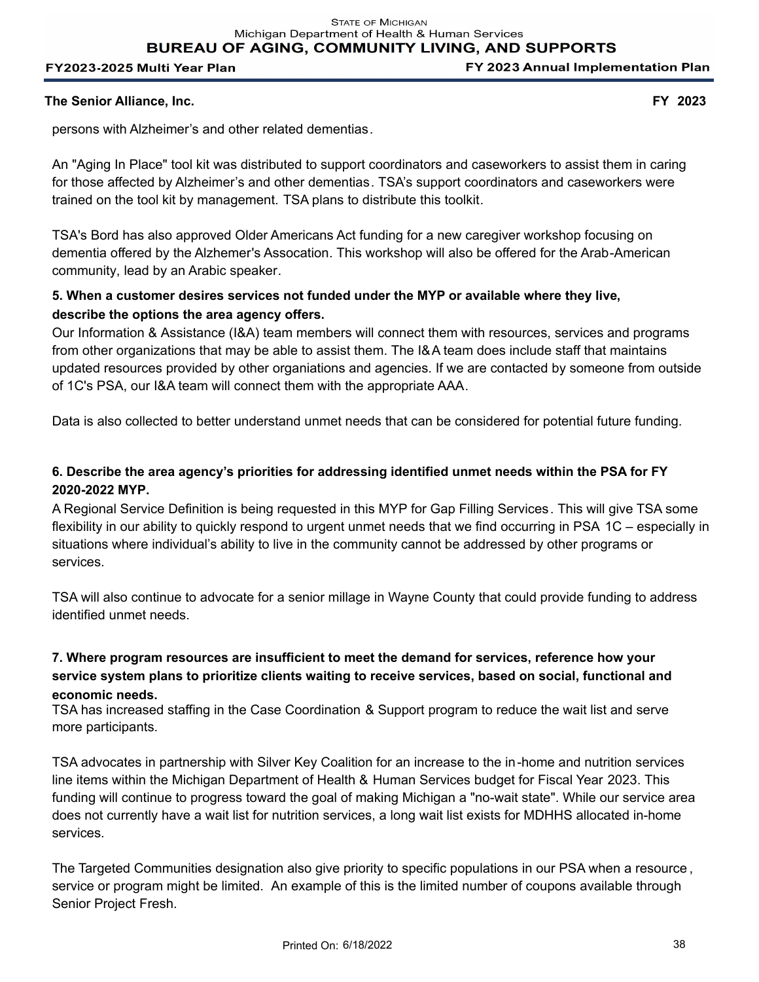### **The Senior Alliance, Inc. FY 2023**

persons with Alzheimer's and other related dementias.

An "Aging In Place" tool kit was distributed to support coordinators and caseworkers to assist them in caring for those affected by Alzheimer's and other dementias. TSA's support coordinators and caseworkers were trained on the tool kit by management. TSA plans to distribute this toolkit.

TSA's Bord has also approved Older Americans Act funding for a new caregiver workshop focusing on dementia offered by the Alzhemer's Assocation. This workshop will also be offered for the Arab-American community, lead by an Arabic speaker.

# **5. When a customer desires services not funded under the MYP or available where they live, describe the options the area agency offers.**

Our Information & Assistance (I&A) team members will connect them with resources, services and programs from other organizations that may be able to assist them. The I&A team does include staff that maintains updated resources provided by other organiations and agencies. If we are contacted by someone from outside of 1C's PSA, our I&A team will connect them with the appropriate AAA.

Data is also collected to better understand unmet needs that can be considered for potential future funding.

# **6. Describe the area agency's priorities for addressing identified unmet needs within the PSA for FY 2020-2022 MYP.**

A Regional Service Definition is being requested in this MYP for Gap Filling Services. This will give TSA some flexibility in our ability to quickly respond to urgent unmet needs that we find occurring in PSA 1C – especially in situations where individual's ability to live in the community cannot be addressed by other programs or services.

TSA will also continue to advocate for a senior millage in Wayne County that could provide funding to address identified unmet needs.

# **7. Where program resources are insufficient to meet the demand for services, reference how your service system plans to prioritize clients waiting to receive services, based on social, functional and economic needs.**

TSA has increased staffing in the Case Coordination & Support program to reduce the wait list and serve more participants.

TSA advocates in partnership with Silver Key Coalition for an increase to the in-home and nutrition services line items within the Michigan Department of Health & Human Services budget for Fiscal Year 2023. This funding will continue to progress toward the goal of making Michigan a "no-wait state". While our service area does not currently have a wait list for nutrition services, a long wait list exists for MDHHS allocated in-home services.

The Targeted Communities designation also give priority to specific populations in our PSA when a resource , service or program might be limited. An example of this is the limited number of coupons available through Senior Project Fresh.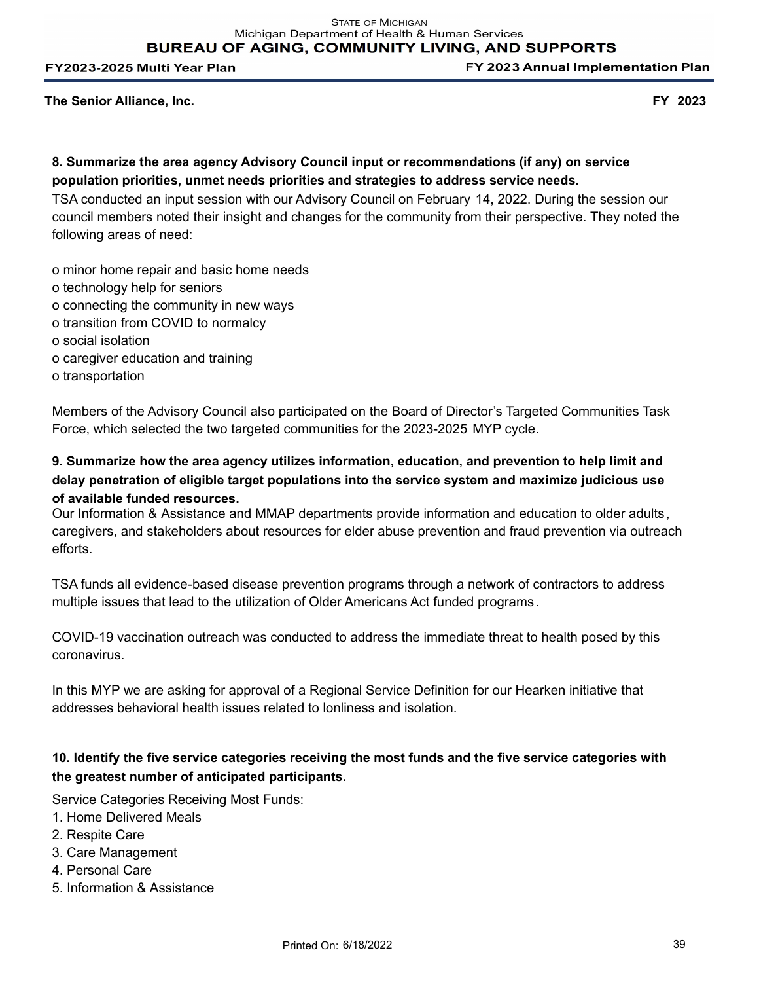FY 2023 Annual Implementation Plan

**The Senior Alliance, Inc. FY 2023**

# **8. Summarize the area agency Advisory Council input or recommendations (if any) on service population priorities, unmet needs priorities and strategies to address service needs.**

TSA conducted an input session with our Advisory Council on February 14, 2022. During the session our council members noted their insight and changes for the community from their perspective. They noted the following areas of need:

o minor home repair and basic home needs

- o technology help for seniors
- o connecting the community in new ways
- o transition from COVID to normalcy
- o social isolation
- o caregiver education and training
- o transportation

Members of the Advisory Council also participated on the Board of Director's Targeted Communities Task Force, which selected the two targeted communities for the 2023-2025 MYP cycle.

# **9. Summarize how the area agency utilizes information, education, and prevention to help limit and delay penetration of eligible target populations into the service system and maximize judicious use of available funded resources.**

Our Information & Assistance and MMAP departments provide information and education to older adults , caregivers, and stakeholders about resources for elder abuse prevention and fraud prevention via outreach efforts.

TSA funds all evidence-based disease prevention programs through a network of contractors to address multiple issues that lead to the utilization of Older Americans Act funded programs .

COVID-19 vaccination outreach was conducted to address the immediate threat to health posed by this coronavirus.

In this MYP we are asking for approval of a Regional Service Definition for our Hearken initiative that addresses behavioral health issues related to lonliness and isolation.

# **10. Identify the five service categories receiving the most funds and the five service categories with the greatest number of anticipated participants.**

Service Categories Receiving Most Funds:

- 1. Home Delivered Meals
- 2. Respite Care
- 3. Care Management
- 4. Personal Care
- 5. Information & Assistance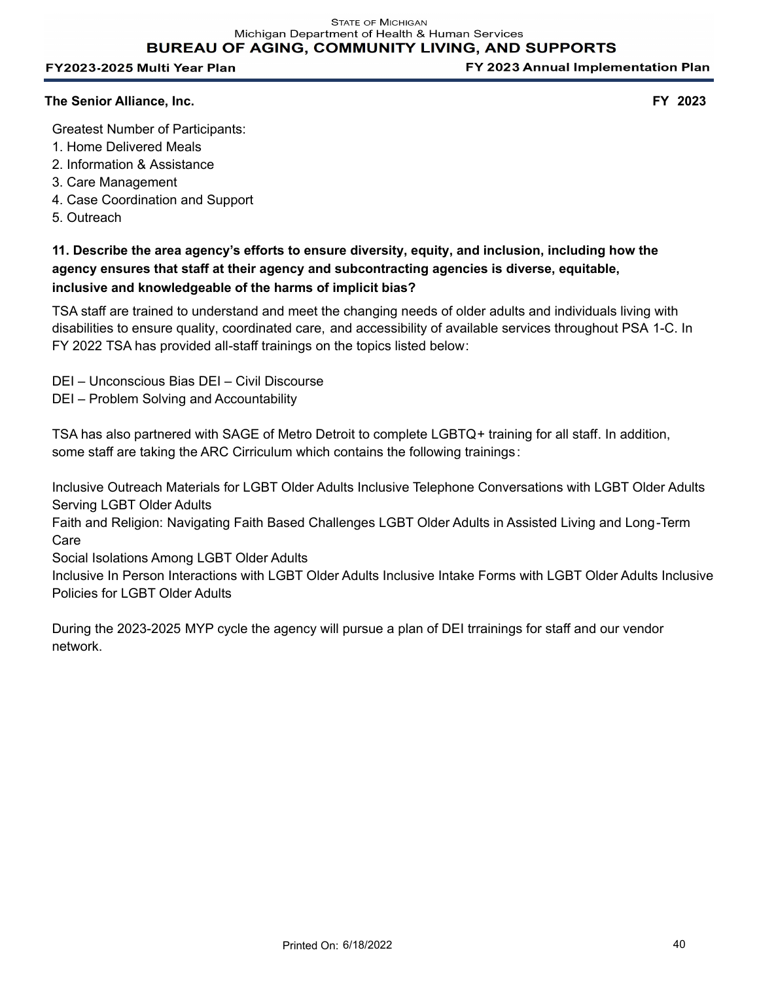FY 2023 Annual Implementation Plan

## **The Senior Alliance, Inc. FY 2023**

Greatest Number of Participants:

- 1. Home Delivered Meals
- 2. Information & Assistance
- 3. Care Management
- 4. Case Coordination and Support
- 5. Outreach

**11. Describe the area agency's efforts to ensure diversity, equity, and inclusion, including how the agency ensures that staff at their agency and subcontracting agencies is diverse, equitable, inclusive and knowledgeable of the harms of implicit bias?**

TSA staff are trained to understand and meet the changing needs of older adults and individuals living with disabilities to ensure quality, coordinated care, and accessibility of available services throughout PSA 1-C. In FY 2022 TSA has provided all-staff trainings on the topics listed below:

- DEI Unconscious Bias DEI Civil Discourse
- DEI Problem Solving and Accountability

TSA has also partnered with SAGE of Metro Detroit to complete LGBTQ+ training for all staff. In addition, some staff are taking the ARC Cirriculum which contains the following trainings:

Inclusive Outreach Materials for LGBT Older Adults Inclusive Telephone Conversations with LGBT Older Adults Serving LGBT Older Adults

Faith and Religion: Navigating Faith Based Challenges LGBT Older Adults in Assisted Living and Long-Term Care

Social Isolations Among LGBT Older Adults

Inclusive In Person Interactions with LGBT Older Adults Inclusive Intake Forms with LGBT Older Adults Inclusive Policies for LGBT Older Adults

During the 2023-2025 MYP cycle the agency will pursue a plan of DEI trrainings for staff and our vendor network.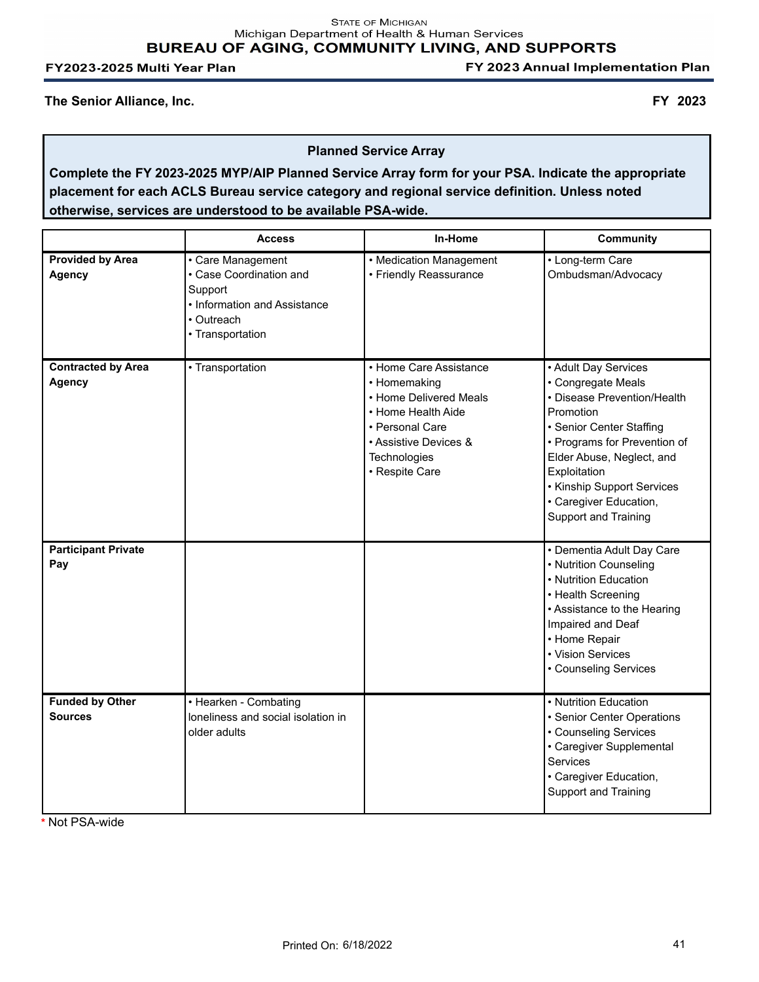**STATE OF MICHIGAN** Michigan Department of Health & Human Services BUREAU OF AGING, COMMUNITY LIVING, AND SUPPORTS

FY2023-2025 Multi Year Plan

FY 2023 Annual Implementation Plan

**The Senior Alliance, Inc. FY 2023**

**Planned Service Array**

**Complete the FY 2023-2025 MYP/AIP Planned Service Array form for your PSA. Indicate the appropriate placement for each ACLS Bureau service category and regional service definition. Unless noted otherwise, services are understood to be available PSA-wide.**

|                                            | <b>Access</b>                                                                                                             | In-Home                                                                                                                                                              | <b>Community</b>                                                                                                                                                                                                                                                                |
|--------------------------------------------|---------------------------------------------------------------------------------------------------------------------------|----------------------------------------------------------------------------------------------------------------------------------------------------------------------|---------------------------------------------------------------------------------------------------------------------------------------------------------------------------------------------------------------------------------------------------------------------------------|
| <b>Provided by Area</b><br><b>Agency</b>   | • Care Management<br>• Case Coordination and<br>Support<br>• Information and Assistance<br>• Outreach<br>• Transportation | • Medication Management<br>• Friendly Reassurance                                                                                                                    | • Long-term Care<br>Ombudsman/Advocacy                                                                                                                                                                                                                                          |
| <b>Contracted by Area</b><br><b>Agency</b> | • Transportation                                                                                                          | • Home Care Assistance<br>• Homemaking<br>• Home Delivered Meals<br>• Home Health Aide<br>• Personal Care<br>• Assistive Devices &<br>Technologies<br>• Respite Care | • Adult Day Services<br>• Congregate Meals<br>• Disease Prevention/Health<br>Promotion<br>• Senior Center Staffing<br>• Programs for Prevention of<br>Elder Abuse, Neglect, and<br>Exploitation<br>• Kinship Support Services<br>• Caregiver Education,<br>Support and Training |
| <b>Participant Private</b><br>Pay          |                                                                                                                           |                                                                                                                                                                      | • Dementia Adult Day Care<br>• Nutrition Counseling<br>• Nutrition Education<br>• Health Screening<br>• Assistance to the Hearing<br>Impaired and Deaf<br>• Home Repair<br>• Vision Services<br>• Counseling Services                                                           |
| <b>Funded by Other</b><br><b>Sources</b>   | • Hearken - Combating<br>loneliness and social isolation in<br>older adults                                               |                                                                                                                                                                      | • Nutrition Education<br>• Senior Center Operations<br>• Counseling Services<br>• Caregiver Supplemental<br>Services<br>• Caregiver Education,<br><b>Support and Training</b>                                                                                                   |

**\*** Not PSA-wide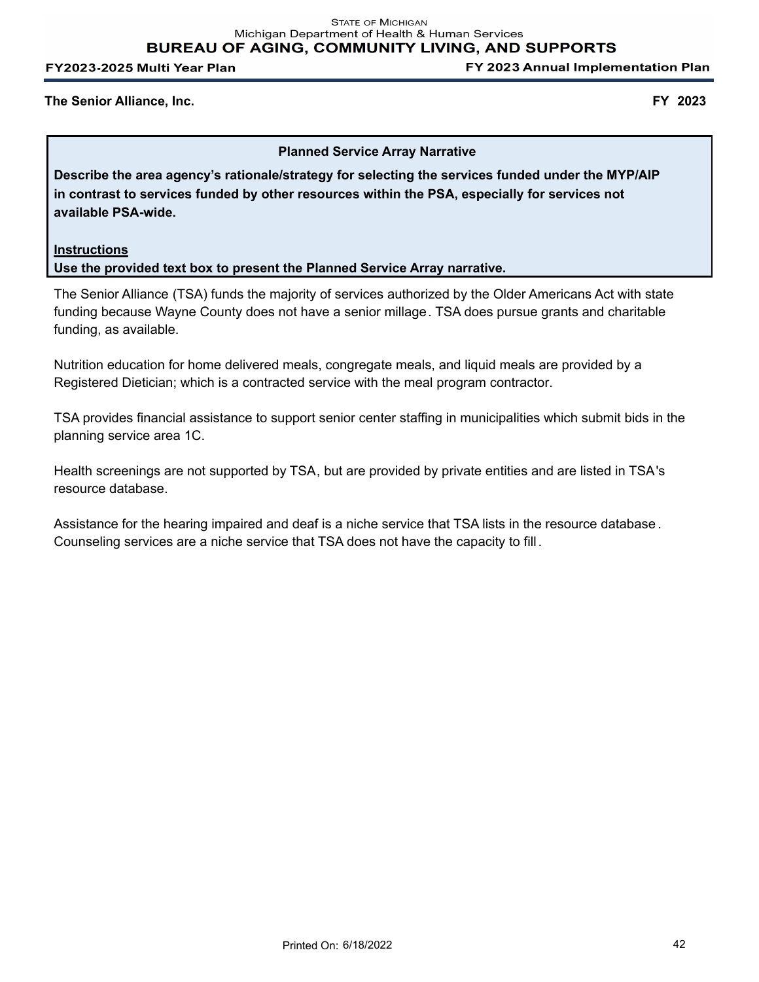**STATE OF MICHIGAN** Michigan Department of Health & Human Services **BUREAU OF AGING, COMMUNITY LIVING, AND SUPPORTS** 

FY2023-2025 Multi Year Plan

FY 2023 Annual Implementation Plan

#### **The Senior Alliance, Inc. FY 2023**

#### **Planned Service Array Narrative**

**Describe the area agency's rationale/strategy for selecting the services funded under the MYP/AIP in contrast to services funded by other resources within the PSA, especially for services not available PSA-wide.**

## **Instructions Use the provided text box to present the Planned Service Array narrative.**

The Senior Alliance (TSA) funds the majority of services authorized by the Older Americans Act with state funding because Wayne County does not have a senior millage. TSA does pursue grants and charitable funding, as available.

Nutrition education for home delivered meals, congregate meals, and liquid meals are provided by a Registered Dietician; which is a contracted service with the meal program contractor.

TSA provides financial assistance to support senior center staffing in municipalities which submit bids in the planning service area 1C.

Health screenings are not supported by TSA, but are provided by private entities and are listed in TSA's resource database.

Assistance for the hearing impaired and deaf is a niche service that TSA lists in the resource database . Counseling services are a niche service that TSA does not have the capacity to fill.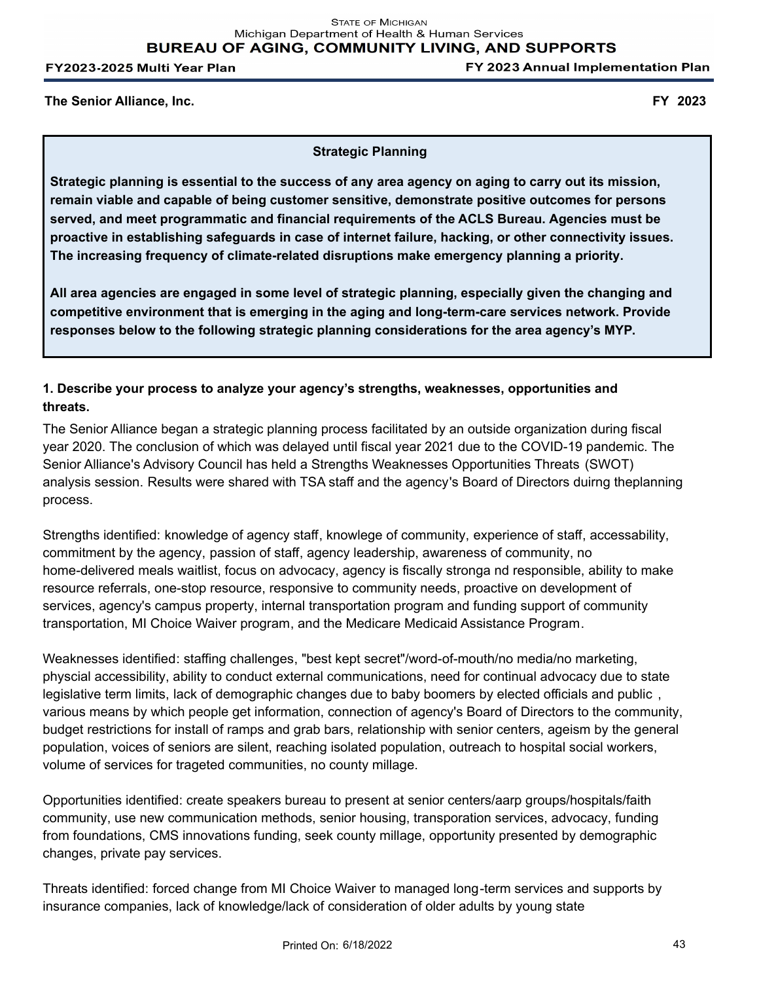FY 2023 Annual Implementation Plan

**The Senior Alliance, Inc. FY 2023**

**Strategic Planning**

**Strategic planning is essential to the success of any area agency on aging to carry out its mission, remain viable and capable of being customer sensitive, demonstrate positive outcomes for persons served, and meet programmatic and financial requirements of the ACLS Bureau. Agencies must be proactive in establishing safeguards in case of internet failure, hacking, or other connectivity issues. The increasing frequency of climate-related disruptions make emergency planning a priority.**

**All area agencies are engaged in some level of strategic planning, especially given the changing and competitive environment that is emerging in the aging and long-term-care services network. Provide responses below to the following strategic planning considerations for the area agency's MYP.** 

# **1. Describe your process to analyze your agency's strengths, weaknesses, opportunities and threats.**

The Senior Alliance began a strategic planning process facilitated by an outside organization during fiscal year 2020. The conclusion of which was delayed until fiscal year 2021 due to the COVID-19 pandemic. The Senior Alliance's Advisory Council has held a Strengths Weaknesses Opportunities Threats (SWOT) analysis session. Results were shared with TSA staff and the agency's Board of Directors duirng theplanning process.

Strengths identified: knowledge of agency staff, knowlege of community, experience of staff, accessability, commitment by the agency, passion of staff, agency leadership, awareness of community, no home-delivered meals waitlist, focus on advocacy, agency is fiscally stronga nd responsible, ability to make resource referrals, one-stop resource, responsive to community needs, proactive on development of services, agency's campus property, internal transportation program and funding support of community transportation, MI Choice Waiver program, and the Medicare Medicaid Assistance Program.

Weaknesses identified: staffing challenges, "best kept secret"/word-of-mouth/no media/no marketing, physcial accessibility, ability to conduct external communications, need for continual advocacy due to state legislative term limits, lack of demographic changes due to baby boomers by elected officials and public , various means by which people get information, connection of agency's Board of Directors to the community, budget restrictions for install of ramps and grab bars, relationship with senior centers, ageism by the general population, voices of seniors are silent, reaching isolated population, outreach to hospital social workers, volume of services for trageted communities, no county millage.

Opportunities identified: create speakers bureau to present at senior centers/aarp groups/hospitals/faith community, use new communication methods, senior housing, transporation services, advocacy, funding from foundations, CMS innovations funding, seek county millage, opportunity presented by demographic changes, private pay services.

Threats identified: forced change from MI Choice Waiver to managed long-term services and supports by insurance companies, lack of knowledge/lack of consideration of older adults by young state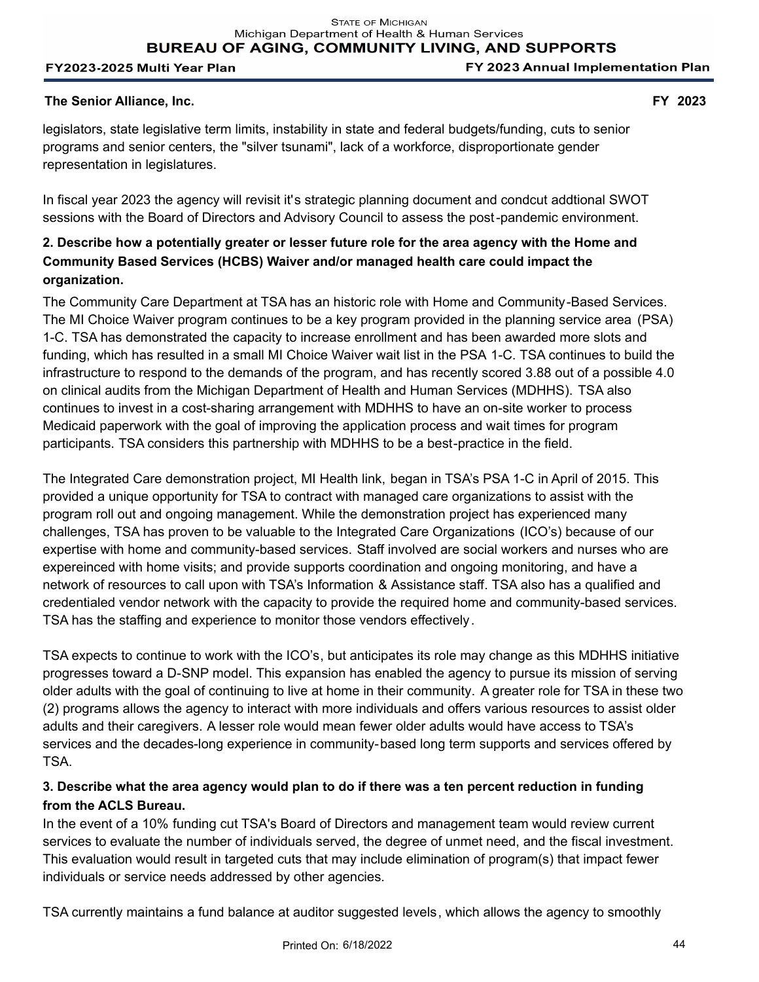FY 2023 Annual Implementation Plan

## **The Senior Alliance, Inc. FY 2023**

legislators, state legislative term limits, instability in state and federal budgets/funding, cuts to senior programs and senior centers, the "silver tsunami", lack of a workforce, disproportionate gender representation in legislatures.

In fiscal year 2023 the agency will revisit it's strategic planning document and condcut addtional SWOT sessions with the Board of Directors and Advisory Council to assess the post-pandemic environment.

# **2. Describe how a potentially greater or lesser future role for the area agency with the Home and Community Based Services (HCBS) Waiver and/or managed health care could impact the organization.**

The Community Care Department at TSA has an historic role with Home and Community-Based Services. The MI Choice Waiver program continues to be a key program provided in the planning service area (PSA) 1-C. TSA has demonstrated the capacity to increase enrollment and has been awarded more slots and funding, which has resulted in a small MI Choice Waiver wait list in the PSA 1-C. TSA continues to build the infrastructure to respond to the demands of the program, and has recently scored 3.88 out of a possible 4.0 on clinical audits from the Michigan Department of Health and Human Services (MDHHS). TSA also continues to invest in a cost-sharing arrangement with MDHHS to have an on-site worker to process Medicaid paperwork with the goal of improving the application process and wait times for program participants. TSA considers this partnership with MDHHS to be a best-practice in the field.

The Integrated Care demonstration project, MI Health link, began in TSA's PSA 1-C in April of 2015. This provided a unique opportunity for TSA to contract with managed care organizations to assist with the program roll out and ongoing management. While the demonstration project has experienced many challenges, TSA has proven to be valuable to the Integrated Care Organizations (ICO's) because of our expertise with home and community-based services. Staff involved are social workers and nurses who are expereinced with home visits; and provide supports coordination and ongoing monitoring, and have a network of resources to call upon with TSA's Information & Assistance staff. TSA also has a qualified and credentialed vendor network with the capacity to provide the required home and community-based services. TSA has the staffing and experience to monitor those vendors effectively.

TSA expects to continue to work with the ICO's, but anticipates its role may change as this MDHHS initiative progresses toward a D-SNP model. This expansion has enabled the agency to pursue its mission of serving older adults with the goal of continuing to live at home in their community. A greater role for TSA in these two (2) programs allows the agency to interact with more individuals and offers various resources to assist older adults and their caregivers. A lesser role would mean fewer older adults would have access to TSA's services and the decades-long experience in community-based long term supports and services offered by TSA.

# **3. Describe what the area agency would plan to do if there was a ten percent reduction in funding from the ACLS Bureau.**

In the event of a 10% funding cut TSA's Board of Directors and management team would review current services to evaluate the number of individuals served, the degree of unmet need, and the fiscal investment. This evaluation would result in targeted cuts that may include elimination of program(s) that impact fewer individuals or service needs addressed by other agencies.

TSA currently maintains a fund balance at auditor suggested levels, which allows the agency to smoothly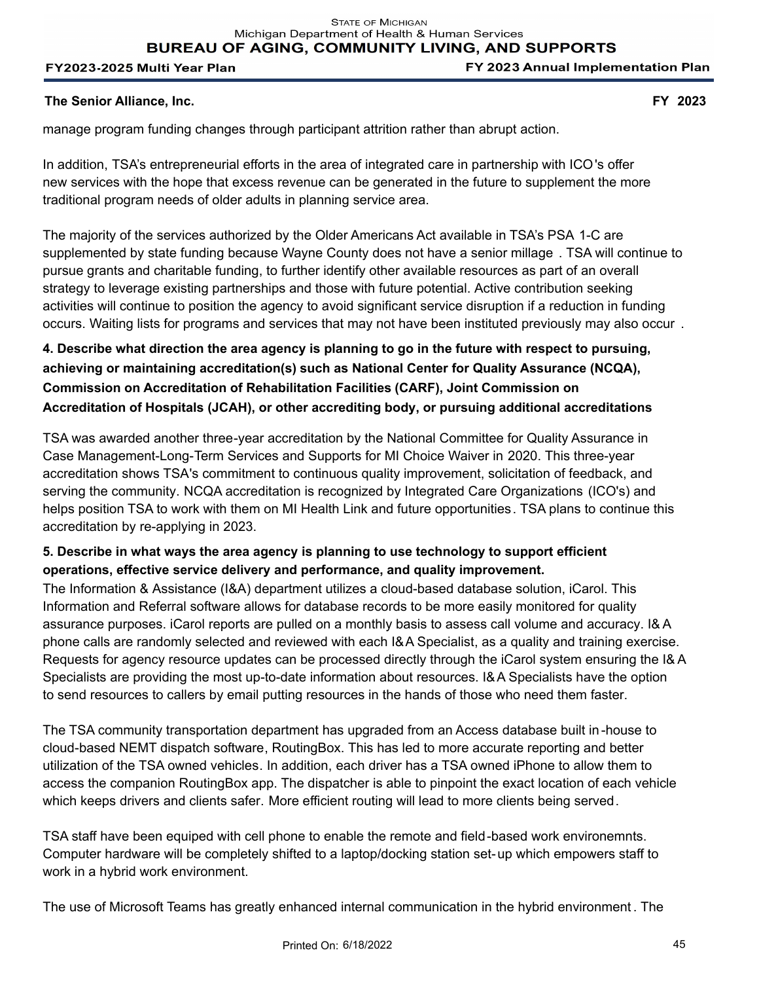**BUREAU OF AGING, COMMUNITY LIVING, AND SUPPORTS** 

#### FY2023-2025 Multi Year Plan

FY 2023 Annual Implementation Plan

## **The Senior Alliance, Inc. FY 2023**

manage program funding changes through participant attrition rather than abrupt action.

In addition, TSA's entrepreneurial efforts in the area of integrated care in partnership with ICO's offer new services with the hope that excess revenue can be generated in the future to supplement the more traditional program needs of older adults in planning service area.

The majority of the services authorized by the Older Americans Act available in TSA's PSA 1-C are supplemented by state funding because Wayne County does not have a senior millage . TSA will continue to pursue grants and charitable funding, to further identify other available resources as part of an overall strategy to leverage existing partnerships and those with future potential. Active contribution seeking activities will continue to position the agency to avoid significant service disruption if a reduction in funding occurs. Waiting lists for programs and services that may not have been instituted previously may also occur .

**4. Describe what direction the area agency is planning to go in the future with respect to pursuing, achieving or maintaining accreditation(s) such as National Center for Quality Assurance (NCQA), Commission on Accreditation of Rehabilitation Facilities (CARF), Joint Commission on Accreditation of Hospitals (JCAH), or other accrediting body, or pursuing additional accreditations** 

TSA was awarded another three-year accreditation by the National Committee for Quality Assurance in Case Management-Long-Term Services and Supports for MI Choice Waiver in 2020. This three-year accreditation shows TSA's commitment to continuous quality improvement, solicitation of feedback, and serving the community. NCQA accreditation is recognized by Integrated Care Organizations (ICO's) and helps position TSA to work with them on MI Health Link and future opportunities. TSA plans to continue this accreditation by re-applying in 2023.

# **5. Describe in what ways the area agency is planning to use technology to support efficient operations, effective service delivery and performance, and quality improvement.**

The Information & Assistance (I&A) department utilizes a cloud-based database solution, iCarol. This Information and Referral software allows for database records to be more easily monitored for quality assurance purposes. iCarol reports are pulled on a monthly basis to assess call volume and accuracy. I& A phone calls are randomly selected and reviewed with each I&A Specialist, as a quality and training exercise. Requests for agency resource updates can be processed directly through the iCarol system ensuring the I& A Specialists are providing the most up-to-date information about resources. I&A Specialists have the option to send resources to callers by email putting resources in the hands of those who need them faster.

The TSA community transportation department has upgraded from an Access database built in-house to cloud-based NEMT dispatch software, RoutingBox. This has led to more accurate reporting and better utilization of the TSA owned vehicles. In addition, each driver has a TSA owned iPhone to allow them to access the companion RoutingBox app. The dispatcher is able to pinpoint the exact location of each vehicle which keeps drivers and clients safer. More efficient routing will lead to more clients being served.

TSA staff have been equiped with cell phone to enable the remote and field-based work environemnts. Computer hardware will be completely shifted to a laptop/docking station set-up which empowers staff to work in a hybrid work environment.

The use of Microsoft Teams has greatly enhanced internal communication in the hybrid environment . The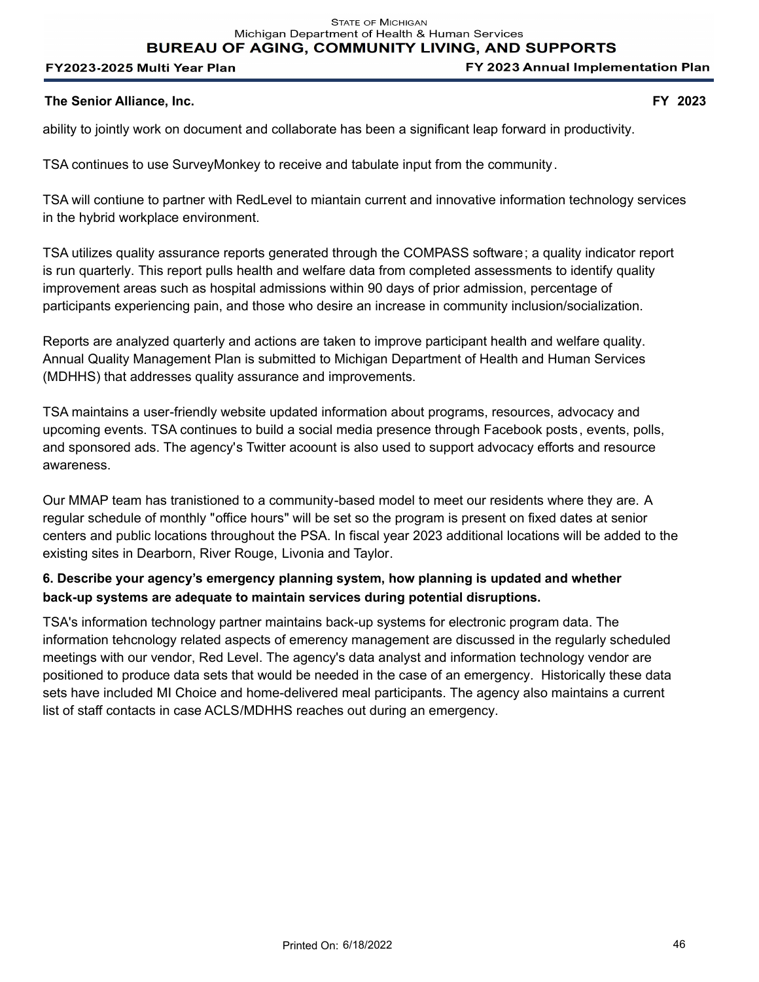**BUREAU OF AGING, COMMUNITY LIVING, AND SUPPORTS** 

#### FY2023-2025 Multi Year Plan

FY 2023 Annual Implementation Plan

#### **The Senior Alliance, Inc. FY 2023**

ability to jointly work on document and collaborate has been a significant leap forward in productivity.

TSA continues to use SurveyMonkey to receive and tabulate input from the community.

TSA will contiune to partner with RedLevel to miantain current and innovative information technology services in the hybrid workplace environment.

TSA utilizes quality assurance reports generated through the COMPASS software; a quality indicator report is run quarterly. This report pulls health and welfare data from completed assessments to identify quality improvement areas such as hospital admissions within 90 days of prior admission, percentage of participants experiencing pain, and those who desire an increase in community inclusion/socialization.

Reports are analyzed quarterly and actions are taken to improve participant health and welfare quality. Annual Quality Management Plan is submitted to Michigan Department of Health and Human Services (MDHHS) that addresses quality assurance and improvements.

TSA maintains a user-friendly website updated information about programs, resources, advocacy and upcoming events. TSA continues to build a social media presence through Facebook posts, events, polls, and sponsored ads. The agency's Twitter acoount is also used to support advocacy efforts and resource awareness.

Our MMAP team has tranistioned to a community-based model to meet our residents where they are. A regular schedule of monthly "office hours" will be set so the program is present on fixed dates at senior centers and public locations throughout the PSA. In fiscal year 2023 additional locations will be added to the existing sites in Dearborn, River Rouge, Livonia and Taylor.

# **6. Describe your agency's emergency planning system, how planning is updated and whether back-up systems are adequate to maintain services during potential disruptions.**

TSA's information technology partner maintains back-up systems for electronic program data. The information tehcnology related aspects of emerency management are discussed in the regularly scheduled meetings with our vendor, Red Level. The agency's data analyst and information technology vendor are positioned to produce data sets that would be needed in the case of an emergency. Historically these data sets have included MI Choice and home-delivered meal participants. The agency also maintains a current list of staff contacts in case ACLS/MDHHS reaches out during an emergency.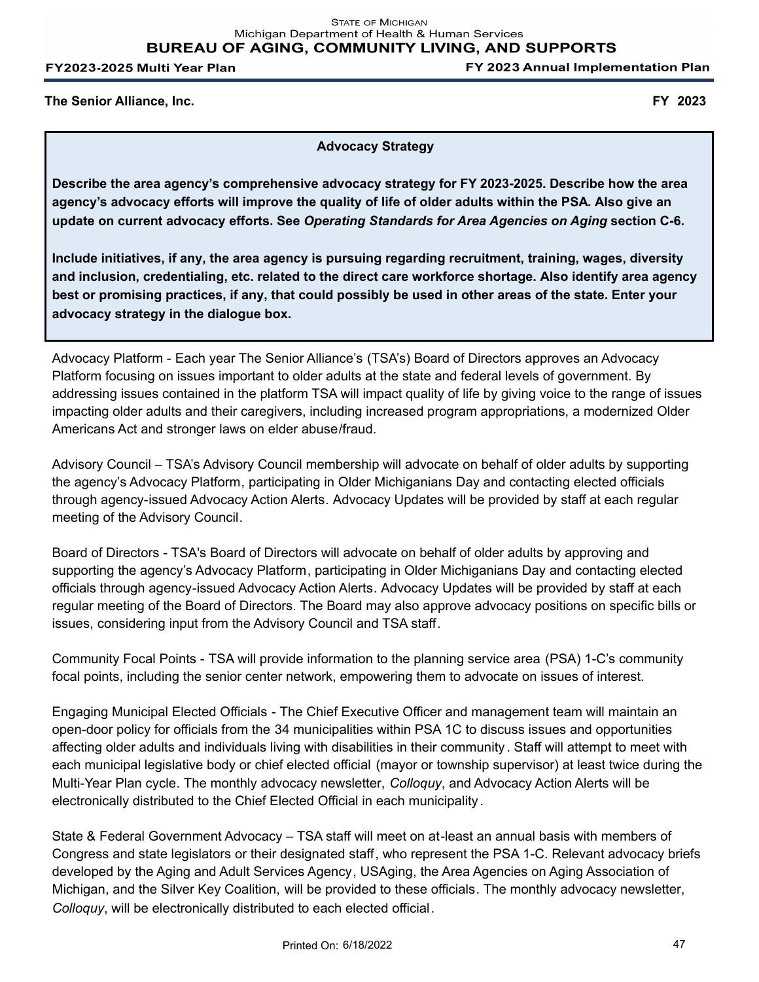FY 2023 Annual Implementation Plan

**The Senior Alliance, Inc. FY 2023**

**Advocacy Strategy**

**Describe the area agency's comprehensive advocacy strategy for FY 2023-2025. Describe how the area agency's advocacy efforts will improve the quality of life of older adults within the PSA. Also give an update on current advocacy efforts. See** *Operating Standards for Area Agencies on Aging* **section C-6.**

**Include initiatives, if any, the area agency is pursuing regarding recruitment, training, wages, diversity and inclusion, credentialing, etc. related to the direct care workforce shortage. Also identify area agency best or promising practices, if any, that could possibly be used in other areas of the state. Enter your advocacy strategy in the dialogue box.**

Advocacy Platform - Each year The Senior Alliance's (TSA's) Board of Directors approves an Advocacy Platform focusing on issues important to older adults at the state and federal levels of government. By addressing issues contained in the platform TSA will impact quality of life by giving voice to the range of issues impacting older adults and their caregivers, including increased program appropriations, a modernized Older Americans Act and stronger laws on elder abuse/fraud.

Advisory Council – TSA's Advisory Council membership will advocate on behalf of older adults by supporting the agency's Advocacy Platform, participating in Older Michiganians Day and contacting elected officials through agency-issued Advocacy Action Alerts. Advocacy Updates will be provided by staff at each regular meeting of the Advisory Council.

Board of Directors - TSA's Board of Directors will advocate on behalf of older adults by approving and supporting the agency's Advocacy Platform, participating in Older Michiganians Day and contacting elected officials through agency-issued Advocacy Action Alerts. Advocacy Updates will be provided by staff at each regular meeting of the Board of Directors. The Board may also approve advocacy positions on specific bills or issues, considering input from the Advisory Council and TSA staff.

Community Focal Points - TSA will provide information to the planning service area (PSA) 1-C's community focal points, including the senior center network, empowering them to advocate on issues of interest.

Engaging Municipal Elected Officials - The Chief Executive Officer and management team will maintain an open-door policy for officials from the 34 municipalities within PSA 1C to discuss issues and opportunities affecting older adults and individuals living with disabilities in their community . Staff will attempt to meet with each municipal legislative body or chief elected official (mayor or township supervisor) at least twice during the Multi-Year Plan cycle. The monthly advocacy newsletter, *Colloquy*, and Advocacy Action Alerts will be electronically distributed to the Chief Elected Official in each municipality.

State & Federal Government Advocacy – TSA staff will meet on at-least an annual basis with members of Congress and state legislators or their designated staff, who represent the PSA 1-C. Relevant advocacy briefs developed by the Aging and Adult Services Agency, USAging, the Area Agencies on Aging Association of Michigan, and the Silver Key Coalition, will be provided to these officials. The monthly advocacy newsletter, *Colloquy*, will be electronically distributed to each elected official.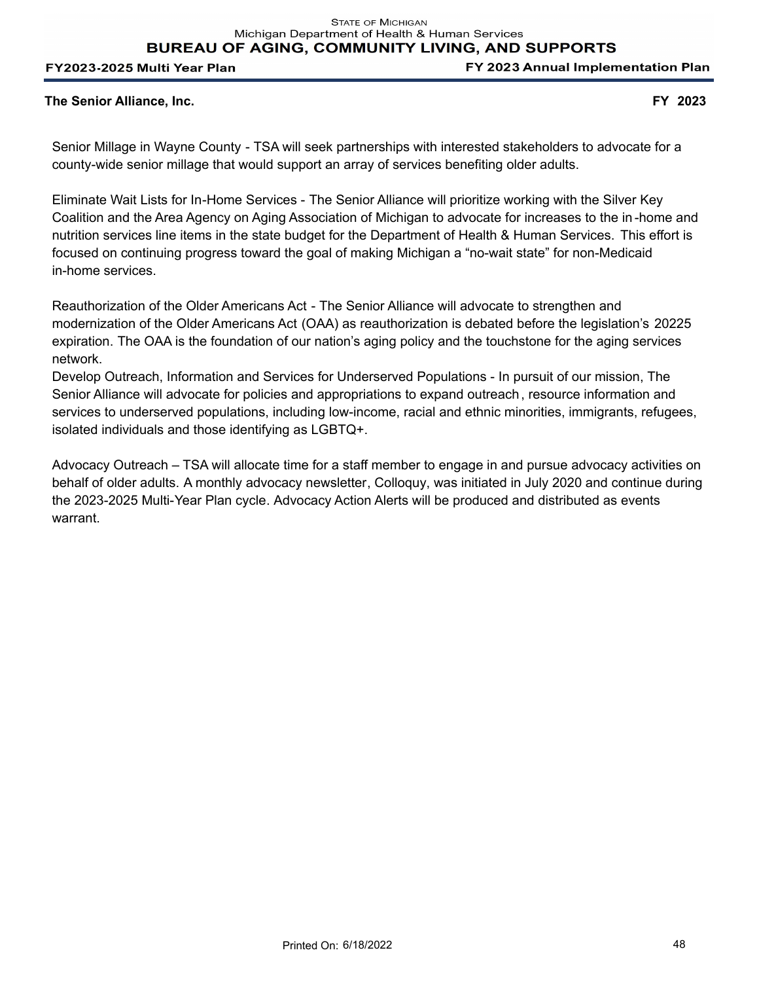**BUREAU OF AGING, COMMUNITY LIVING, AND SUPPORTS** 

#### FY2023-2025 Multi Year Plan

FY 2023 Annual Implementation Plan

### **The Senior Alliance, Inc. FY 2023**

Senior Millage in Wayne County - TSA will seek partnerships with interested stakeholders to advocate for a county-wide senior millage that would support an array of services benefiting older adults.

Eliminate Wait Lists for In-Home Services - The Senior Alliance will prioritize working with the Silver Key Coalition and the Area Agency on Aging Association of Michigan to advocate for increases to the in -home and nutrition services line items in the state budget for the Department of Health & Human Services. This effort is focused on continuing progress toward the goal of making Michigan a "no-wait state" for non-Medicaid in-home services.

Reauthorization of the Older Americans Act - The Senior Alliance will advocate to strengthen and modernization of the Older Americans Act (OAA) as reauthorization is debated before the legislation's 20225 expiration. The OAA is the foundation of our nation's aging policy and the touchstone for the aging services network.

Develop Outreach, Information and Services for Underserved Populations - In pursuit of our mission, The Senior Alliance will advocate for policies and appropriations to expand outreach, resource information and services to underserved populations, including low-income, racial and ethnic minorities, immigrants, refugees, isolated individuals and those identifying as LGBTQ+.

Advocacy Outreach – TSA will allocate time for a staff member to engage in and pursue advocacy activities on behalf of older adults. A monthly advocacy newsletter, Colloquy, was initiated in July 2020 and continue during the 2023-2025 Multi-Year Plan cycle. Advocacy Action Alerts will be produced and distributed as events warrant.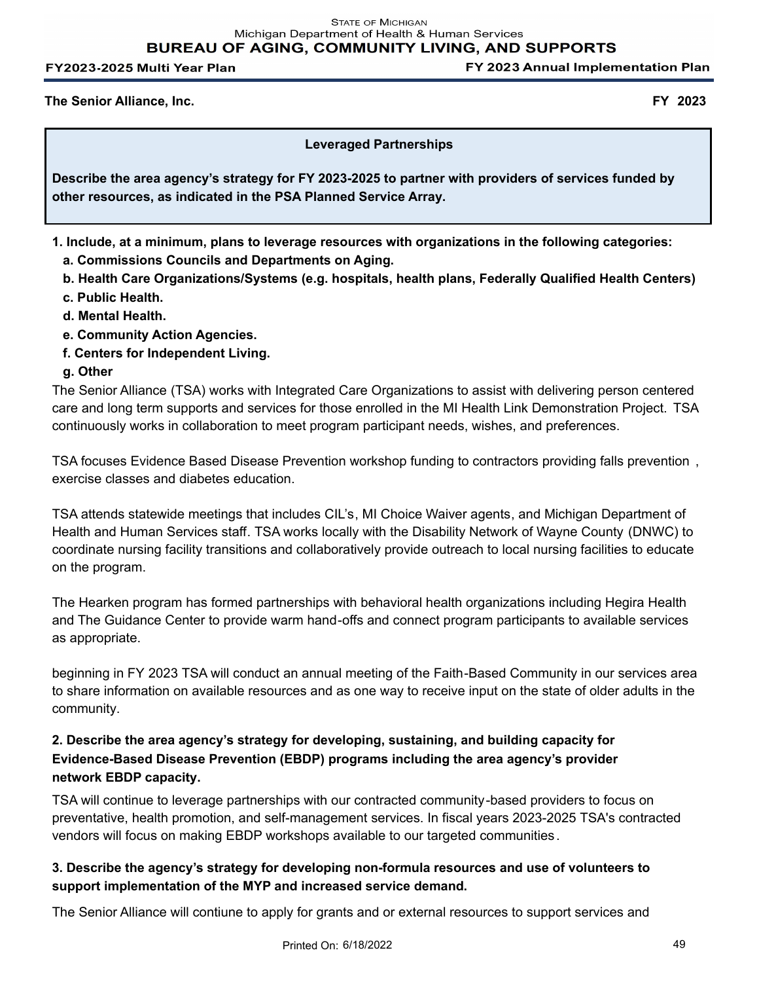FY 2023 Annual Implementation Plan

**The Senior Alliance, Inc. FY 2023**

## **Leveraged Partnerships**

**Describe the area agency's strategy for FY 2023-2025 to partner with providers of services funded by other resources, as indicated in the PSA Planned Service Array.**

- **1. Include, at a minimum, plans to leverage resources with organizations in the following categories:** 
	- **a. Commissions Councils and Departments on Aging.**
	- **b. Health Care Organizations/Systems (e.g. hospitals, health plans, Federally Qualified Health Centers)**
	- **c. Public Health.**
	- **d. Mental Health.**
	- **e. Community Action Agencies.**
	- **f. Centers for Independent Living.**

# **g. Other**

The Senior Alliance (TSA) works with Integrated Care Organizations to assist with delivering person centered care and long term supports and services for those enrolled in the MI Health Link Demonstration Project. TSA continuously works in collaboration to meet program participant needs, wishes, and preferences.

TSA focuses Evidence Based Disease Prevention workshop funding to contractors providing falls prevention , exercise classes and diabetes education.

TSA attends statewide meetings that includes CIL's, MI Choice Waiver agents, and Michigan Department of Health and Human Services staff. TSA works locally with the Disability Network of Wayne County (DNWC) to coordinate nursing facility transitions and collaboratively provide outreach to local nursing facilities to educate on the program.

The Hearken program has formed partnerships with behavioral health organizations including Hegira Health and The Guidance Center to provide warm hand-offs and connect program participants to available services as appropriate.

beginning in FY 2023 TSA will conduct an annual meeting of the Faith-Based Community in our services area to share information on available resources and as one way to receive input on the state of older adults in the community.

# **2. Describe the area agency's strategy for developing, sustaining, and building capacity for Evidence-Based Disease Prevention (EBDP) programs including the area agency's provider network EBDP capacity.**

TSA will continue to leverage partnerships with our contracted community-based providers to focus on preventative, health promotion, and self-management services. In fiscal years 2023-2025 TSA's contracted vendors will focus on making EBDP workshops available to our targeted communities.

# **3. Describe the agency's strategy for developing non-formula resources and use of volunteers to support implementation of the MYP and increased service demand.**

The Senior Alliance will contiune to apply for grants and or external resources to support services and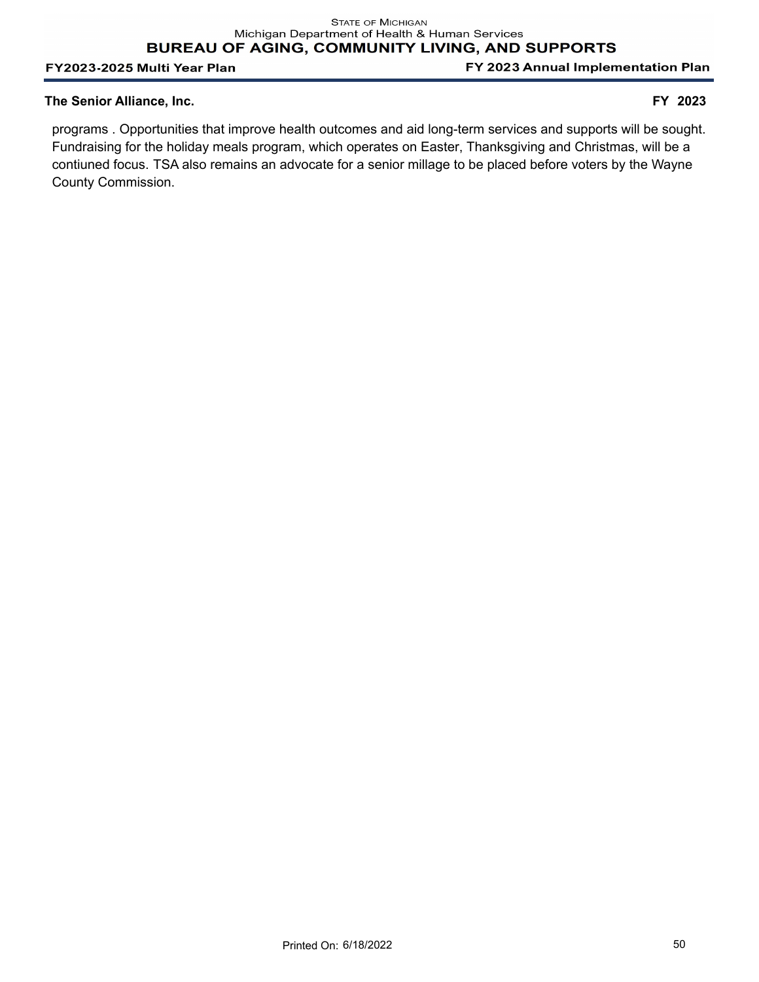FY 2023 Annual Implementation Plan

### **The Senior Alliance, Inc. FY 2023**

programs . Opportunities that improve health outcomes and aid long-term services and supports will be sought. Fundraising for the holiday meals program, which operates on Easter, Thanksgiving and Christmas, will be a contiuned focus. TSA also remains an advocate for a senior millage to be placed before voters by the Wayne County Commission.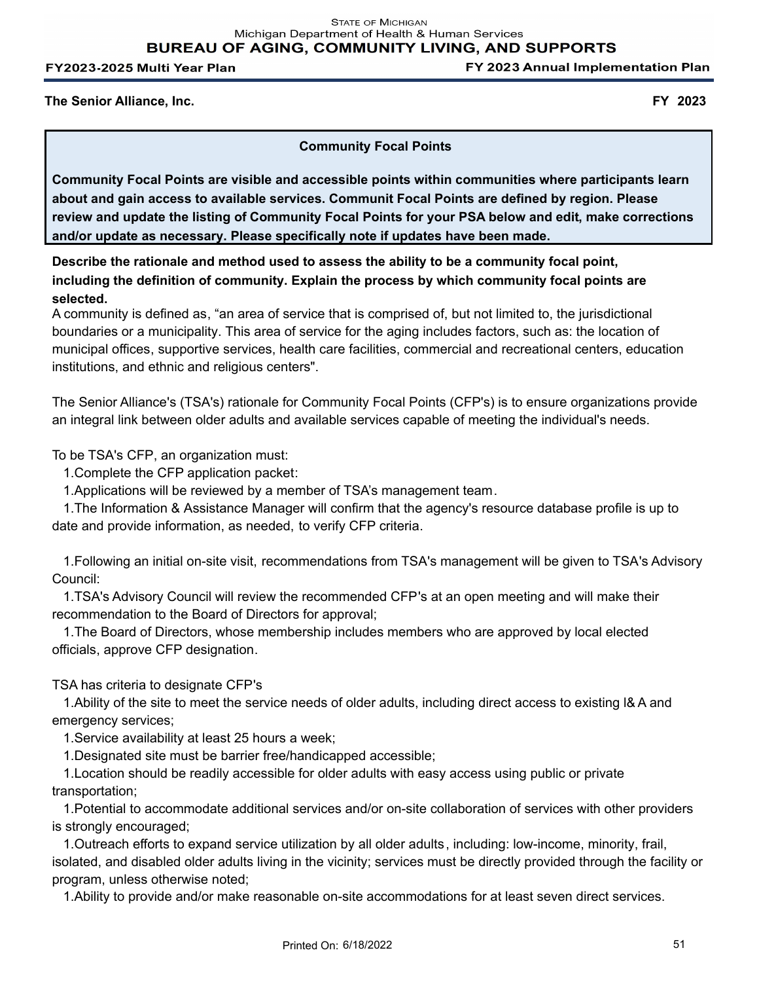**STATE OF MICHIGAN** Michigan Department of Health & Human Services **BUREAU OF AGING, COMMUNITY LIVING, AND SUPPORTS** 

FY2023-2025 Multi Year Plan

FY 2023 Annual Implementation Plan

**The Senior Alliance, Inc. FY 2023**

**Community Focal Points**

**Community Focal Points are visible and accessible points within communities where participants learn about and gain access to available services. Communit Focal Points are defined by region. Please review and update the listing of Community Focal Points for your PSA below and edit, make corrections and/or update as necessary. Please specifically note if updates have been made.** 

**Describe the rationale and method used to assess the ability to be a community focal point, including the definition of community. Explain the process by which community focal points are selected.** 

A community is defined as, "an area of service that is comprised of, but not limited to, the jurisdictional boundaries or a municipality. This area of service for the aging includes factors, such as: the location of municipal offices, supportive services, health care facilities, commercial and recreational centers, education institutions, and ethnic and religious centers".

The Senior Alliance's (TSA's) rationale for Community Focal Points (CFP's) is to ensure organizations provide an integral link between older adults and available services capable of meeting the individual's needs.

To be TSA's CFP, an organization must:

1.Complete the CFP application packet:

1.Applications will be reviewed by a member of TSA's management team.

 1.The Information & Assistance Manager will confirm that the agency's resource database profile is up to date and provide information, as needed, to verify CFP criteria.

 1.Following an initial on-site visit, recommendations from TSA's management will be given to TSA's Advisory Council:

 1.TSA's Advisory Council will review the recommended CFP's at an open meeting and will make their recommendation to the Board of Directors for approval;

 1.The Board of Directors, whose membership includes members who are approved by local elected officials, approve CFP designation.

TSA has criteria to designate CFP's

 1.Ability of the site to meet the service needs of older adults, including direct access to existing l& A and emergency services;

1.Service availability at least 25 hours a week;

1.Designated site must be barrier free/handicapped accessible;

 1.Location should be readily accessible for older adults with easy access using public or private transportation;

 1.Potential to accommodate additional services and/or on-site collaboration of services with other providers is strongly encouraged;

 1.Outreach efforts to expand service utilization by all older adults, including: low-income, minority, frail, isolated, and disabled older adults living in the vicinity; services must be directly provided through the facility or program, unless otherwise noted;

1.Ability to provide and/or make reasonable on-site accommodations for at least seven direct services.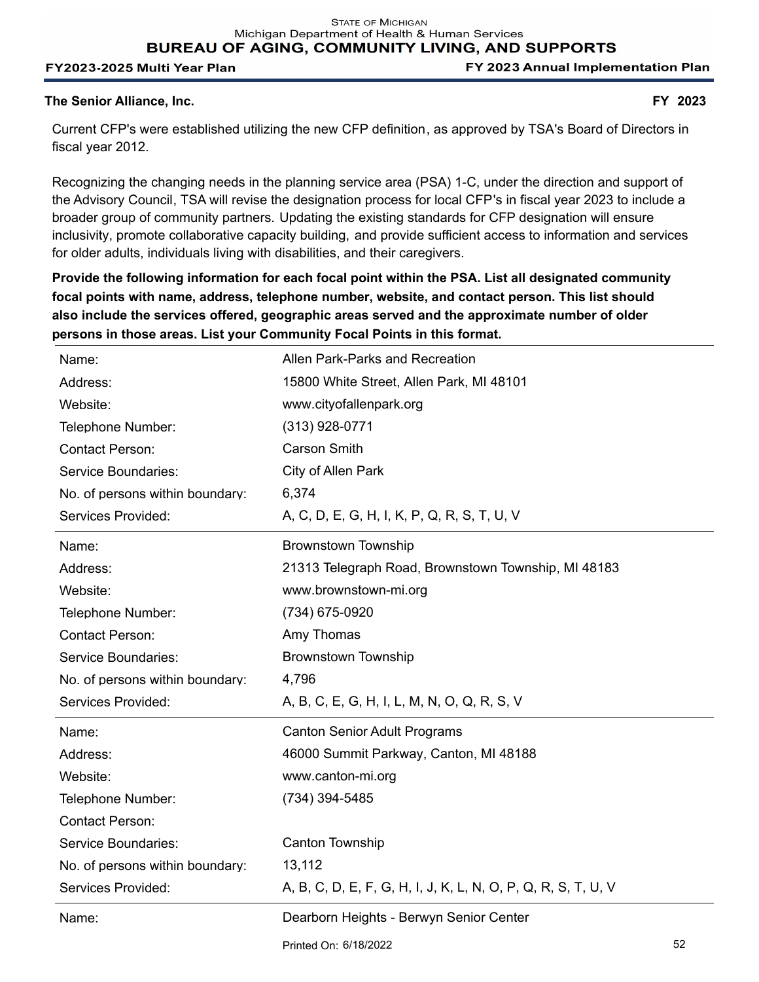Michigan Department of Health & Human Services

**BUREAU OF AGING, COMMUNITY LIVING, AND SUPPORTS** 

#### FY2023-2025 Multi Year Plan

FY 2023 Annual Implementation Plan

#### **The Senior Alliance, Inc. FY 2023**

Current CFP's were established utilizing the new CFP definition, as approved by TSA's Board of Directors in fiscal year 2012.

Recognizing the changing needs in the planning service area (PSA) 1-C, under the direction and support of the Advisory Council, TSA will revise the designation process for local CFP's in fiscal year 2023 to include a broader group of community partners. Updating the existing standards for CFP designation will ensure inclusivity, promote collaborative capacity building, and provide sufficient access to information and services for older adults, individuals living with disabilities, and their caregivers.

**Provide the following information for each focal point within the PSA. List all designated community focal points with name, address, telephone number, website, and contact person. This list should also include the services offered, geographic areas served and the approximate number of older persons in those areas. List your Community Focal Points in this format.**

| Name:                           | Allen Park-Parks and Recreation                               |  |
|---------------------------------|---------------------------------------------------------------|--|
| Address:                        | 15800 White Street, Allen Park, MI 48101                      |  |
| Website:                        | www.cityofallenpark.org                                       |  |
| Telephone Number:               | $(313)$ 928-0771                                              |  |
| <b>Contact Person:</b>          | <b>Carson Smith</b>                                           |  |
| Service Boundaries:             | City of Allen Park                                            |  |
| No. of persons within boundary: | 6,374                                                         |  |
| Services Provided:              | A, C, D, E, G, H, I, K, P, Q, R, S, T, U, V                   |  |
| Name:                           | <b>Brownstown Township</b>                                    |  |
| Address:                        | 21313 Telegraph Road, Brownstown Township, MI 48183           |  |
| Website:                        | www.brownstown-mi.org                                         |  |
| Telephone Number:               | (734) 675-0920                                                |  |
| <b>Contact Person:</b>          | Amy Thomas                                                    |  |
| Service Boundaries:             | <b>Brownstown Township</b>                                    |  |
| No. of persons within boundary: | 4,796                                                         |  |
| Services Provided:              | A, B, C, E, G, H, I, L, M, N, O, Q, R, S, V                   |  |
| Name:                           | <b>Canton Senior Adult Programs</b>                           |  |
| Address:                        | 46000 Summit Parkway, Canton, MI 48188                        |  |
| Website:                        | www.canton-mi.org                                             |  |
| Telephone Number:               | (734) 394-5485                                                |  |
|                                 |                                                               |  |
| <b>Contact Person:</b>          |                                                               |  |
| Service Boundaries:             | Canton Township                                               |  |
| No. of persons within boundary: | 13,112                                                        |  |
| Services Provided:              | A, B, C, D, E, F, G, H, I, J, K, L, N, O, P, Q, R, S, T, U, V |  |
| Name:                           | Dearborn Heights - Berwyn Senior Center                       |  |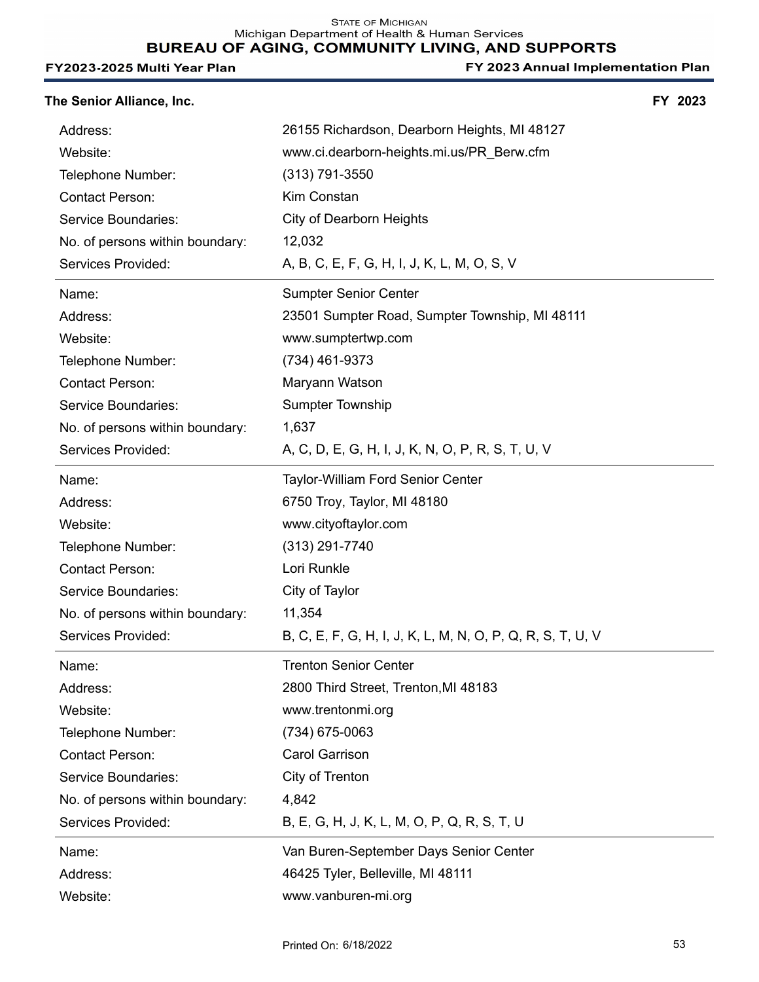| The Senior Alliance, Inc.       |                                                            | FY 2023 |
|---------------------------------|------------------------------------------------------------|---------|
| Address:                        | 26155 Richardson, Dearborn Heights, MI 48127               |         |
| Website:                        | www.ci.dearborn-heights.mi.us/PR_Berw.cfm                  |         |
| Telephone Number:               | $(313)$ 791-3550                                           |         |
| <b>Contact Person:</b>          | Kim Constan                                                |         |
| Service Boundaries:             | City of Dearborn Heights                                   |         |
| No. of persons within boundary: | 12,032                                                     |         |
| Services Provided:              | A, B, C, E, F, G, H, I, J, K, L, M, O, S, V                |         |
| Name:                           | <b>Sumpter Senior Center</b>                               |         |
| Address:                        | 23501 Sumpter Road, Sumpter Township, MI 48111             |         |
| Website:                        | www.sumptertwp.com                                         |         |
| Telephone Number:               | (734) 461-9373                                             |         |
| <b>Contact Person:</b>          | Maryann Watson                                             |         |
| Service Boundaries:             | <b>Sumpter Township</b>                                    |         |
| No. of persons within boundary: | 1,637                                                      |         |
| Services Provided:              | A, C, D, E, G, H, I, J, K, N, O, P, R, S, T, U, V          |         |
| Name:                           | Taylor-William Ford Senior Center                          |         |
| Address:                        | 6750 Troy, Taylor, MI 48180                                |         |
| Website:                        | www.cityoftaylor.com                                       |         |
| Telephone Number:               | $(313)$ 291-7740                                           |         |
| <b>Contact Person:</b>          | Lori Runkle                                                |         |
| Service Boundaries:             | City of Taylor                                             |         |
| No. of persons within boundary: | 11,354                                                     |         |
| Services Provided:              | B, C, E, F, G, H, I, J, K, L, M, N, O, P, Q, R, S, T, U, V |         |
| Name:                           | <b>Trenton Senior Center</b>                               |         |
| Address:                        | 2800 Third Street, Trenton, MI 48183                       |         |
| Website:                        | www.trentonmi.org                                          |         |
| Telephone Number:               | (734) 675-0063                                             |         |
| <b>Contact Person:</b>          | Carol Garrison                                             |         |
| Service Boundaries:             | City of Trenton                                            |         |
| No. of persons within boundary: | 4,842                                                      |         |
| Services Provided:              | B, E, G, H, J, K, L, M, O, P, Q, R, S, T, U                |         |
| Name:                           | Van Buren-September Days Senior Center                     |         |
| Address:                        | 46425 Tyler, Belleville, MI 48111                          |         |
| Website:                        | www.vanburen-mi.org                                        |         |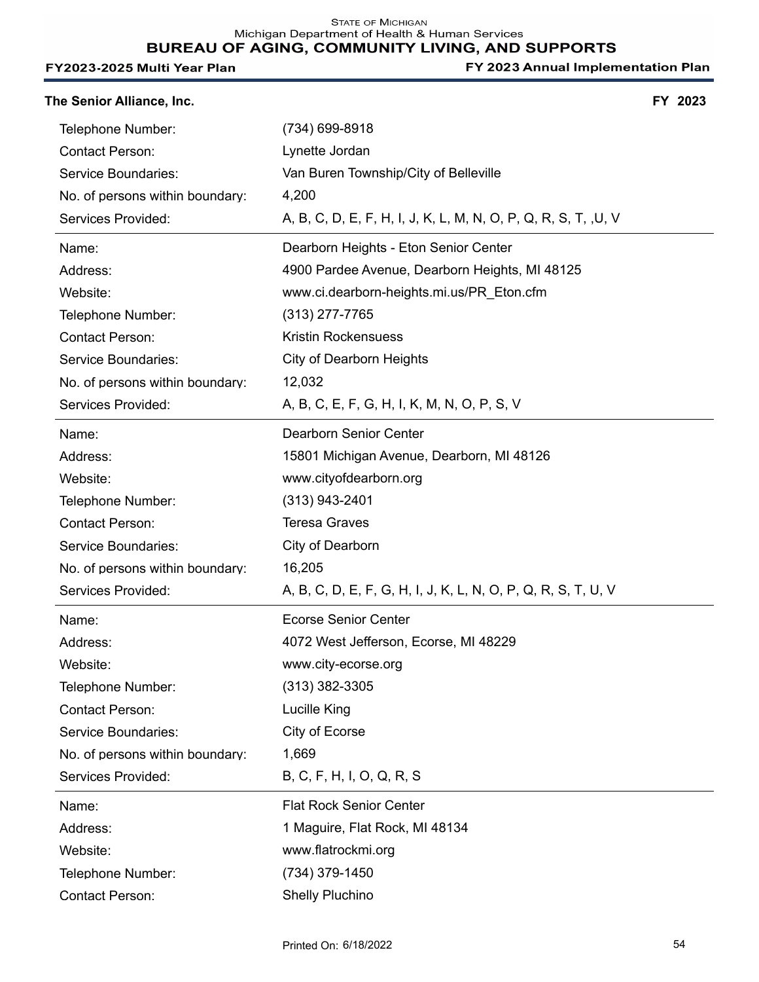STATE OF MICHIGAN<br>Michigan Department of Health & Human Services BUREAU OF AGING, COMMUNITY LIVING, AND SUPPORTS

#### FY2023-2025 Multi Year Plan

| The Senior Alliance, Inc.       |                                                                | FY 2023 |
|---------------------------------|----------------------------------------------------------------|---------|
| Telephone Number:               | (734) 699-8918                                                 |         |
| <b>Contact Person:</b>          | Lynette Jordan                                                 |         |
| Service Boundaries:             | Van Buren Township/City of Belleville                          |         |
| No. of persons within boundary: | 4,200                                                          |         |
| Services Provided:              | A, B, C, D, E, F, H, I, J, K, L, M, N, O, P, Q, R, S, T, ,U, V |         |
| Name:                           | Dearborn Heights - Eton Senior Center                          |         |
| Address:                        | 4900 Pardee Avenue, Dearborn Heights, MI 48125                 |         |
| Website:                        | www.ci.dearborn-heights.mi.us/PR_Eton.cfm                      |         |
| Telephone Number:               | (313) 277-7765                                                 |         |
| <b>Contact Person:</b>          | <b>Kristin Rockensuess</b>                                     |         |
| Service Boundaries:             | City of Dearborn Heights                                       |         |
| No. of persons within boundary: | 12,032                                                         |         |
| Services Provided:              | A, B, C, E, F, G, H, I, K, M, N, O, P, S, V                    |         |
| Name:                           | <b>Dearborn Senior Center</b>                                  |         |
| Address:                        | 15801 Michigan Avenue, Dearborn, MI 48126                      |         |
| Website:                        | www.cityofdearborn.org                                         |         |
| Telephone Number:               | $(313)$ 943-2401                                               |         |
| <b>Contact Person:</b>          | <b>Teresa Graves</b>                                           |         |
| Service Boundaries:             | City of Dearborn                                               |         |
| No. of persons within boundary: | 16,205                                                         |         |
| Services Provided:              | A, B, C, D, E, F, G, H, I, J, K, L, N, O, P, Q, R, S, T, U, V  |         |
| Name:                           | <b>Ecorse Senior Center</b>                                    |         |
| Address:                        | 4072 West Jefferson, Ecorse, MI 48229                          |         |
| Website:                        | www.city-ecorse.org                                            |         |
| Telephone Number:               | $(313)$ 382-3305                                               |         |
| <b>Contact Person:</b>          | Lucille King                                                   |         |
| Service Boundaries:             | City of Ecorse                                                 |         |
| No. of persons within boundary: | 1,669                                                          |         |
| Services Provided:              | B, C, F, H, I, O, Q, R, S                                      |         |
| Name:                           | <b>Flat Rock Senior Center</b>                                 |         |
| Address:                        | 1 Maguire, Flat Rock, MI 48134                                 |         |
| Website:                        | www.flatrockmi.org                                             |         |
| Telephone Number:               | (734) 379-1450                                                 |         |
| <b>Contact Person:</b>          | <b>Shelly Pluchino</b>                                         |         |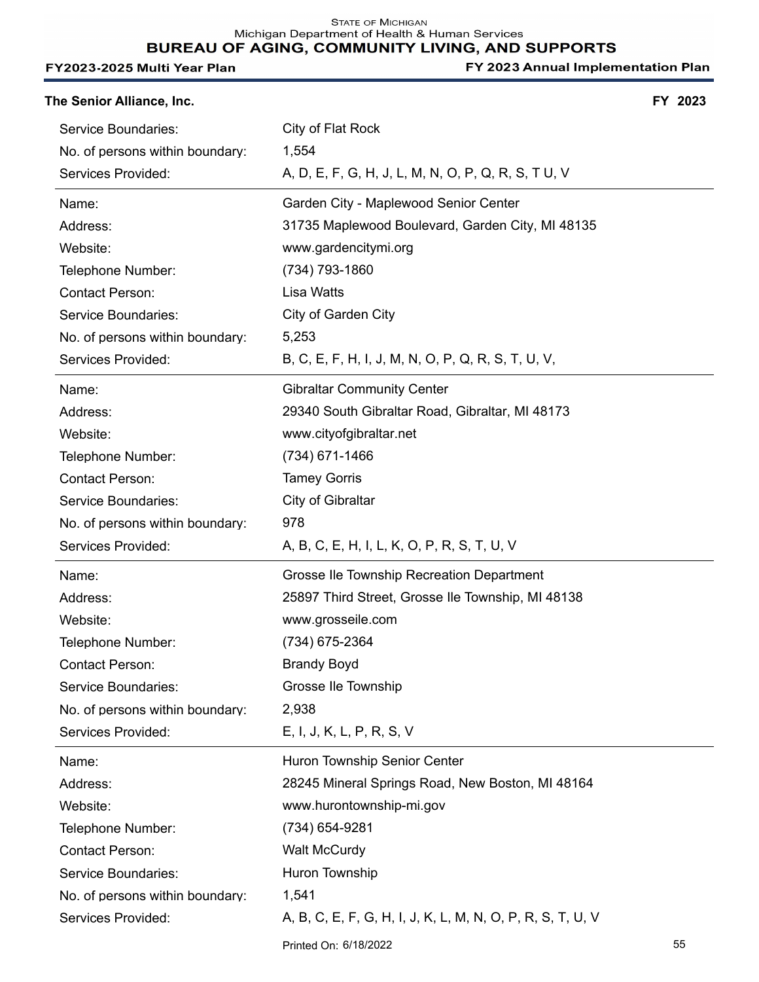| The Senior Alliance, Inc.       |                                                            | FY 2023 |
|---------------------------------|------------------------------------------------------------|---------|
| Service Boundaries:             | City of Flat Rock                                          |         |
| No. of persons within boundary: | 1,554                                                      |         |
| Services Provided:              | A, D, E, F, G, H, J, L, M, N, O, P, Q, R, S, T U, V        |         |
| Name:                           | Garden City - Maplewood Senior Center                      |         |
| Address:                        | 31735 Maplewood Boulevard, Garden City, MI 48135           |         |
| Website:                        | www.gardencitymi.org                                       |         |
| Telephone Number:               | (734) 793-1860                                             |         |
| <b>Contact Person:</b>          | Lisa Watts                                                 |         |
| Service Boundaries:             | City of Garden City                                        |         |
| No. of persons within boundary: | 5,253                                                      |         |
| Services Provided:              | B, C, E, F, H, I, J, M, N, O, P, Q, R, S, T, U, V,         |         |
| Name:                           | <b>Gibraltar Community Center</b>                          |         |
| Address:                        | 29340 South Gibraltar Road, Gibraltar, MI 48173            |         |
| Website:                        | www.cityofgibraltar.net                                    |         |
| Telephone Number:               | (734) 671-1466                                             |         |
| <b>Contact Person:</b>          | <b>Tamey Gorris</b>                                        |         |
| Service Boundaries:             | City of Gibraltar                                          |         |
| No. of persons within boundary: | 978                                                        |         |
| Services Provided:              | A, B, C, E, H, I, L, K, O, P, R, S, T, U, V                |         |
| Name:                           | Grosse Ile Township Recreation Department                  |         |
| Address:                        | 25897 Third Street, Grosse Ile Township, MI 48138          |         |
| Website:                        | www.grosseile.com                                          |         |
| Telephone Number:               | (734) 675-2364                                             |         |
| <b>Contact Person:</b>          | <b>Brandy Boyd</b>                                         |         |
| Service Boundaries:             | Grosse Ile Township                                        |         |
| No. of persons within boundary: | 2,938                                                      |         |
| Services Provided:              | E, I, J, K, L, P, R, S, V                                  |         |
| Name:                           | Huron Township Senior Center                               |         |
| Address:                        | 28245 Mineral Springs Road, New Boston, MI 48164           |         |
| Website:                        | www.hurontownship-mi.gov                                   |         |
| Telephone Number:               | (734) 654-9281                                             |         |
| <b>Contact Person:</b>          | <b>Walt McCurdy</b>                                        |         |
| Service Boundaries:             | Huron Township                                             |         |
| No. of persons within boundary: | 1,541                                                      |         |
| Services Provided:              | A, B, C, E, F, G, H, I, J, K, L, M, N, O, P, R, S, T, U, V |         |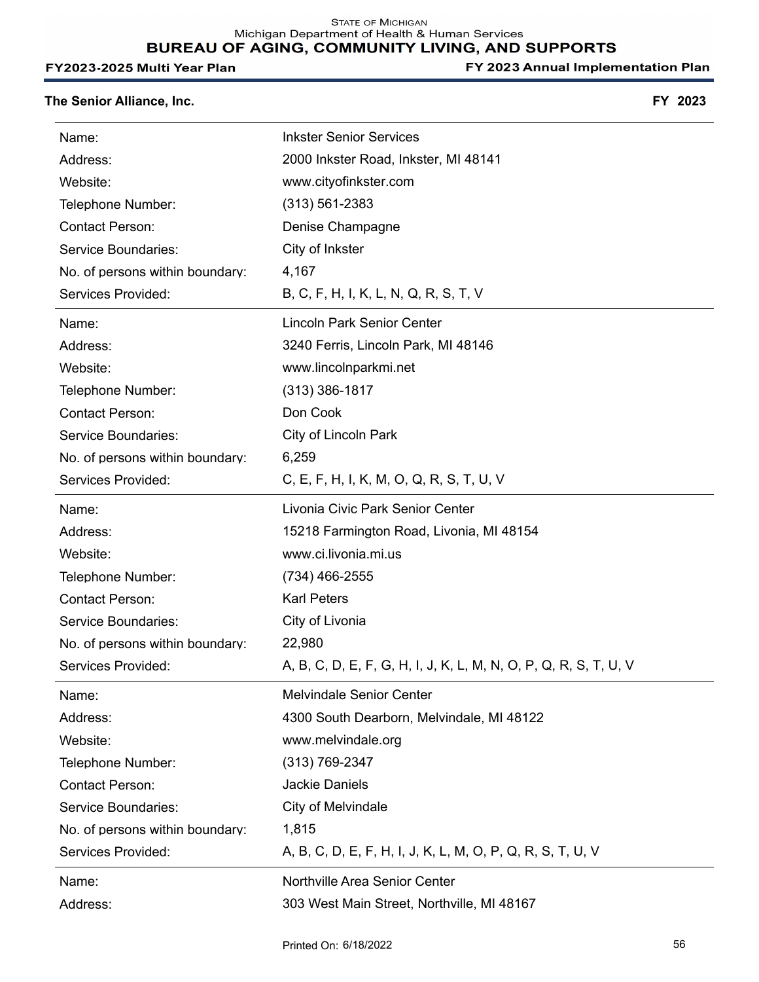Michigan Department of Health & Human Services

# BUREAU OF AGING, COMMUNITY LIVING, AND SUPPORTS

#### FY2023-2025 Multi Year Plan

FY 2023 Annual Implementation Plan

## **The Senior Alliance, Inc. FY 2023**

| Name:                           | <b>Inkster Senior Services</b>                                   |
|---------------------------------|------------------------------------------------------------------|
| Address:                        | 2000 Inkster Road, Inkster, MI 48141                             |
| Website:                        | www.cityofinkster.com                                            |
| Telephone Number:               | $(313) 561 - 2383$                                               |
| <b>Contact Person:</b>          | Denise Champagne                                                 |
| Service Boundaries:             | City of Inkster                                                  |
| No. of persons within boundary: | 4,167                                                            |
| Services Provided:              | B, C, F, H, I, K, L, N, Q, R, S, T, V                            |
| Name:                           | <b>Lincoln Park Senior Center</b>                                |
| Address:                        | 3240 Ferris, Lincoln Park, MI 48146                              |
| Website:                        | www.lincolnparkmi.net                                            |
| Telephone Number:               | $(313)$ 386-1817                                                 |
| <b>Contact Person:</b>          | Don Cook                                                         |
| Service Boundaries:             | City of Lincoln Park                                             |
| No. of persons within boundary: | 6,259                                                            |
| Services Provided:              | C, E, F, H, I, K, M, O, Q, R, S, T, U, V                         |
| Name:                           | Livonia Civic Park Senior Center                                 |
| Address:                        | 15218 Farmington Road, Livonia, MI 48154                         |
| Website:                        | www.ci.livonia.mi.us                                             |
| Telephone Number:               | (734) 466-2555                                                   |
| <b>Contact Person:</b>          | <b>Karl Peters</b>                                               |
| Service Boundaries:             | City of Livonia                                                  |
| No. of persons within boundary: | 22,980                                                           |
| Services Provided:              | A, B, C, D, E, F, G, H, I, J, K, L, M, N, O, P, Q, R, S, T, U, V |
| Name:                           | <b>Melvindale Senior Center</b>                                  |
| Address:                        | 4300 South Dearborn, Melvindale, MI 48122                        |
| Website:                        | www.melvindale.org                                               |
| Telephone Number:               | $(313) 769 - 2347$                                               |
| <b>Contact Person:</b>          | <b>Jackie Daniels</b>                                            |
| Service Boundaries:             | City of Melvindale                                               |
| No. of persons within boundary: | 1,815                                                            |
| Services Provided:              | A, B, C, D, E, F, H, I, J, K, L, M, O, P, Q, R, S, T, U, V       |
| Name:                           | Northville Area Senior Center                                    |
| Address:                        | 303 West Main Street, Northville, MI 48167                       |
|                                 |                                                                  |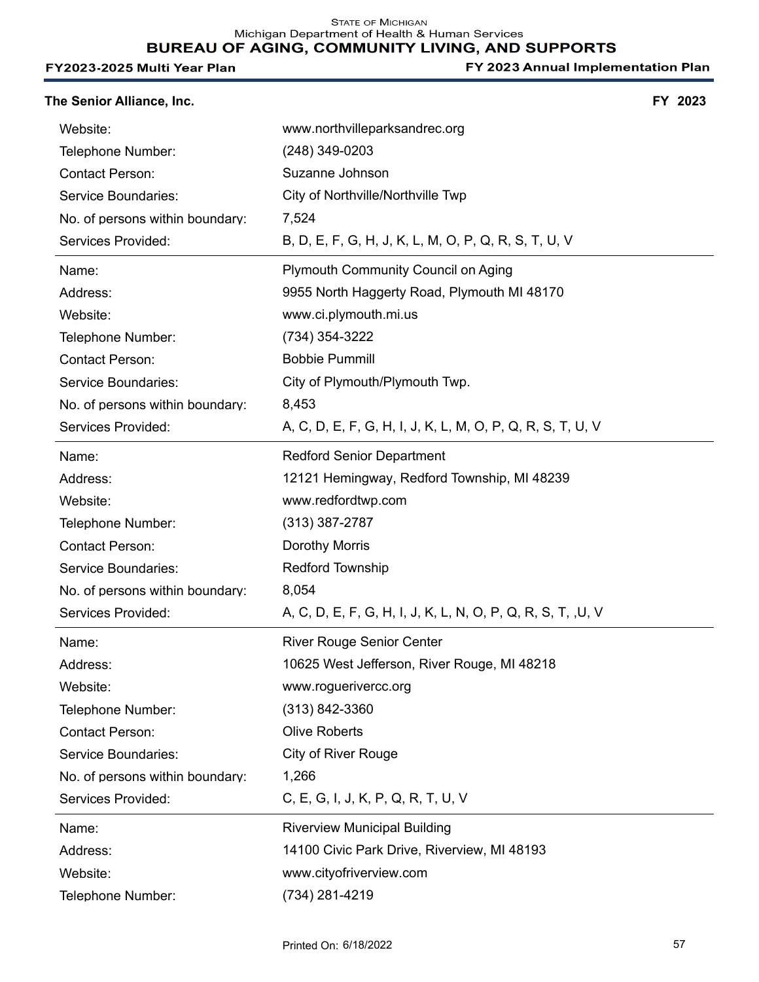STATE OF MICHIGAN<br>Michigan Department of Health & Human Services

# BUREAU OF AGING, COMMUNITY LIVING, AND SUPPORTS

#### FY2023-2025 Multi Year Plan

| The Senior Alliance, Inc.       |                                                             | FY 2023 |
|---------------------------------|-------------------------------------------------------------|---------|
| Website:                        | www.northvilleparksandrec.org                               |         |
| Telephone Number:               | (248) 349-0203                                              |         |
| <b>Contact Person:</b>          | Suzanne Johnson                                             |         |
| Service Boundaries:             | City of Northville/Northville Twp                           |         |
| No. of persons within boundary: | 7,524                                                       |         |
| Services Provided:              | B, D, E, F, G, H, J, K, L, M, O, P, Q, R, S, T, U, V        |         |
| Name:                           | <b>Plymouth Community Council on Aging</b>                  |         |
| Address:                        | 9955 North Haggerty Road, Plymouth MI 48170                 |         |
| Website:                        | www.ci.plymouth.mi.us                                       |         |
| Telephone Number:               | (734) 354-3222                                              |         |
| <b>Contact Person:</b>          | <b>Bobbie Pummill</b>                                       |         |
| Service Boundaries:             | City of Plymouth/Plymouth Twp.                              |         |
| No. of persons within boundary: | 8,453                                                       |         |
| Services Provided:              | A, C, D, E, F, G, H, I, J, K, L, M, O, P, Q, R, S, T, U, V  |         |
| Name:                           | <b>Redford Senior Department</b>                            |         |
| Address:                        | 12121 Hemingway, Redford Township, MI 48239                 |         |
| Website:                        | www.redfordtwp.com                                          |         |
| Telephone Number:               | $(313)$ 387-2787                                            |         |
| <b>Contact Person:</b>          | Dorothy Morris                                              |         |
| Service Boundaries:             | <b>Redford Township</b>                                     |         |
| No. of persons within boundary: | 8,054                                                       |         |
| Services Provided:              | A, C, D, E, F, G, H, I, J, K, L, N, O, P, Q, R, S, T, ,U, V |         |
| Name:                           | <b>River Rouge Senior Center</b>                            |         |
| Address:                        | 10625 West Jefferson, River Rouge, MI 48218                 |         |
| Website:                        | www.roguerivercc.org                                        |         |
| Telephone Number:               | $(313) 842 - 3360$                                          |         |
| <b>Contact Person:</b>          | <b>Olive Roberts</b>                                        |         |
| <b>Service Boundaries:</b>      | <b>City of River Rouge</b>                                  |         |
| No. of persons within boundary: | 1,266                                                       |         |
| Services Provided:              | C, E, G, I, J, K, P, Q, R, T, U, V                          |         |
| Name:                           | <b>Riverview Municipal Building</b>                         |         |
| Address:                        | 14100 Civic Park Drive, Riverview, MI 48193                 |         |
| Website:                        | www.cityofriverview.com                                     |         |
| Telephone Number:               | (734) 281-4219                                              |         |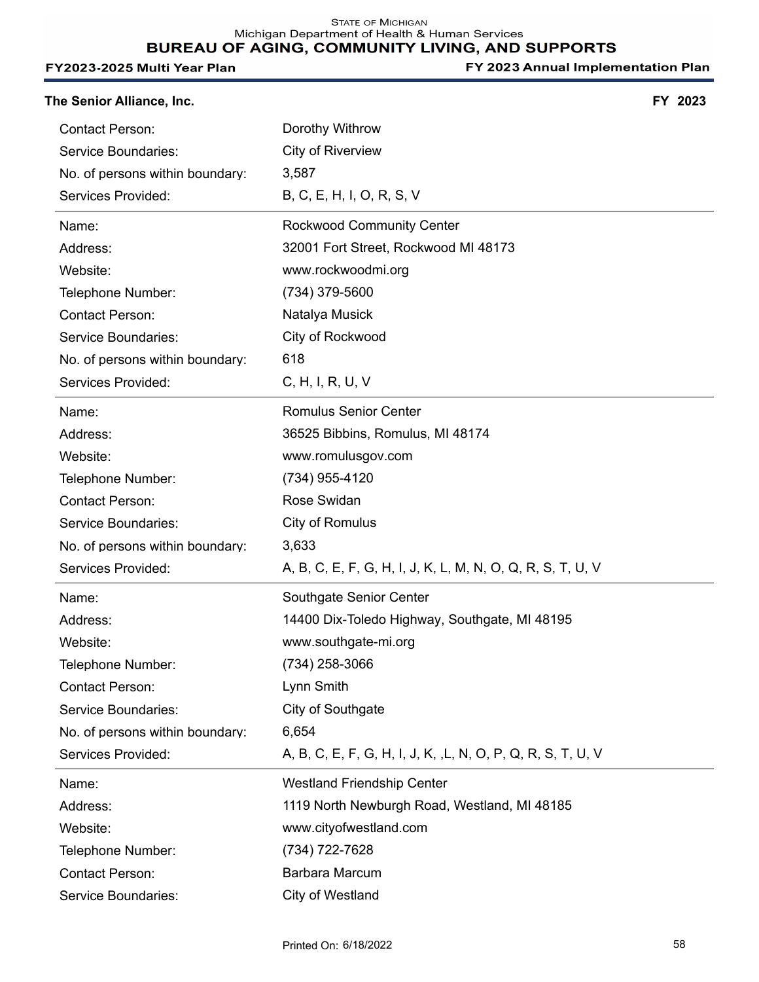| The Senior Alliance, Inc.       |                                                              | FY 2023 |
|---------------------------------|--------------------------------------------------------------|---------|
| <b>Contact Person:</b>          | Dorothy Withrow                                              |         |
| Service Boundaries:             | <b>City of Riverview</b>                                     |         |
| No. of persons within boundary: | 3,587                                                        |         |
| Services Provided:              | B, C, E, H, I, O, R, S, V                                    |         |
| Name:                           | <b>Rockwood Community Center</b>                             |         |
| Address:                        | 32001 Fort Street, Rockwood MI 48173                         |         |
| Website:                        | www.rockwoodmi.org                                           |         |
| Telephone Number:               | (734) 379-5600                                               |         |
| <b>Contact Person:</b>          | Natalya Musick                                               |         |
| Service Boundaries:             | City of Rockwood                                             |         |
| No. of persons within boundary: | 618                                                          |         |
| Services Provided:              | C, H, I, R, U, V                                             |         |
| Name:                           | <b>Romulus Senior Center</b>                                 |         |
| Address:                        | 36525 Bibbins, Romulus, MI 48174                             |         |
| Website:                        | www.romulusgov.com                                           |         |
| Telephone Number:               | (734) 955-4120                                               |         |
| <b>Contact Person:</b>          | Rose Swidan                                                  |         |
| Service Boundaries:             | City of Romulus                                              |         |
| No. of persons within boundary: | 3,633                                                        |         |
| Services Provided:              | A, B, C, E, F, G, H, I, J, K, L, M, N, O, Q, R, S, T, U, V   |         |
| Name:                           | Southgate Senior Center                                      |         |
| Address:                        | 14400 Dix-Toledo Highway, Southgate, MI 48195                |         |
| Website:                        | www.southgate-mi.org                                         |         |
| Telephone Number:               | (734) 258-3066                                               |         |
| <b>Contact Person:</b>          | Lynn Smith                                                   |         |
| Service Boundaries:             | City of Southgate                                            |         |
| No. of persons within boundary: | 6,654                                                        |         |
| Services Provided:              | A, B, C, E, F, G, H, I, J, K, , L, N, O, P, Q, R, S, T, U, V |         |
| Name:                           | <b>Westland Friendship Center</b>                            |         |
| Address:                        | 1119 North Newburgh Road, Westland, MI 48185                 |         |
| Website:                        | www.cityofwestland.com                                       |         |
| Telephone Number:               | (734) 722-7628                                               |         |
| <b>Contact Person:</b>          | Barbara Marcum                                               |         |
| Service Boundaries:             | City of Westland                                             |         |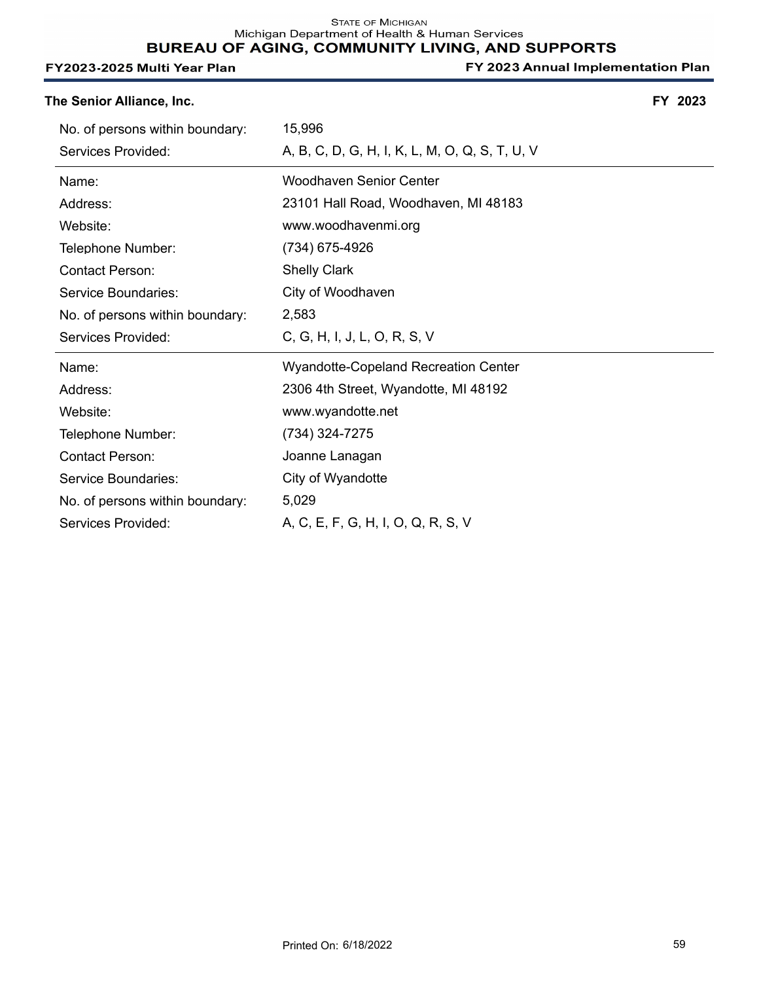| The Senior Alliance, Inc. | FY 2023 |
|---------------------------|---------|
|---------------------------|---------|

| No. of persons within boundary: | 15,996                                         |
|---------------------------------|------------------------------------------------|
| Services Provided:              | A, B, C, D, G, H, I, K, L, M, O, Q, S, T, U, V |
| Name:                           | <b>Woodhaven Senior Center</b>                 |
| Address:                        | 23101 Hall Road, Woodhaven, MI 48183           |
| Website:                        | www.woodhavenmi.org                            |
| Telephone Number:               | (734) 675-4926                                 |
| <b>Contact Person:</b>          | <b>Shelly Clark</b>                            |
| Service Boundaries:             | City of Woodhaven                              |
| No. of persons within boundary: | 2,583                                          |
|                                 |                                                |
| Services Provided:              | C, G, H, I, J, L, O, R, S, V                   |
| Name:                           | <b>Wyandotte-Copeland Recreation Center</b>    |
| Address:                        | 2306 4th Street, Wyandotte, MI 48192           |
| Website:                        | www.wyandotte.net                              |
| Telephone Number:               | (734) 324-7275                                 |
| <b>Contact Person:</b>          | Joanne Lanagan                                 |
| Service Boundaries:             | City of Wyandotte                              |
| No. of persons within boundary: | 5,029                                          |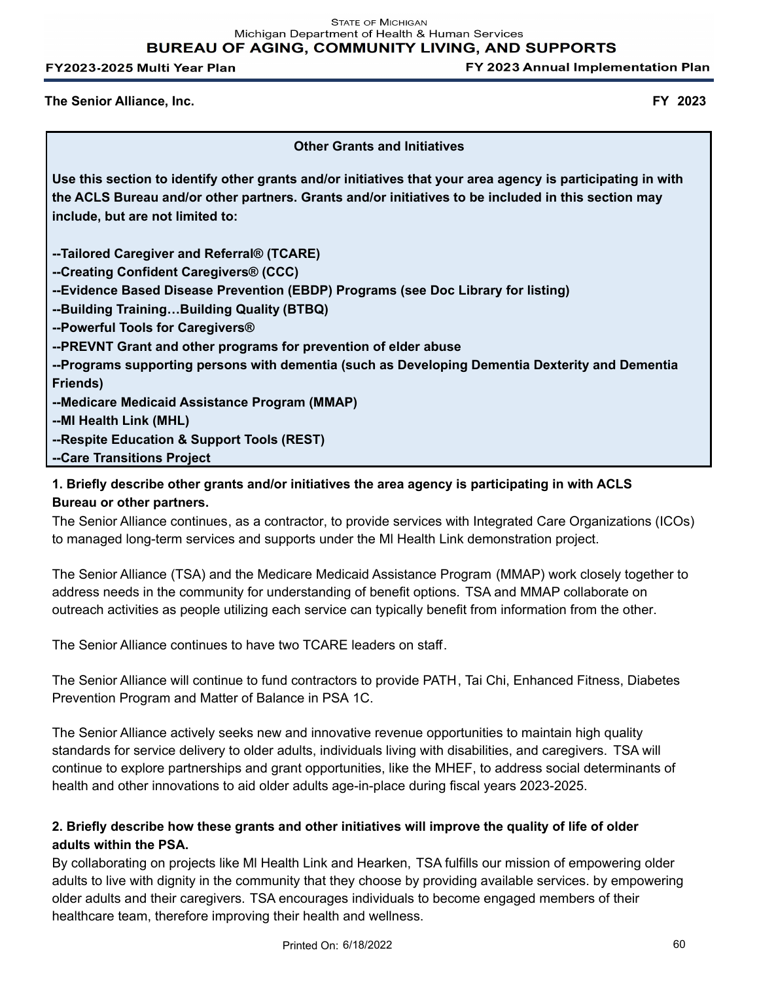**STATE OF MICHIGAN** Michigan Department of Health & Human Services **BUREAU OF AGING, COMMUNITY LIVING, AND SUPPORTS** 

FY2023-2025 Multi Year Plan

FY 2023 Annual Implementation Plan

**The Senior Alliance, Inc. FY 2023**

**Other Grants and Initiatives**

**Use this section to identify other grants and/or initiatives that your area agency is participating in with the ACLS Bureau and/or other partners. Grants and/or initiatives to be included in this section may include, but are not limited to:**

**--Tailored Caregiver and Referral® (TCARE)**

**--Creating Confident Caregivers® (CCC)**

**--Evidence Based Disease Prevention (EBDP) Programs (see Doc Library for listing)**

**--Building Training…Building Quality (BTBQ)**

**--Powerful Tools for Caregivers®**

**--PREVNT Grant and other programs for prevention of elder abuse**

**--Programs supporting persons with dementia (such as Developing Dementia Dexterity and Dementia Friends)**

**--Medicare Medicaid Assistance Program (MMAP)**

**--MI Health Link (MHL)**

**--Respite Education & Support Tools (REST)**

**--Care Transitions Project**

# **1. Briefly describe other grants and/or initiatives the area agency is participating in with ACLS Bureau or other partners.**

The Senior Alliance continues, as a contractor, to provide services with Integrated Care Organizations (ICOs) to managed long-term services and supports under the Ml Health Link demonstration project.

The Senior Alliance (TSA) and the Medicare Medicaid Assistance Program (MMAP) work closely together to address needs in the community for understanding of benefit options. TSA and MMAP collaborate on outreach activities as people utilizing each service can typically benefit from information from the other.

The Senior Alliance continues to have two TCARE leaders on staff.

The Senior Alliance will continue to fund contractors to provide PATH, Tai Chi, Enhanced Fitness, Diabetes Prevention Program and Matter of Balance in PSA 1C.

The Senior Alliance actively seeks new and innovative revenue opportunities to maintain high quality standards for service delivery to older adults, individuals living with disabilities, and caregivers. TSA will continue to explore partnerships and grant opportunities, like the MHEF, to address social determinants of health and other innovations to aid older adults age-in-place during fiscal years 2023-2025.

# **2. Briefly describe how these grants and other initiatives will improve the quality of life of older adults within the PSA.**

By collaborating on projects like Ml Health Link and Hearken, TSA fulfills our mission of empowering older adults to live with dignity in the community that they choose by providing available services. by empowering older adults and their caregivers. TSA encourages individuals to become engaged members of their healthcare team, therefore improving their health and wellness.